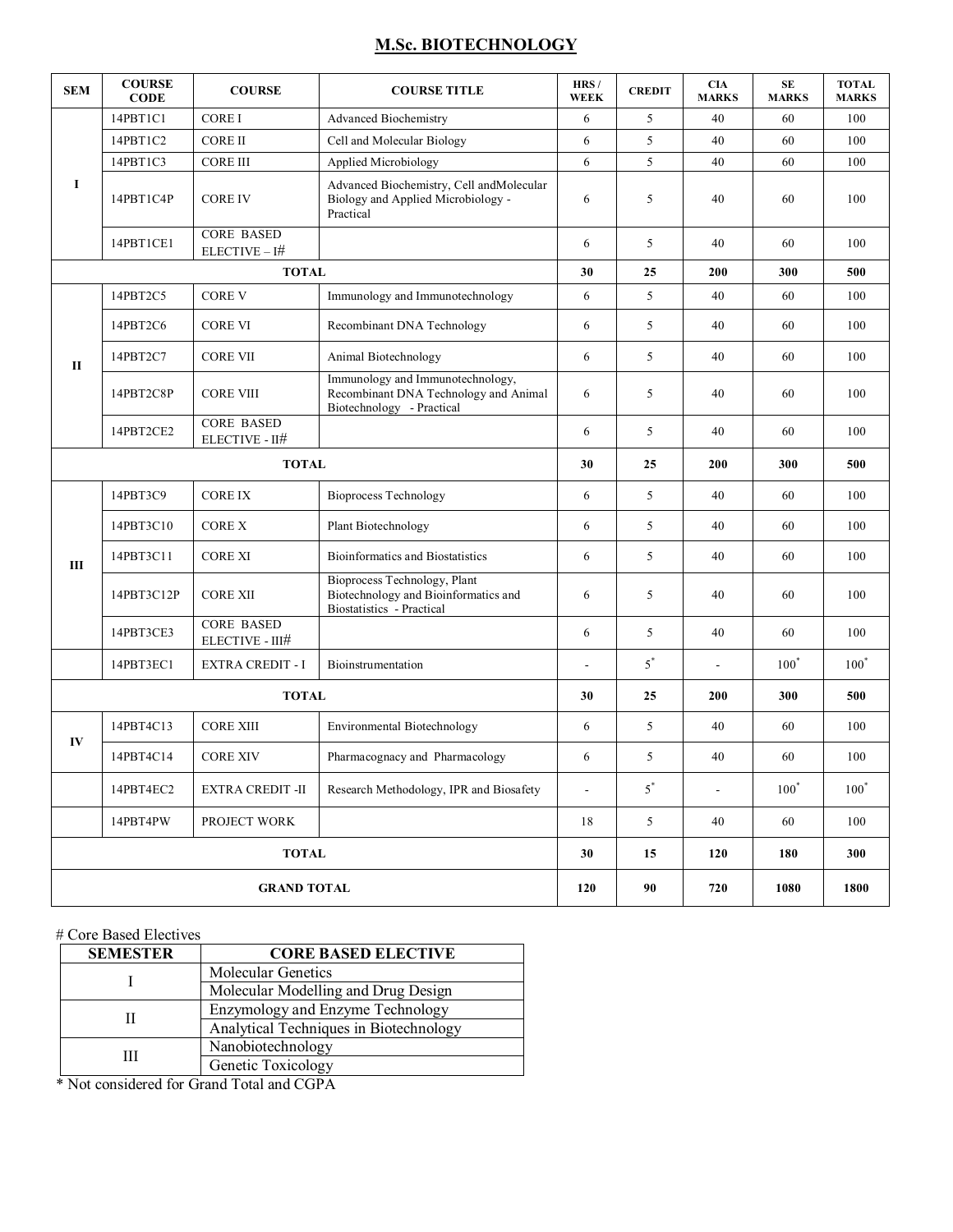# **M.Sc. BIOTECHNOLOGY**

| <b>SEM</b>         | <b>COURSE</b><br><b>CODE</b> | <b>COURSE</b>                        | <b>COURSE TITLE</b>                                                                                    | HRS/<br><b>WEEK</b> | <b>CREDIT</b> | <b>CIA</b><br><b>MARKS</b> | <b>SE</b><br><b>MARKS</b> | <b>TOTAL</b><br><b>MARKS</b> |
|--------------------|------------------------------|--------------------------------------|--------------------------------------------------------------------------------------------------------|---------------------|---------------|----------------------------|---------------------------|------------------------------|
| 1                  | 14PBT1C1                     | <b>COREI</b>                         | <b>Advanced Biochemistry</b>                                                                           | 6                   | 5             | 40                         | 60                        | 100                          |
|                    | 14PBT1C2                     | <b>CORE II</b>                       | Cell and Molecular Biology                                                                             | 6                   | 5             | 40                         | 60                        | 100                          |
|                    | 14PBT1C3                     | <b>CORE III</b>                      | Applied Microbiology                                                                                   | 6                   | 5             | 40                         | 60                        | 100                          |
|                    | 14PBT1C4P                    | <b>CORE IV</b>                       | Advanced Biochemistry, Cell andMolecular<br>Biology and Applied Microbiology -<br>Practical            | 6                   | 5             | 40                         | 60                        | 100                          |
|                    | 14PBT1CE1                    | <b>CORE BASED</b><br>$ELECTIVE - I#$ |                                                                                                        | 6                   | 5             | 40                         | 60                        | 100                          |
| <b>TOTAL</b>       |                              |                                      |                                                                                                        | 30                  | 25            | 200                        | 300                       | 500                          |
| $\mathbf{I}$       | 14PBT2C5                     | <b>CORE V</b>                        | Immunology and Immunotechnology                                                                        | 6                   | 5             | 40                         | 60                        | 100                          |
|                    | 14PBT2C6                     | <b>CORE VI</b>                       | Recombinant DNA Technology                                                                             | 6                   | 5             | 40                         | 60                        | 100                          |
|                    | 14PBT2C7                     | <b>CORE VII</b>                      | Animal Biotechnology                                                                                   | 6                   | 5             | 40                         | 60                        | 100                          |
|                    | 14PBT2C8P                    | <b>CORE VIII</b>                     | Immunology and Immunotechnology,<br>Recombinant DNA Technology and Animal<br>Biotechnology - Practical | 6                   | 5             | 40                         | 60                        | 100                          |
|                    | 14PBT2CE2                    | <b>CORE BASED</b><br>ELECTIVE - II#  |                                                                                                        | 6                   | 5             | 40                         | 60                        | 100                          |
| <b>TOTAL</b>       |                              |                                      |                                                                                                        | 30                  | 25            | 200                        | 300                       | 500                          |
| Ш                  | 14PBT3C9                     | <b>CORE IX</b>                       | <b>Bioprocess Technology</b>                                                                           | 6                   | 5             | 40                         | 60                        | 100                          |
|                    | 14PBT3C10                    | <b>CORE X</b>                        | Plant Biotechnology                                                                                    | 6                   | 5             | 40                         | 60                        | 100                          |
|                    | 14PBT3C11                    | <b>CORE XI</b>                       | <b>Bioinformatics and Biostatistics</b>                                                                | 6                   | 5             | 40                         | 60                        | 100                          |
|                    | 14PBT3C12P                   | <b>CORE XII</b>                      | Bioprocess Technology, Plant<br>Biotechnology and Bioinformatics and<br>Biostatistics - Practical      | 6                   | 5             | 40                         | 60                        | 100                          |
|                    | 14PBT3CE3                    | <b>CORE BASED</b><br>ELECTIVE - III# |                                                                                                        | 6                   | 5             | 40                         | 60                        | 100                          |
|                    | 14PBT3EC1                    | <b>EXTRA CREDIT - I</b>              | Bioinstrumentation                                                                                     |                     | $5^*$         | ÷,                         | $100^*$                   | $100^*$                      |
| <b>TOTAL</b>       |                              |                                      |                                                                                                        | 30                  | 25            | 200                        | 300                       | 500                          |
| IV                 | 14PBT4C13                    | <b>CORE XIII</b>                     | Environmental Biotechnology                                                                            | 6                   | 5             | 40                         | 60                        | 100                          |
|                    | 14PBT4C14                    | <b>CORE XIV</b>                      | Pharmacognacy and Pharmacology                                                                         | 6                   | 5             | 40                         | 60                        | 100                          |
|                    | 14PBT4EC2                    | <b>EXTRA CREDIT -II</b>              | Research Methodology, IPR and Biosafety                                                                | $\Box$              | $5^*$         | $\blacksquare$             | $100^*$                   | $100^*$                      |
|                    | 14PBT4PW                     | PROJECT WORK                         |                                                                                                        | 18                  | 5             | 40                         | 60                        | 100                          |
| <b>TOTAL</b>       |                              |                                      |                                                                                                        | 30                  | 15            | 120                        | 180                       | 300                          |
| <b>GRAND TOTAL</b> |                              |                                      |                                                                                                        | 120                 | 90            | 720                        | 1080                      | 1800                         |

### # Core Based Electives

| <b>SEMESTER</b> | <b>CORE BASED ELECTIVE</b>             |  |  |
|-----------------|----------------------------------------|--|--|
|                 | Molecular Genetics                     |  |  |
|                 | Molecular Modelling and Drug Design    |  |  |
|                 | Enzymology and Enzyme Technology       |  |  |
|                 | Analytical Techniques in Biotechnology |  |  |
| Ш               | Nanobiotechnology                      |  |  |
|                 | Genetic Toxicology                     |  |  |

\* Not considered for Grand Total and CGPA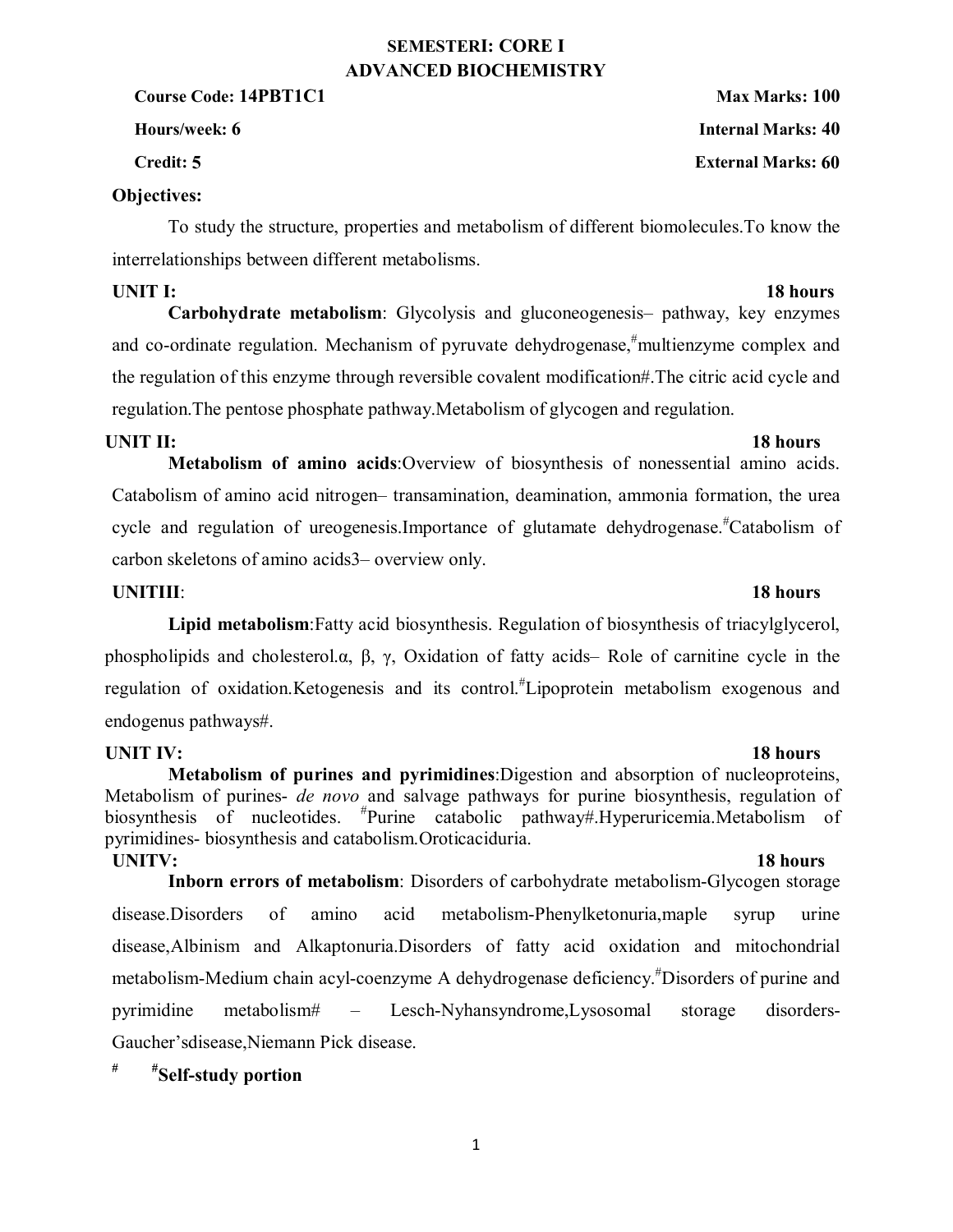## **SEMESTERI: CORE I ADVANCED BIOCHEMISTRY**

**Course Code: 14PBT1C1 Max Marks: 100** 

**Credit: 5 External Marks: 60**

### **Objectives:**

To study the structure, properties and metabolism of different biomolecules.To know the interrelationships between different metabolisms.

**Carbohydrate metabolism**: Glycolysis and gluconeogenesis– pathway, key enzymes and co-ordinate regulation. Mechanism of pyruvate dehydrogenase,<sup>#</sup>multienzyme complex and the regulation of this enzyme through reversible covalent modification#.The citric acid cycle and regulation.The pentose phosphate pathway.Metabolism of glycogen and regulation.

## **UNIT II:** 18 hours

**Metabolism of amino acids**:Overview of biosynthesis of nonessential amino acids. Catabolism of amino acid nitrogen– transamination, deamination, ammonia formation, the urea cycle and regulation of ureogenesis. Importance of glutamate dehydrogenase.<sup>#</sup>Catabolism of carbon skeletons of amino acids3– overview only.

## **UNITIII**: **18 hours**

**Lipid metabolism**:Fatty acid biosynthesis. Regulation of biosynthesis of triacylglycerol, phospholipids and cholesterol.α, β, γ, Oxidation of fatty acids– Role of carnitine cycle in the regulation of oxidation. Ketogenesis and its control.<sup>#</sup>Lipoprotein metabolism exogenous and endogenus pathways#.

**UNIT IV:** 18 hours **Metabolism of purines and pyrimidines**:Digestion and absorption of nucleoproteins, Metabolism of purines- *de novo* and salvage pathways for purine biosynthesis, regulation of biosynthesis of nucleotides. Purine catabolic pathway#.Hyperuricemia.Metabolism of pyrimidines- biosynthesis and catabolism.Oroticaciduria.

**UNITV:** 18 hours **Inborn errors of metabolism**: Disorders of carbohydrate metabolism-Glycogen storage disease.Disorders of amino acid metabolism-Phenylketonuria,maple syrup urine disease,Albinism and Alkaptonuria.Disorders of fatty acid oxidation and mitochondrial metabolism-Medium chain acyl-coenzyme A dehydrogenase deficiency.<sup>#</sup>Disorders of purine and pyrimidine metabolism# – Lesch-Nyhansyndrome,Lysosomal storage disorders-Gaucher'sdisease,Niemann Pick disease.

## **# #Self-study portion**

**Hours/week: 6 Internal Marks: 40**

# **UNIT I:** 18 hours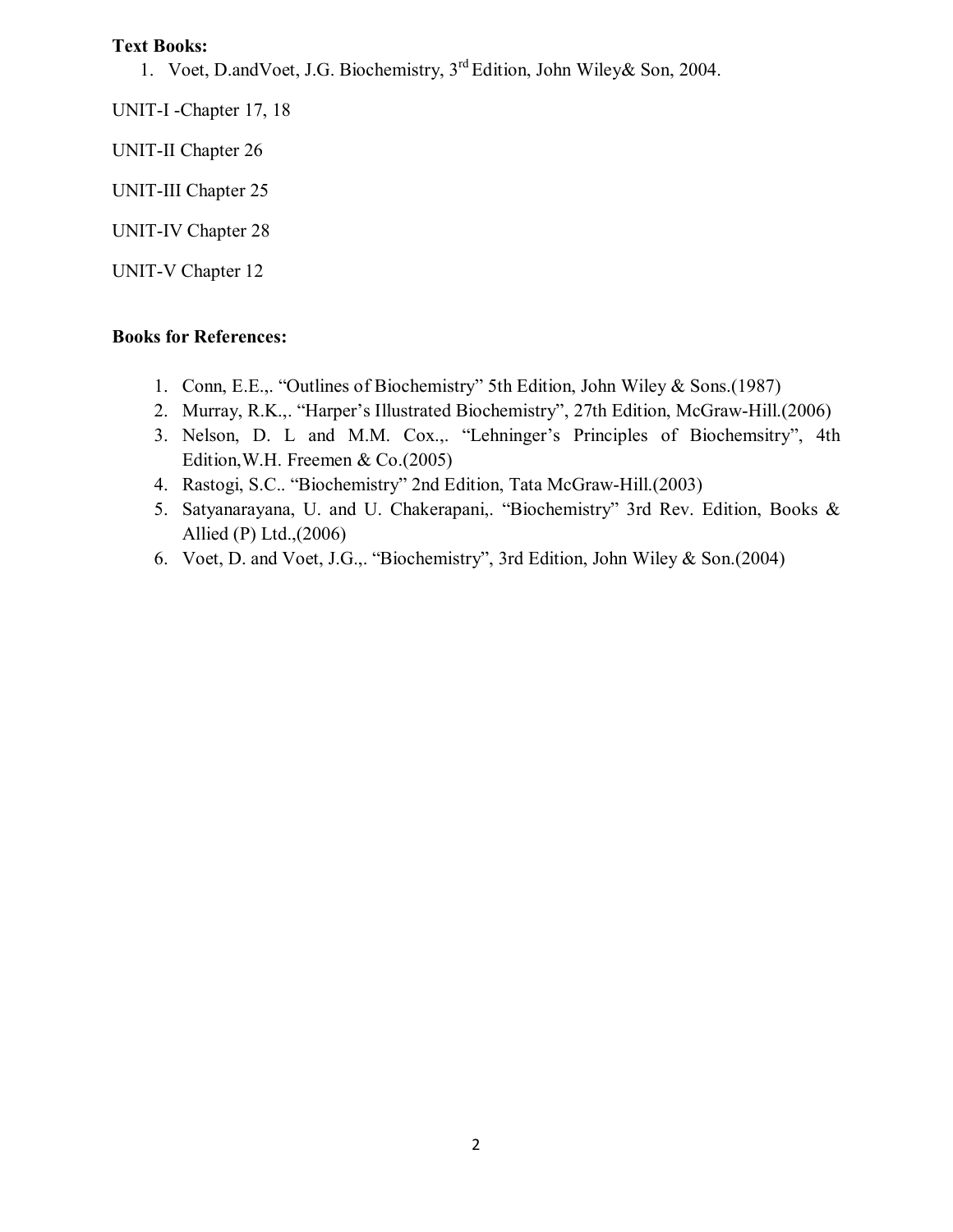1. Voet, D.andVoet, J.G. Biochemistry, 3rd Edition, John Wiley& Son, 2004.

UNIT-I -Chapter 17, 18

UNIT-II Chapter 26

UNIT-III Chapter 25

UNIT-IV Chapter 28

UNIT-V Chapter 12

- 1. Conn, E.E.,. "Outlines of Biochemistry" 5th Edition, John Wiley & Sons.(1987)
- 2. Murray, R.K.,. "Harper's Illustrated Biochemistry", 27th Edition, McGraw-Hill.(2006)
- 3. Nelson, D. L and M.M. Cox.,. "Lehninger's Principles of Biochemsitry", 4th Edition,W.H. Freemen & Co.(2005)
- 4. Rastogi, S.C.. "Biochemistry" 2nd Edition, Tata McGraw-Hill.(2003)
- 5. Satyanarayana, U. and U. Chakerapani,. "Biochemistry" 3rd Rev. Edition, Books & Allied (P) Ltd.,(2006)
- 6. Voet, D. and Voet, J.G.,. "Biochemistry", 3rd Edition, John Wiley & Son.(2004)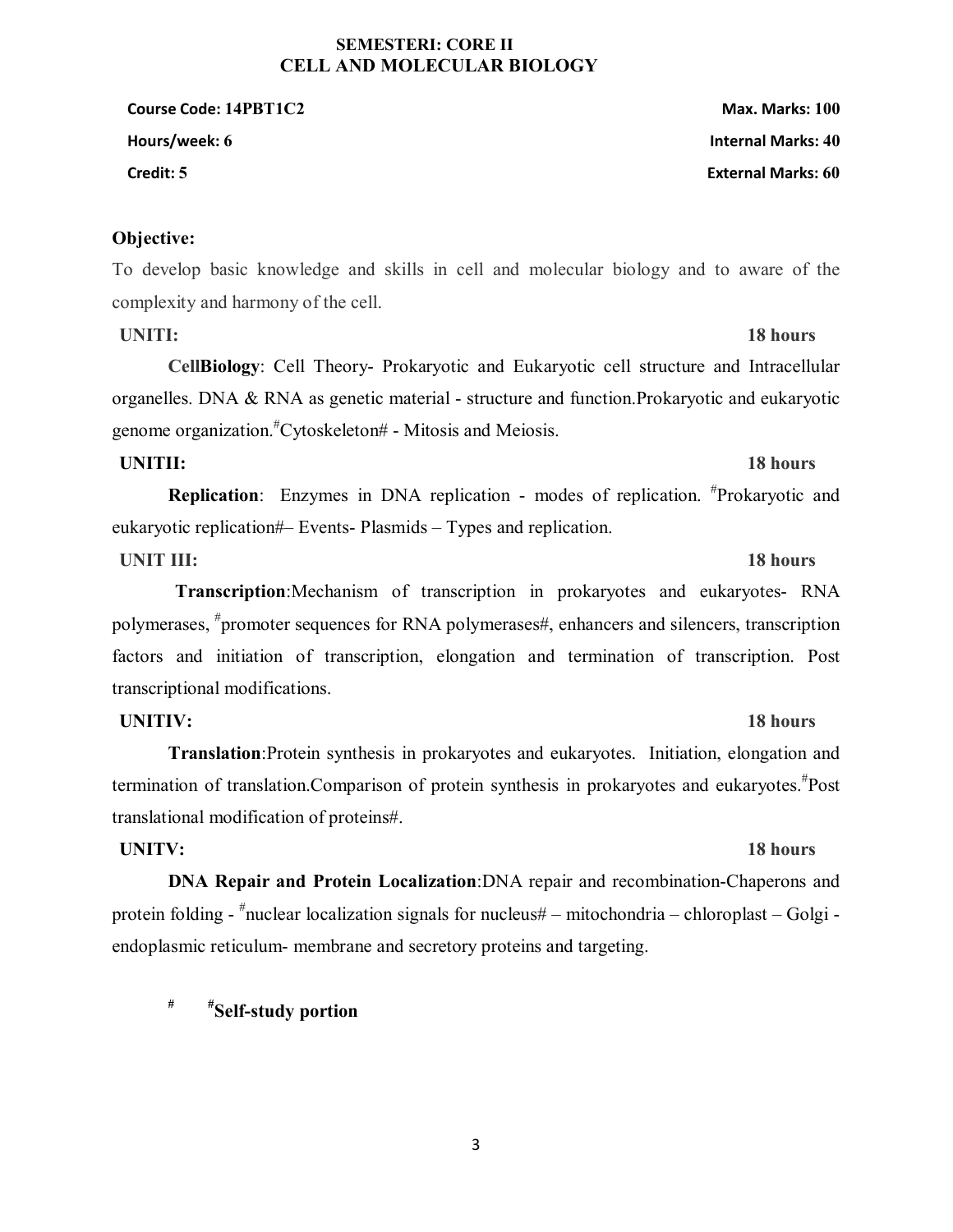# 3

### **SEMESTERI: CORE II CELL AND MOLECULAR BIOLOGY**

**Course Code: 14PBT1C2 Max. Marks: 100 Hours/week: 6 Internal Marks: 40 Credit: 5 External Marks: 60**

### **Objective:**

To develop basic knowledge and skills in cell and molecular biology and to aware of the complexity and harmony of the cell.

**UNITI:** 18 hours

**CellBiology**: Cell Theory- Prokaryotic and Eukaryotic cell structure and Intracellular organelles. DNA & RNA as genetic material - structure and function.Prokaryotic and eukaryotic genome organization.# Cytoskeleton# - Mitosis and Meiosis.

## **UNITII:** 18 hours

**Replication**: Enzymes in DNA replication - modes of replication. <sup>#</sup>Prokaryotic and eukaryotic replication#– Events- Plasmids – Types and replication.

# **UNIT III:** 18 hours

**Transcription**:Mechanism of transcription in prokaryotes and eukaryotes- RNA polymerases, <sup>#</sup>promoter sequences for RNA polymerases#, enhancers and silencers, transcription factors and initiation of transcription, elongation and termination of transcription. Post transcriptional modifications.

## **UNITIV:** 18 hours

**Translation**:Protein synthesis in prokaryotes and eukaryotes. Initiation, elongation and termination of translation. Comparison of protein synthesis in prokaryotes and eukaryotes.<sup>#</sup>Post translational modification of proteins#.

## **UNITV: 18 hours**

**DNA Repair and Protein Localization**:DNA repair and recombination-Chaperons and protein folding - # nuclear localization signals for nucleus# – mitochondria – chloroplast – Golgi endoplasmic reticulum- membrane and secretory proteins and targeting.

**# #Self-study portion**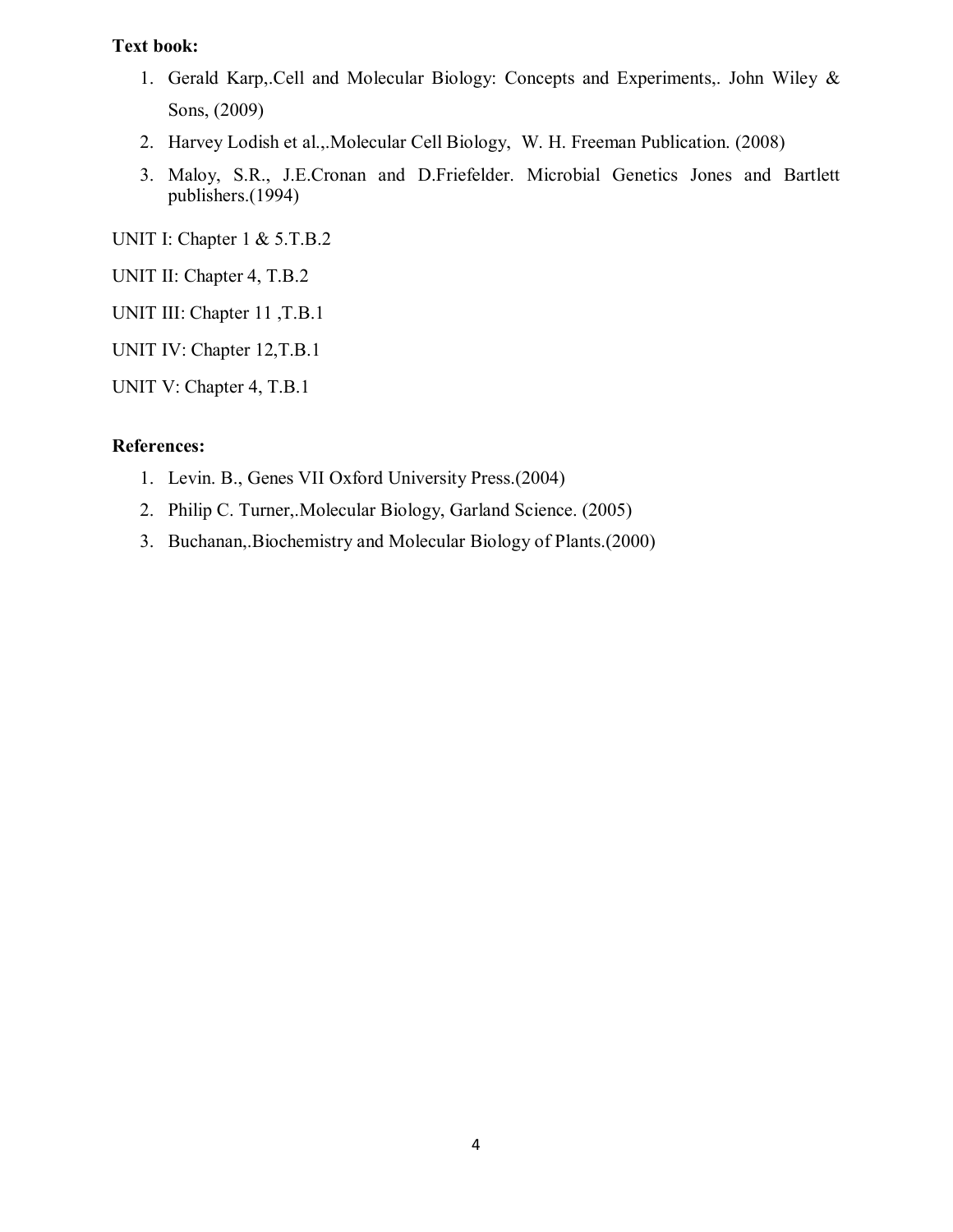### **Text book:**

- 1. Gerald Karp,.Cell and Molecular Biology: Concepts and Experiments,. John Wiley & Sons, (2009)
- 2. Harvey Lodish et al.,.Molecular Cell Biology, W. H. Freeman Publication. (2008)
- 3. Maloy, S.R., J.E.Cronan and D.Friefelder. Microbial Genetics Jones and Bartlett publishers.(1994)

UNIT I: Chapter 1 & 5.T.B.2

UNIT II: Chapter 4, T.B.2

UNIT III: Chapter 11 ,T.B.1

UNIT IV: Chapter 12,T.B.1

UNIT V: Chapter 4, T.B.1

### **References:**

- 1. Levin. B., Genes VII Oxford University Press.(2004)
- 2. Philip C. Turner,.Molecular Biology, Garland Science. (2005)
- 3. Buchanan,.Biochemistry and Molecular Biology of Plants.(2000)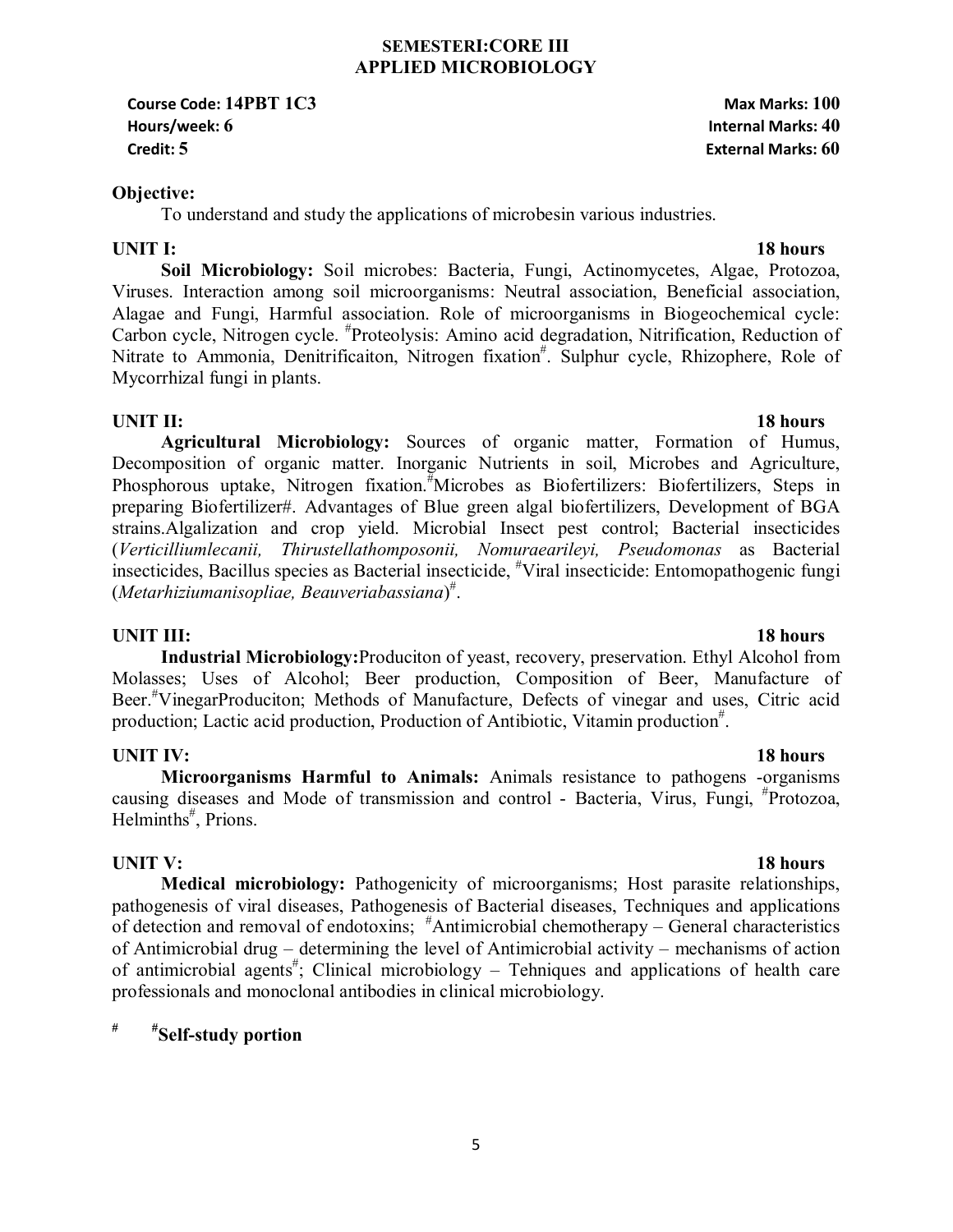### **SEMESTERI:CORE III APPLIED MICROBIOLOGY**

**Course Code: 14PBT 1C3 Max Marks: 100 Hours/week: 6 Internal Marks: 40 Credit: 5 External Marks: 60**

### **Objective:**

To understand and study the applications of microbesin various industries.

### **UNIT I:** 18 hours

**Soil Microbiology:** Soil microbes: Bacteria, Fungi, Actinomycetes, Algae, Protozoa, Viruses. Interaction among soil microorganisms: Neutral association, Beneficial association, Alagae and Fungi, Harmful association. Role of microorganisms in Biogeochemical cycle: Carbon cycle, Nitrogen cycle. # Proteolysis: Amino acid degradation, Nitrification, Reduction of Nitrate to Ammonia, Denitrificaiton, Nitrogen fixation<sup>#</sup>. Sulphur cycle, Rhizophere, Role of Mycorrhizal fungi in plants.

## **UNIT II:** 18 hours

**Agricultural Microbiology:** Sources of organic matter, Formation of Humus, Decomposition of organic matter. Inorganic Nutrients in soil, Microbes and Agriculture, Phosphorous uptake, Nitrogen fixation.<sup>#</sup>Microbes as Biofertilizers: Biofertilizers, Steps in preparing Biofertilizer#. Advantages of Blue green algal biofertilizers, Development of BGA strains.Algalization and crop yield. Microbial Insect pest control; Bacterial insecticides (*Verticilliumlecanii, Thirustellathomposonii, Nomuraearileyi, Pseudomonas* as Bacterial insecticides, Bacillus species as Bacterial insecticide, # Viral insecticide: Entomopathogenic fungi (*Metarhiziumanisopliae, Beauveriabassiana*) # .

### **UNIT III:** 18 hours

**Industrial Microbiology:**Produciton of yeast, recovery, preservation. Ethyl Alcohol from Molasses; Uses of Alcohol; Beer production, Composition of Beer, Manufacture of Beer.# VinegarProduciton; Methods of Manufacture, Defects of vinegar and uses, Citric acid production; Lactic acid production, Production of Antibiotic, Vitamin production<sup>#</sup>.

### **UNIT IV:** 18 hours

**Microorganisms Harmful to Animals:** Animals resistance to pathogens -organisms causing diseases and Mode of transmission and control - Bacteria, Virus, Fungi, # Protozoa, Helminths<sup>#</sup>, Prions.

### **UNIT V:** 18 hours

**Medical microbiology:** Pathogenicity of microorganisms; Host parasite relationships, pathogenesis of viral diseases, Pathogenesis of Bacterial diseases, Techniques and applications of detection and removal of endotoxins; #Antimicrobial chemotherapy – General characteristics of Antimicrobial drug – determining the level of Antimicrobial activity – mechanisms of action of antimicrobial agents<sup>#</sup>; Clinical microbiology – Tehniques and applications of health care professionals and monoclonal antibodies in clinical microbiology.

### $\#$ **# #Self-study portion**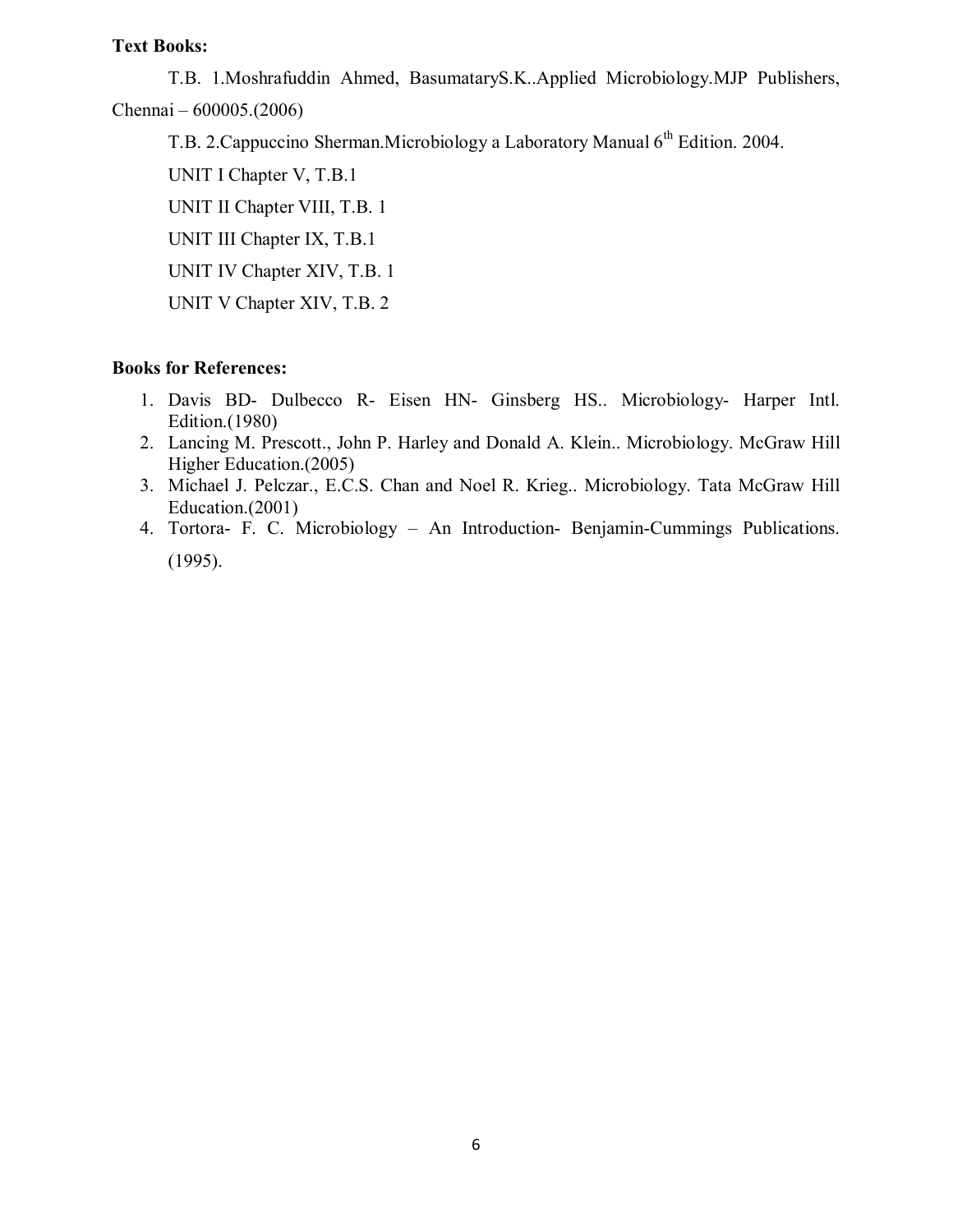T.B. 1.Moshrafuddin Ahmed, BasumataryS.K..Applied Microbiology.MJP Publishers, Chennai – 600005.(2006)

T.B. 2. Cappuccino Sherman. Microbiology a Laboratory Manual 6<sup>th</sup> Edition. 2004.

 UNIT I Chapter V, T.B.1 UNIT II Chapter VIII, T.B. 1 UNIT III Chapter IX, T.B.1 UNIT IV Chapter XIV, T.B. 1 UNIT V Chapter XIV, T.B. 2

- 1. Davis BD- Dulbecco R- Eisen HN- Ginsberg HS.. Microbiology- Harper Intl. Edition.(1980)
- 2. Lancing M. Prescott., John P. Harley and Donald A. Klein.. Microbiology. McGraw Hill Higher Education.(2005)
- 3. Michael J. Pelczar., E.C.S. Chan and Noel R. Krieg.. Microbiology. Tata McGraw Hill Education.(2001)
- 4. Tortora- F. C. Microbiology An Introduction- Benjamin-Cummings Publications. (1995).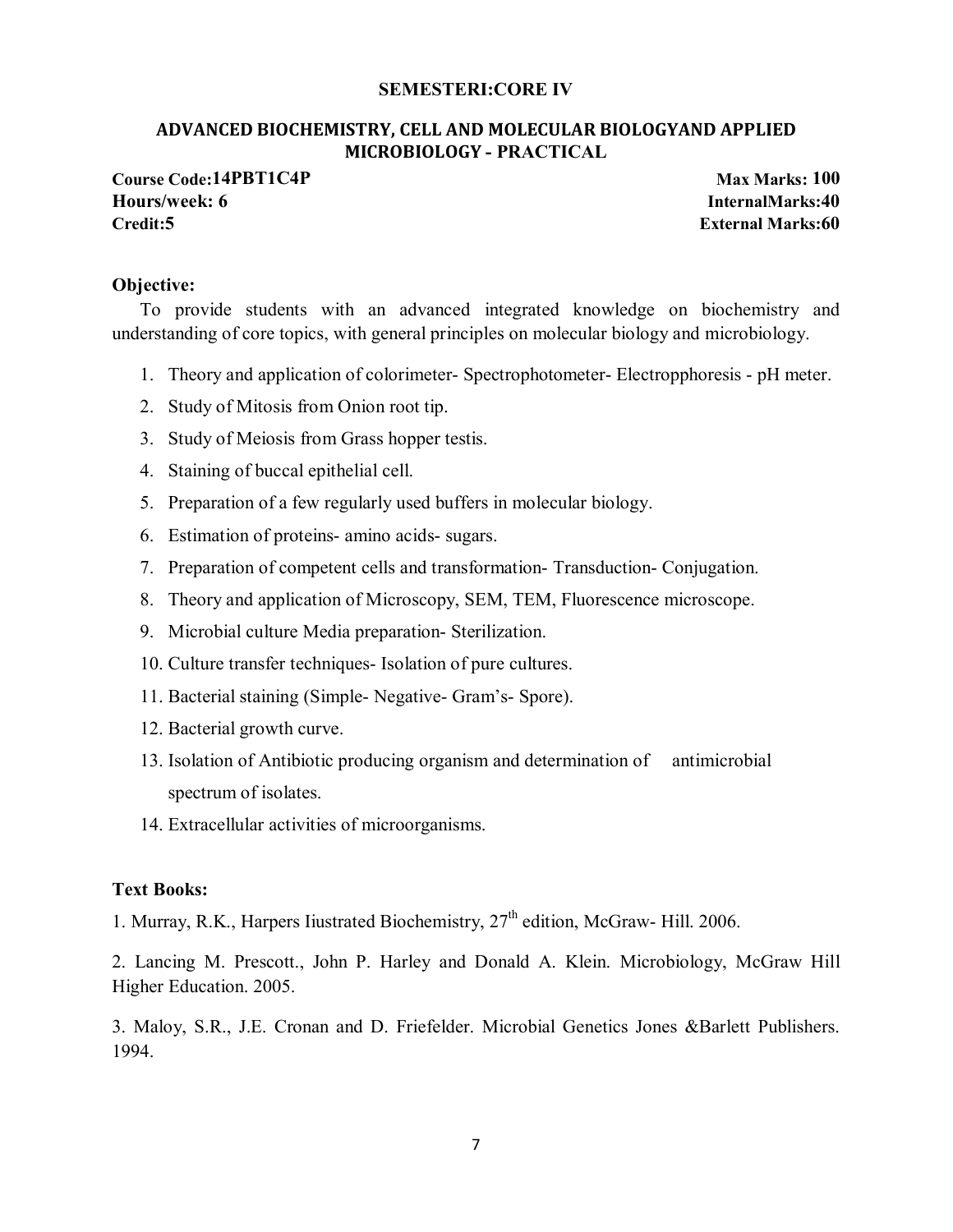### **SEMESTERI:CORE IV**

### **ADVANCED BIOCHEMISTRY, CELL AND MOLECULAR BIOLOGYAND APPLIED MICROBIOLOGY - PRACTICAL**

**Course Code:14PBT1C4P Max Marks: 100 Hours/week: 6 InternalMarks:40 Credit:5 External Marks:60**

### **Objective:**

To provide students with an advanced integrated knowledge on biochemistry and understanding of core topics, with general principles on molecular biology and microbiology.

- 1. Theory and application of colorimeter- Spectrophotometer- Electropphoresis pH meter.
- 2. Study of Mitosis from Onion root tip.
- 3. Study of Meiosis from Grass hopper testis.
- 4. Staining of buccal epithelial cell.
- 5. Preparation of a few regularly used buffers in molecular biology.
- 6. Estimation of proteins- amino acids- sugars.
- 7. Preparation of competent cells and transformation- Transduction- Conjugation.
- 8. Theory and application of Microscopy, SEM, TEM, Fluorescence microscope.
- 9. Microbial culture Media preparation- Sterilization.
- 10. Culture transfer techniques- Isolation of pure cultures.
- 11. Bacterial staining (Simple- Negative- Gram's- Spore).
- 12. Bacterial growth curve.
- 13. Isolation of Antibiotic producing organism and determination of antimicrobial spectrum of isolates.
- 14. Extracellular activities of microorganisms.

### **Text Books:**

1. Murray, R.K., Harpers Iiustrated Biochemistry, 27<sup>th</sup> edition, McGraw- Hill. 2006.

2. Lancing M. Prescott., John P. Harley and Donald A. Klein. Microbiology, McGraw Hill Higher Education. 2005.

3. Maloy, S.R., J.E. Cronan and D. Friefelder. Microbial Genetics Jones &Barlett Publishers. 1994.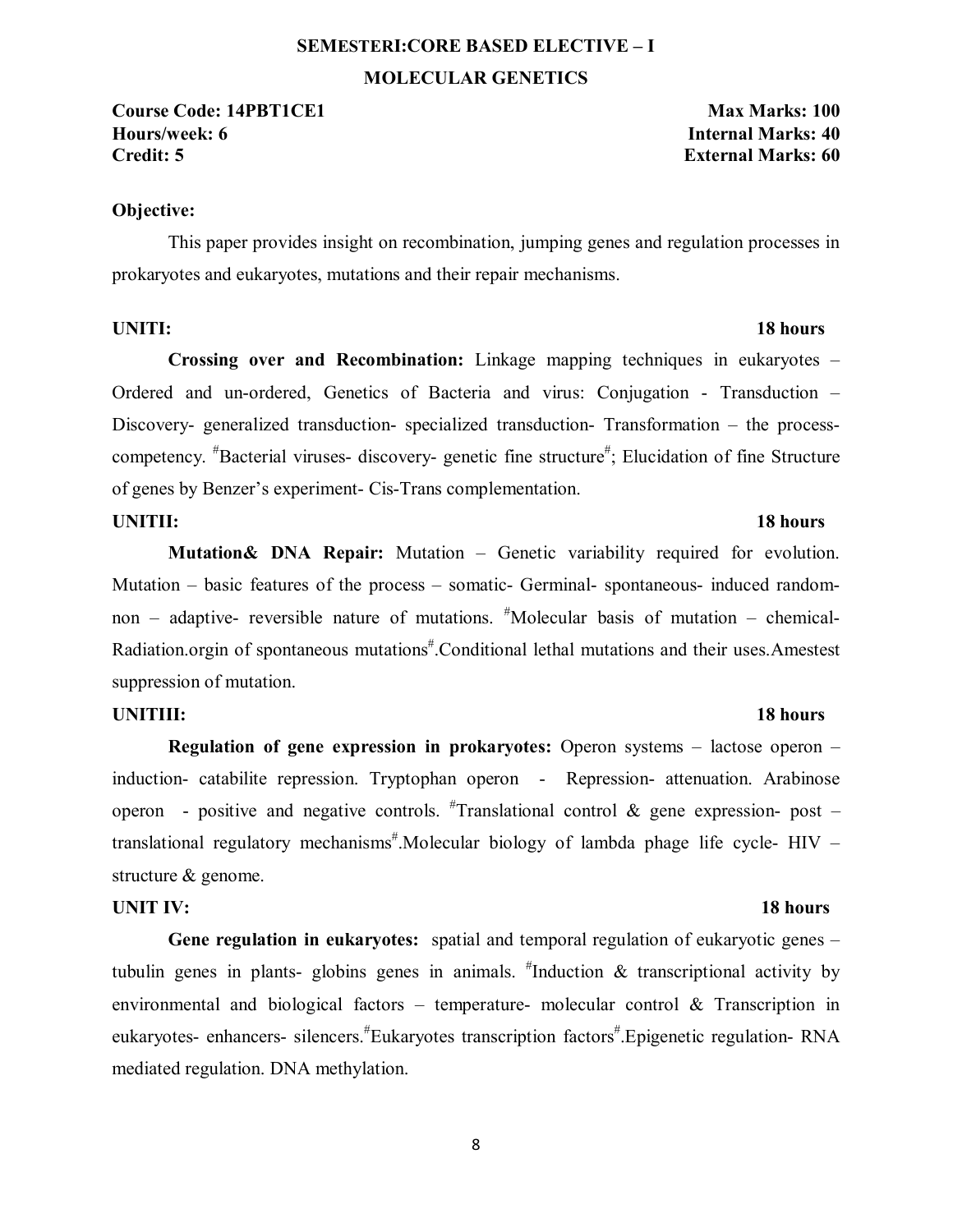# **SEMESTERI:CORE BASED ELECTIVE – I MOLECULAR GENETICS**

**Course Code: 14PBT1CE1 Max Marks: 100 Hours/week: 6 Internal Marks: 40 Credit: 5 External Marks: 60**

### **Objective:**

This paper provides insight on recombination, jumping genes and regulation processes in prokaryotes and eukaryotes, mutations and their repair mechanisms.

### **UNITI:** 18 hours

**Crossing over and Recombination:** Linkage mapping techniques in eukaryotes – Ordered and un-ordered, Genetics of Bacteria and virus: Conjugation - Transduction – Discovery- generalized transduction- specialized transduction- Transformation – the processcompetency. <sup>#</sup>Bacterial viruses- discovery- genetic fine structure<sup>#</sup>; Elucidation of fine Structure of genes by Benzer's experiment- Cis-Trans complementation.

### **UNITII:** 18 hours

**Mutation& DNA Repair:** Mutation – Genetic variability required for evolution. Mutation – basic features of the process – somatic- Germinal- spontaneous- induced randomnon – adaptive- reversible nature of mutations. # Molecular basis of mutation – chemical-Radiation.orgin of spontaneous mutations<sup>#</sup>.Conditional lethal mutations and their uses.Amestest suppression of mutation.

### **UNITIII:** 18 hours

**Regulation of gene expression in prokaryotes:** Operon systems – lactose operon – induction- catabilite repression. Tryptophan operon - Repression- attenuation. Arabinose operon - positive and negative controls.  ${}^{\#}$ Translational control & gene expression- post translational regulatory mechanisms<sup>#</sup>.Molecular biology of lambda phage life cycle- HIV structure & genome.

### **UNIT IV:** 18 hours

**Gene regulation in eukaryotes:** spatial and temporal regulation of eukaryotic genes – tubulin genes in plants- globins genes in animals.  $\textsuperscript{#}$ Induction & transcriptional activity by environmental and biological factors – temperature- molecular control & Transcription in eukaryotes- enhancers- silencers. <sup>#</sup>Eukaryotes transcription factors<sup>#</sup>. Epigenetic regulation- RNA mediated regulation. DNA methylation.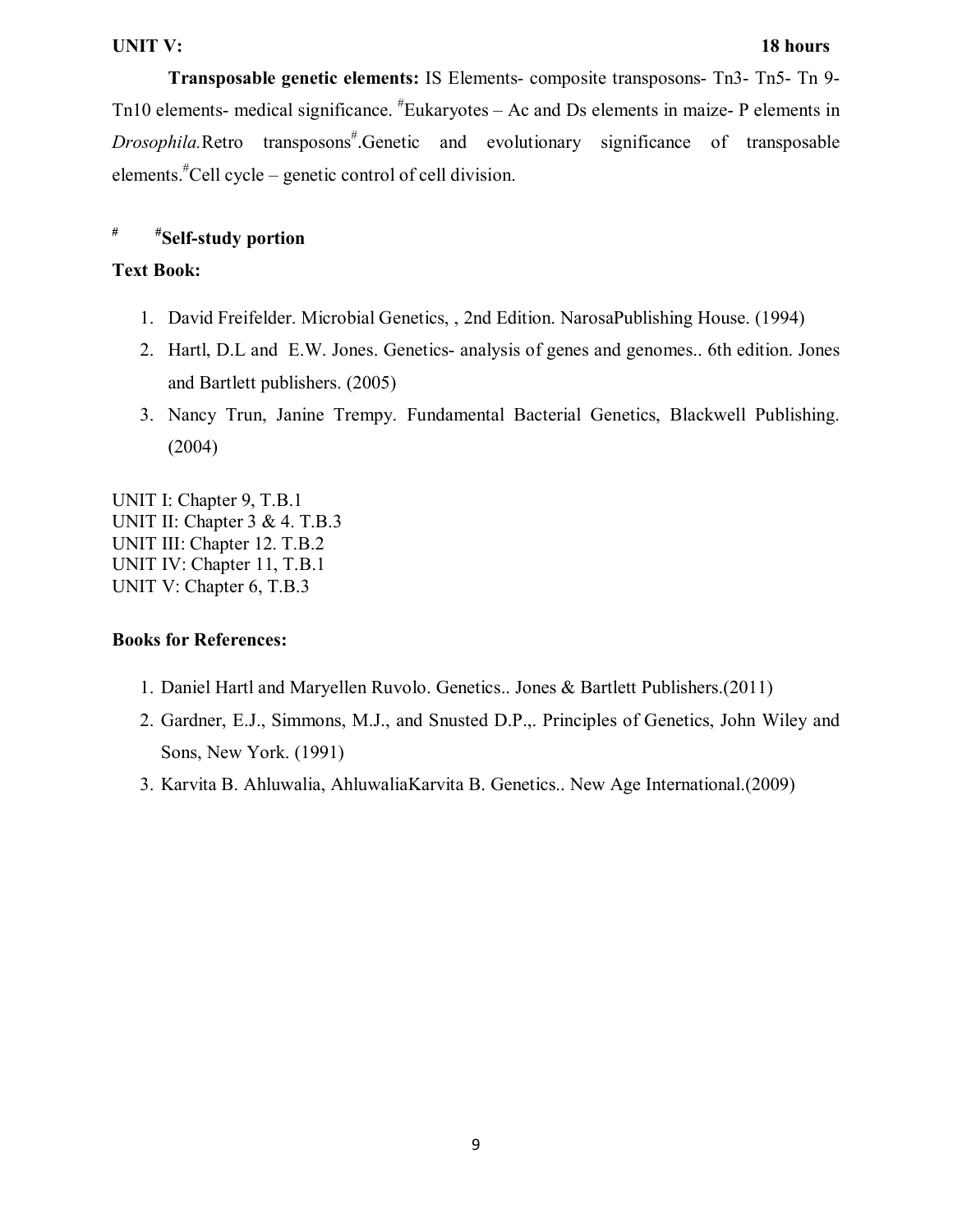### **UNIT V:** 18 hours

**Transposable genetic elements:** IS Elements- composite transposons- Tn3- Tn5- Tn 9- Tn10 elements- medical significance. <sup>#</sup>Eukaryotes – Ac and Ds elements in maize- P elements in *Drosophila.Retro* transposons<sup>#</sup>.Genetic and evolutionary significance of transposable elements.# Cell cycle – genetic control of cell division.

# **# #Self-study portion**

### **Text Book:**

- 1. David Freifelder. Microbial Genetics, , 2nd Edition. NarosaPublishing House. (1994)
- 2. Hartl, D.L and E.W. Jones. Genetics- analysis of genes and genomes.. 6th edition. Jones and Bartlett publishers. (2005)
- 3. Nancy Trun, Janine Trempy. Fundamental Bacterial Genetics, Blackwell Publishing. (2004)

UNIT I: Chapter 9, T.B.1 UNIT II: Chapter 3 & 4. T.B.3 UNIT III: Chapter 12. T.B.2 UNIT IV: Chapter 11, T.B.1 UNIT V: Chapter 6, T.B.3

- 1. Daniel Hartl and Maryellen Ruvolo. Genetics.. Jones & Bartlett Publishers.(2011)
- 2. Gardner, E.J., Simmons, M.J., and Snusted D.P.,. Principles of Genetics, John Wiley and Sons, New York. (1991)
- 3. Karvita B. Ahluwalia, AhluwaliaKarvita B. Genetics.. New Age International.(2009)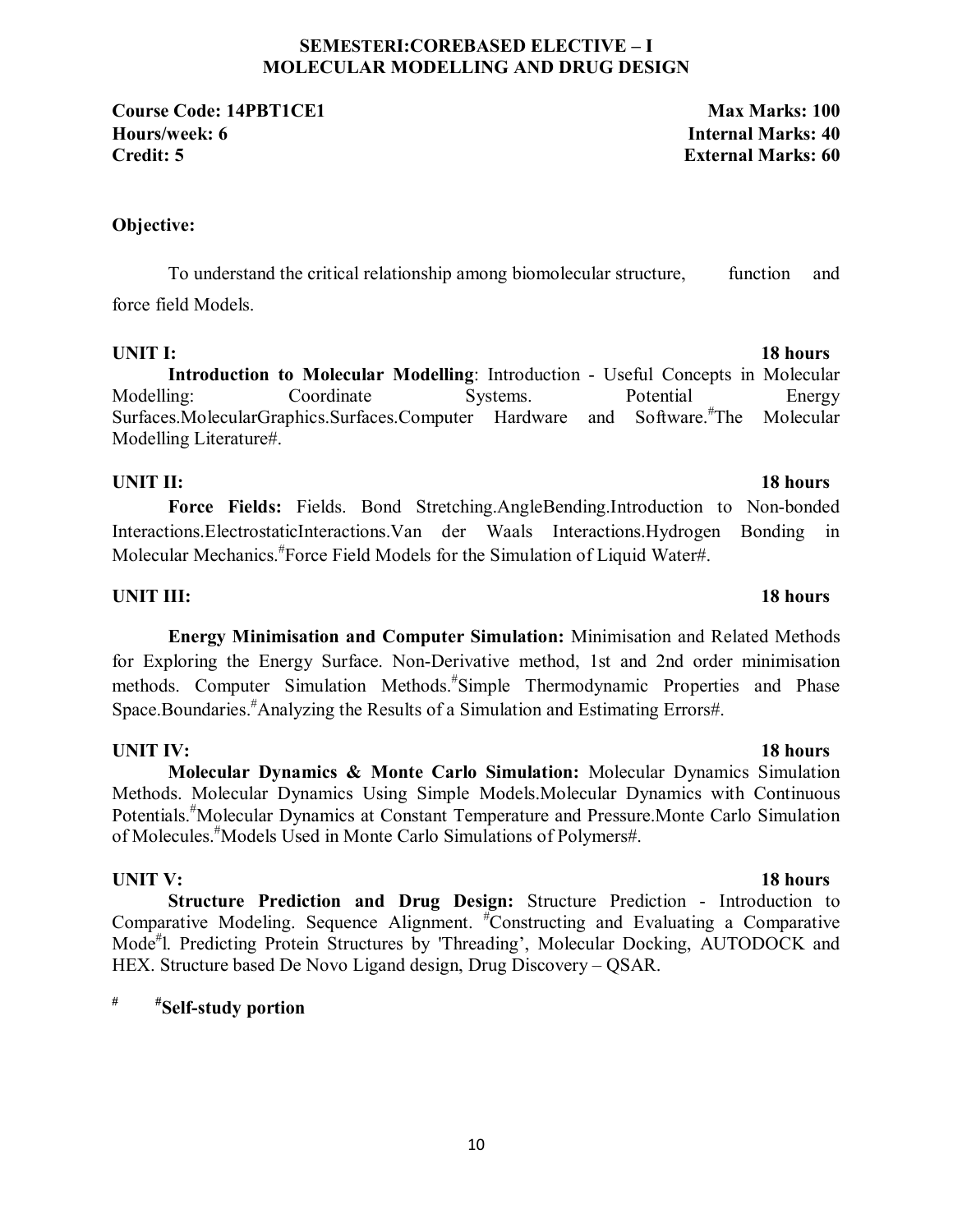### **SEMESTERI:COREBASED ELECTIVE – I MOLECULAR MODELLING AND DRUG DESIGN**

**Course Code: 14PBT1CE1 Max Marks: 100 Hours/week: 6 Internal Marks: 40 Credit: 5 External Marks: 60**

### **Objective:**

To understand the critical relationship among biomolecular structure, function and force field Models.

**Introduction to Molecular Modelling**: Introduction - Useful Concepts in Molecular Modelling: Coordinate Systems. Potential Energy Surfaces.MolecularGraphics.Surfaces.Computer Hardware and Software.<sup>#</sup>The Molecular Modelling Literature#.

### **UNIT II:** 18 hours

**Force Fields:** Fields. Bond Stretching.AngleBending.Introduction to Non-bonded Interactions.ElectrostaticInteractions.Van der Waals Interactions.Hydrogen Bonding in Molecular Mechanics.# Force Field Models for the Simulation of Liquid Water#.

### **UNIT III:** 18 hours

**Energy Minimisation and Computer Simulation:** Minimisation and Related Methods for Exploring the Energy Surface. Non-Derivative method, 1st and 2nd order minimisation methods. Computer Simulation Methods.# Simple Thermodynamic Properties and Phase Space.Boundaries.# Analyzing the Results of a Simulation and Estimating Errors#.

## **UNIT IV:** 18 hours

**Molecular Dynamics & Monte Carlo Simulation:** Molecular Dynamics Simulation Methods. Molecular Dynamics Using Simple Models.Molecular Dynamics with Continuous Potentials.# Molecular Dynamics at Constant Temperature and Pressure.Monte Carlo Simulation of Molecules.# Models Used in Monte Carlo Simulations of Polymers#.

## **UNIT V:** 18 hours

**Structure Prediction and Drug Design:** Structure Prediction - Introduction to Comparative Modeling. Sequence Alignment. # Constructing and Evaluating a Comparative Mode<sup>#</sup>l. Predicting Protein Structures by 'Threading', Molecular Docking, AUTODOCK and HEX. Structure based De Novo Ligand design, Drug Discovery – QSAR.

# **# #Self-study portion**

## **UNIT I:** 18 hours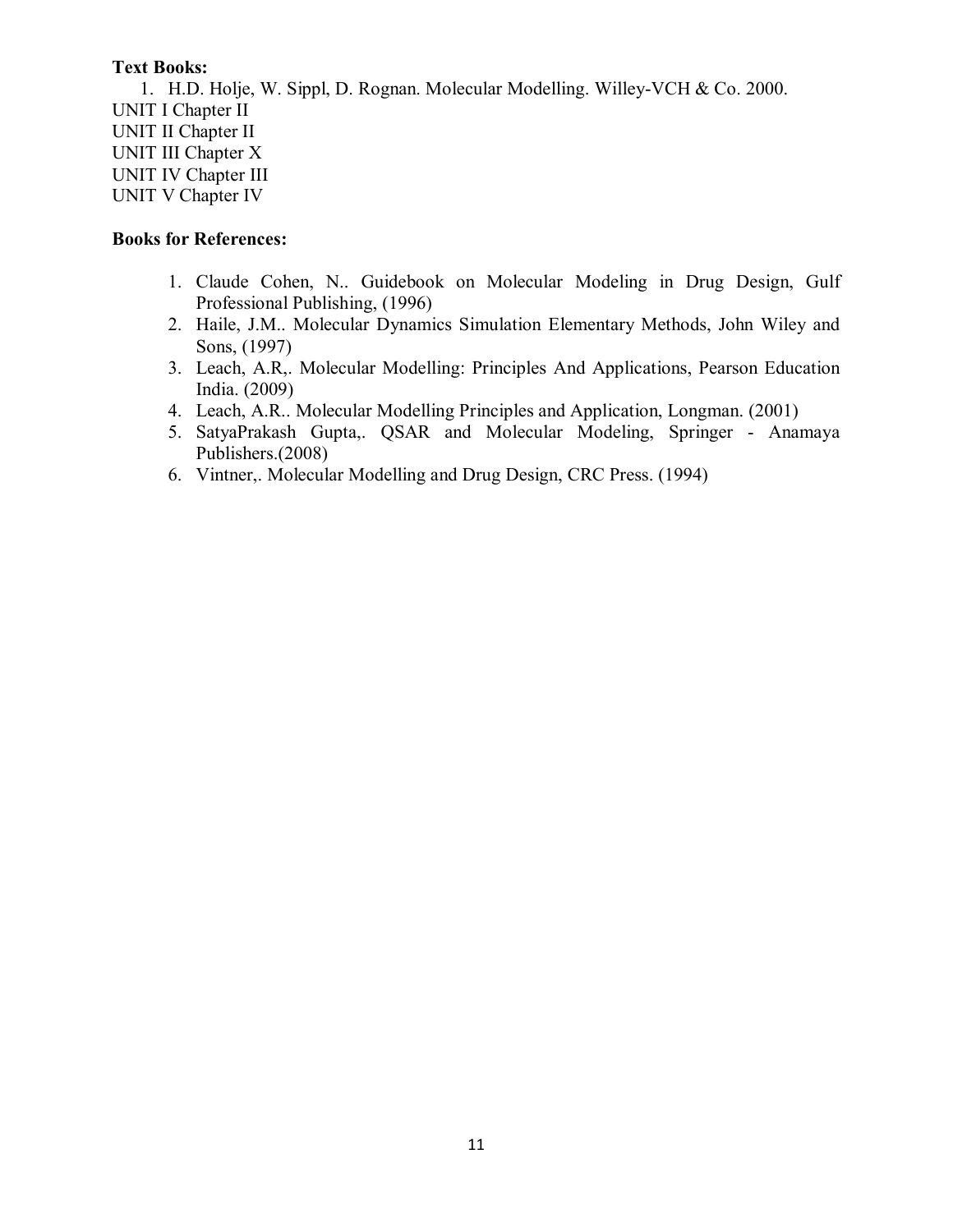1. H.D. Holje, W. Sippl, D. Rognan. Molecular Modelling. Willey-VCH & Co. 2000. UNIT I Chapter II UNIT II Chapter II UNIT III Chapter X UNIT IV Chapter III UNIT V Chapter IV

- 1. Claude Cohen, N.. Guidebook on Molecular Modeling in Drug Design, Gulf Professional Publishing, (1996)
- 2. Haile, J.M.. Molecular Dynamics Simulation Elementary Methods, John Wiley and Sons, (1997)
- 3. Leach, A.R,. Molecular Modelling: Principles And Applications, Pearson Education India. (2009)
- 4. Leach, A.R.. Molecular Modelling Principles and Application, Longman. (2001)
- 5. SatyaPrakash Gupta,. QSAR and Molecular Modeling, Springer Anamaya Publishers.(2008)
- 6. Vintner,. Molecular Modelling and Drug Design, CRC Press. (1994)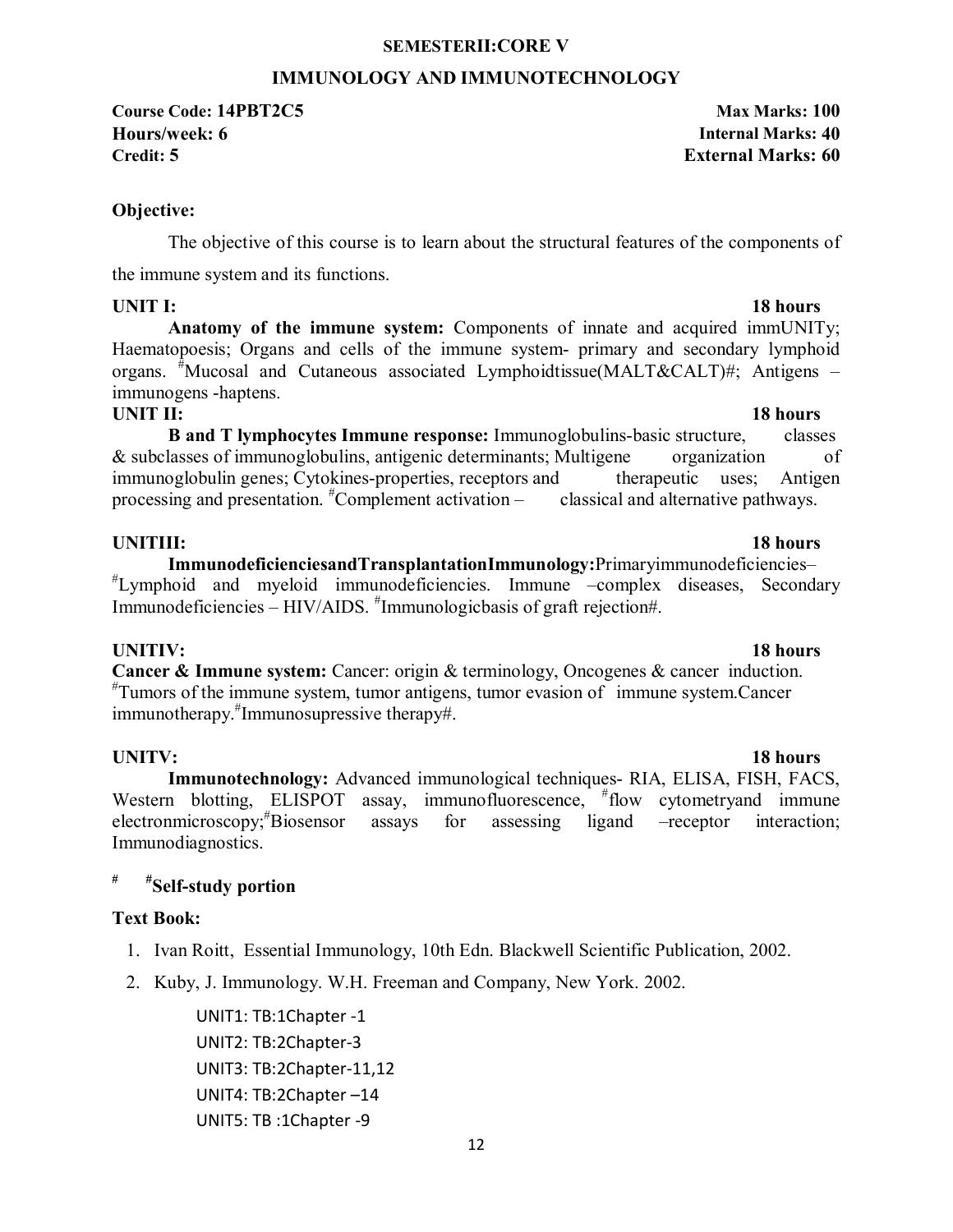### **SEMESTERII:CORE V**

### **IMMUNOLOGY AND IMMUNOTECHNOLOGY**

**Course Code: 14PBT2C5 Max Marks: 100 Hours/week: 6 Internal Marks: 40 Credit: 5 External Marks: 60**

**Objective:** 

The objective of this course is to learn about the structural features of the components of the immune system and its functions.

## **UNIT I:** 18 hours

**Anatomy of the immune system:** Components of innate and acquired immUNITy; Haematopoesis; Organs and cells of the immune system- primary and secondary lymphoid organs. # Mucosal and Cutaneous associated Lymphoidtissue(MALT&CALT)#; Antigens – immunogens -haptens.

### **UNIT II:** 18 hours

**B and T lymphocytes Immune response:** Immunoglobulins-basic structure, classes & subclasses of immunoglobulins, antigenic determinants; Multigene organization of immunoglobulin genes; Cytokines-properties, receptors and therapeutic uses; Antigen processing and presentation. <sup>#</sup>Complement activation – classical and alternative pathways.

### **UNITIII:** 18 hours

**ImmunodeficienciesandTransplantationImmunology:**Primaryimmunodeficiencies– # Lymphoid and myeloid immunodeficiencies. Immune –complex diseases, Secondary Immunodeficiencies – HIV/AIDS. # Immunologicbasis of graft rejection#.

**UNITIV:** 18 hours **Cancer & Immune system:** Cancer: origin & terminology, Oncogenes & cancer induction. # Tumors of the immune system, tumor antigens, tumor evasion of immune system.Cancer immunotherapy.# Immunosupressive therapy#.

### **UNITV: 18 hours**

**Immunotechnology:** Advanced immunological techniques- RIA, ELISA, FISH, FACS, Western blotting, ELISPOT assay, immunofluorescence, #flow cytometryand immune electronmicroscopy;<sup>#</sup>Biosensor assays for assessing ligand –receptor interaction; Immunodiagnostics.

### **# #Self-study portion**

### **Text Book:**

- 1. Ivan Roitt, Essential Immunology, 10th Edn. Blackwell Scientific Publication, 2002.
- 2. Kuby, J. Immunology. W.H. Freeman and Company, New York. 2002.

UNIT1: TB:1Chapter -1 UNIT2: TB:2Chapter-3 UNIT3: TB:2Chapter-11,12 UNIT4: TB:2Chapter –14 UNIT5: TB :1Chapter -9

### 12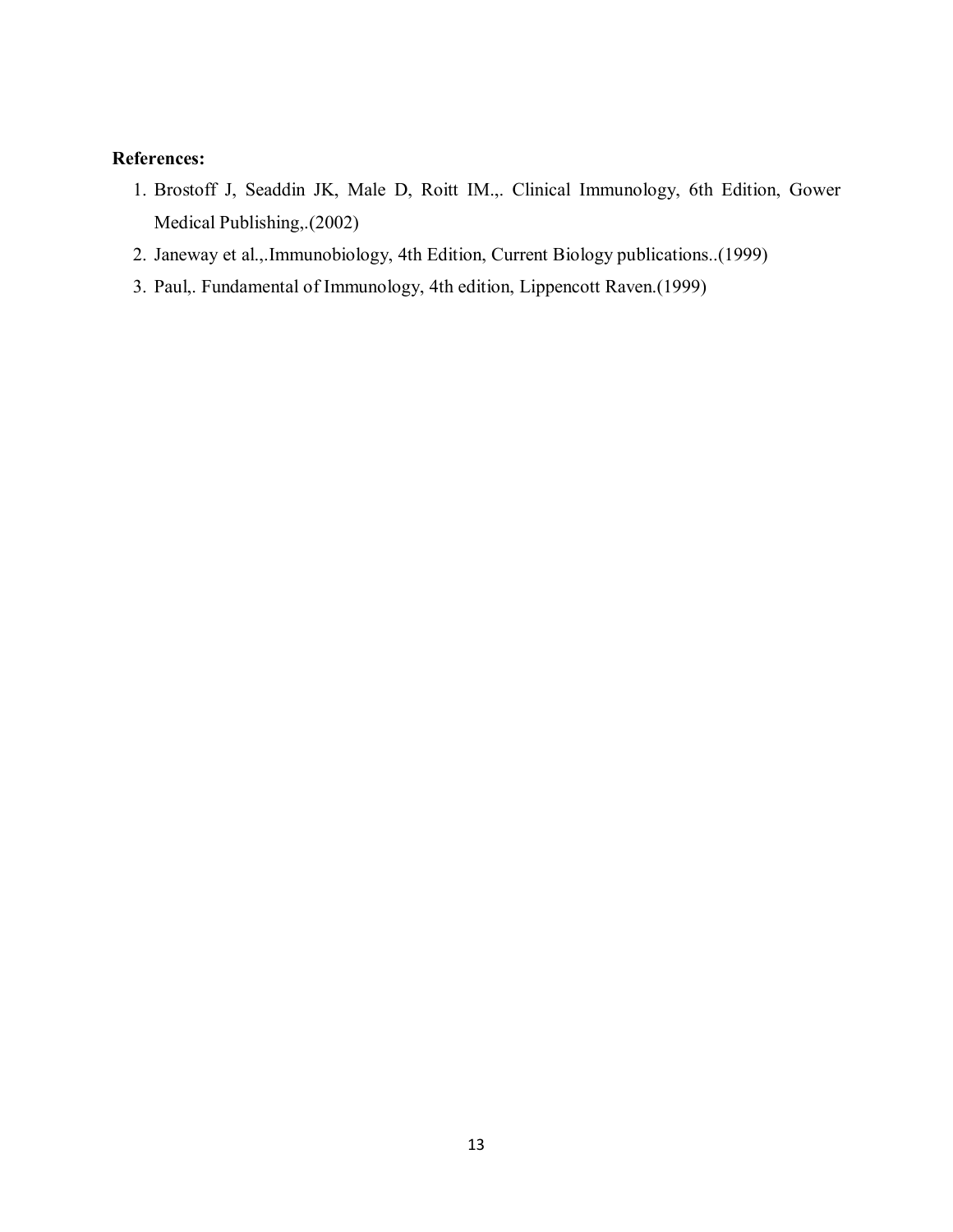## **References:**

- 1. Brostoff J, Seaddin JK, Male D, Roitt IM.,. Clinical Immunology, 6th Edition, Gower Medical Publishing,.(2002)
- 2. Janeway et al.,.Immunobiology, 4th Edition, Current Biology publications..(1999)
- 3. Paul,. Fundamental of Immunology, 4th edition, Lippencott Raven.(1999)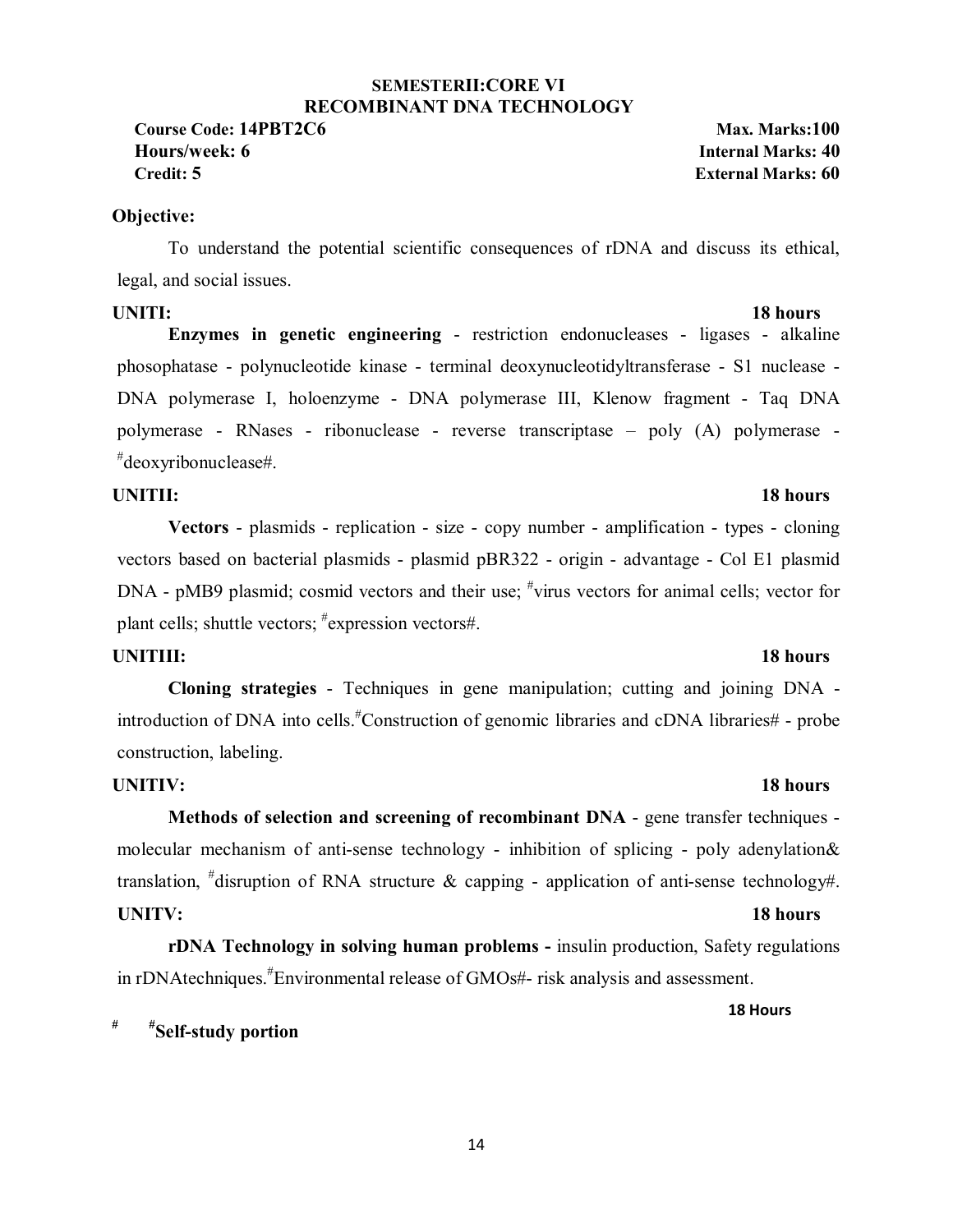### **SEMESTERII:CORE VI RECOMBINANT DNA TECHNOLOGY**

**Course Code: 14PBT2C6 Max. Marks:100 Hours/week: 6 Internal Marks: 40 Credit: 5 External Marks: 60**

### **Objective:**

To understand the potential scientific consequences of rDNA and discuss its ethical, legal, and social issues.

### **UNITI:** 18 hours

**Enzymes in genetic engineering** - restriction endonucleases - ligases - alkaline phosophatase - polynucleotide kinase - terminal deoxynucleotidyltransferase - S1 nuclease - DNA polymerase I, holoenzyme - DNA polymerase III, Klenow fragment - Taq DNA polymerase - RNases - ribonuclease - reverse transcriptase – poly (A) polymerase - # deoxyribonuclease#.

### **UNITII:** 18 hours

**Vectors** - plasmids - replication - size - copy number - amplification - types - cloning vectors based on bacterial plasmids - plasmid pBR322 - origin - advantage - Col E1 plasmid DNA - pMB9 plasmid; cosmid vectors and their use; <sup>#</sup>virus vectors for animal cells; vector for plant cells; shuttle vectors; # expression vectors#.

### **UNITIII:** 18 hours

**Cloning strategies** - Techniques in gene manipulation; cutting and joining DNA introduction of DNA into cells.# Construction of genomic libraries and cDNA libraries# - probe construction, labeling.

### **UNITIV:** 18 hours

**Methods of selection and screening of recombinant DNA** - gene transfer techniques molecular mechanism of anti-sense technology - inhibition of splicing - poly adenylation& translation,  $*$ disruption of RNA structure & capping - application of anti-sense technology#. **UNITV:** 18 hours

**rDNA Technology in solving human problems -** insulin production, Safety regulations in rDNAtechniques.# Environmental release of GMOs#- risk analysis and assessment.

 **18 Hours**

## **# #Self-study portion**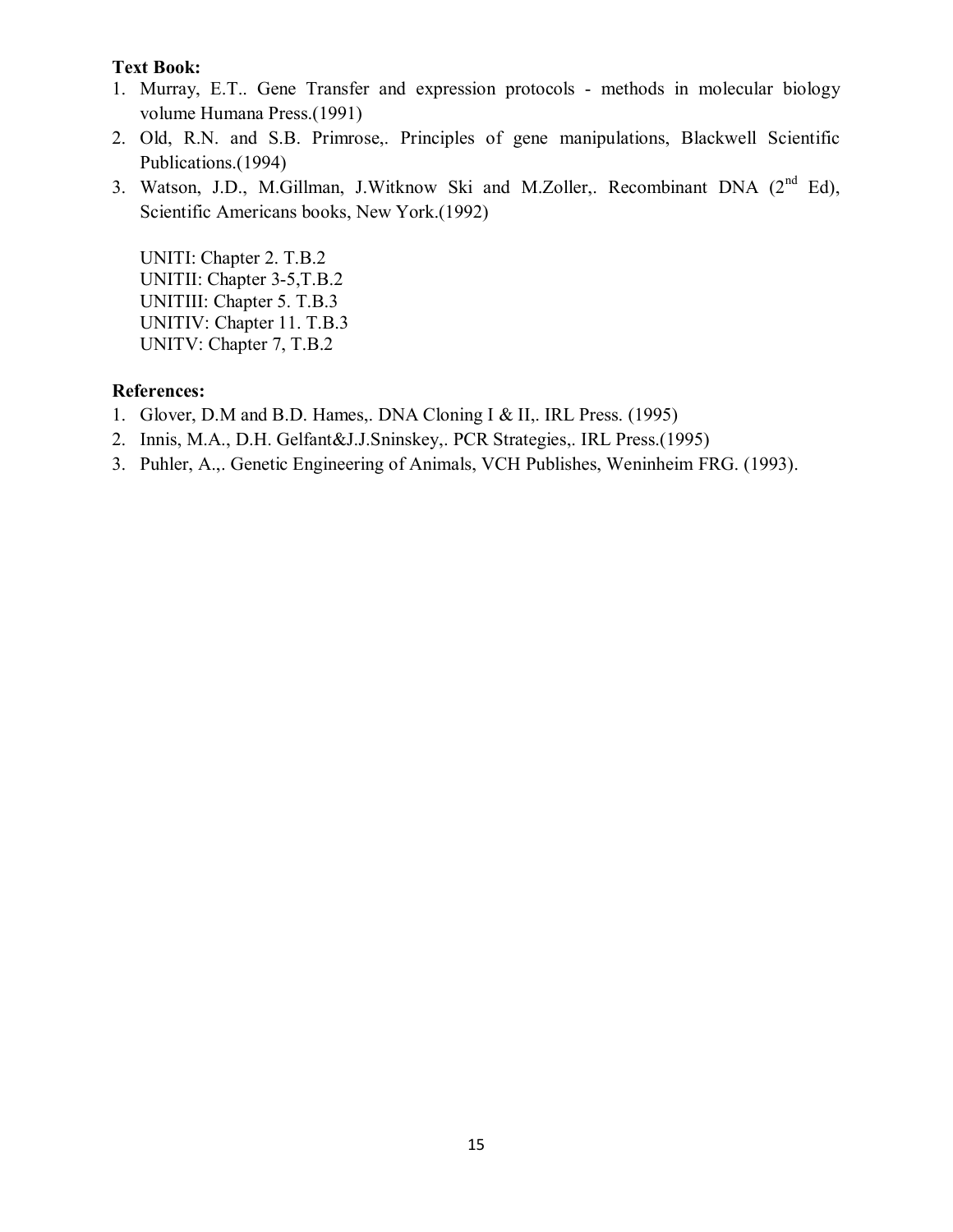- 1. Murray, E.T.. Gene Transfer and expression protocols methods in molecular biology volume Humana Press.(1991)
- 2. Old, R.N. and S.B. Primrose,. Principles of gene manipulations, Blackwell Scientific Publications.(1994)
- 3. Watson, J.D., M.Gillman, J.Witknow Ski and M.Zoller,. Recombinant DNA (2<sup>nd</sup> Ed), Scientific Americans books, New York.(1992)

UNITI: Chapter 2. T.B.2 UNITII: Chapter 3-5,T.B.2 UNITIII: Chapter 5. T.B.3 UNITIV: Chapter 11. T.B.3 UNITV: Chapter 7, T.B.2

### **References:**

- 1. Glover, D.M and B.D. Hames,. DNA Cloning I & II,. IRL Press. (1995)
- 2. Innis, M.A., D.H. Gelfant&J.J.Sninskey,. PCR Strategies,. IRL Press.(1995)
- 3. Puhler, A.,. Genetic Engineering of Animals, VCH Publishes, Weninheim FRG. (1993).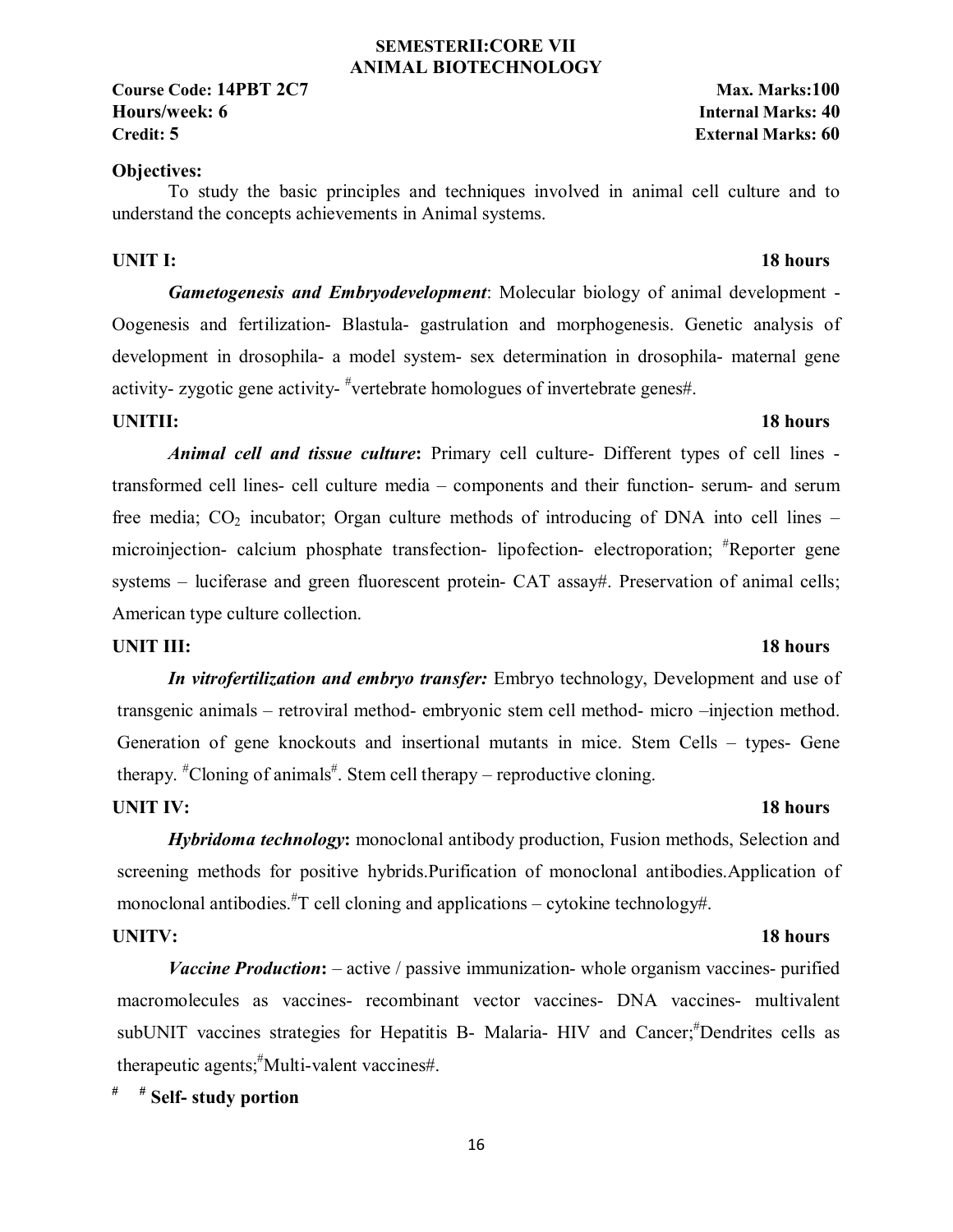### **SEMESTERII:CORE VII ANIMAL BIOTECHNOLOGY**

**Course Code: 14PBT 2C7** Max. Marks:100 **Hours/week: 6 Internal Marks: 40 Credit: 5 External Marks: 60**

### **Objectives:**

To study the basic principles and techniques involved in animal cell culture and to understand the concepts achievements in Animal systems.

### **UNIT I:** 18 hours

*Gametogenesis and Embryodevelopment*: Molecular biology of animal development - Oogenesis and fertilization- Blastula- gastrulation and morphogenesis. Genetic analysis of development in drosophila- a model system- sex determination in drosophila- maternal gene activity- zygotic gene activity-  $\#$ vertebrate homologues of invertebrate genes#.

## **UNITII:** 18 hours

*Animal cell and tissue culture***:** Primary cell culture- Different types of cell lines transformed cell lines- cell culture media – components and their function- serum- and serum free media;  $CO<sub>2</sub>$  incubator; Organ culture methods of introducing of DNA into cell lines – microinjection- calcium phosphate transfection- lipofection- electroporation; # Reporter gene systems – luciferase and green fluorescent protein- CAT assay#. Preservation of animal cells; American type culture collection.

### **UNIT III:** 18 hours

*In vitrofertilization and embryo transfer:* Embryo technology, Development and use of transgenic animals – retroviral method- embryonic stem cell method- micro –injection method. Generation of gene knockouts and insertional mutants in mice. Stem Cells – types- Gene therapy.  $*$ Cloning of animals $*$ . Stem cell therapy – reproductive cloning.

### **UNIT IV:** 18 hours

*Hybridoma technology***:** monoclonal antibody production, Fusion methods, Selection and screening methods for positive hybrids.Purification of monoclonal antibodies.Application of monoclonal antibodies.<sup>#</sup>T cell cloning and applications – cytokine technology#.

*Vaccine Production***:** – active / passive immunization- whole organism vaccines- purified macromolecules as vaccines- recombinant vector vaccines- DNA vaccines- multivalent subUNIT vaccines strategies for Hepatitis B- Malaria- HIV and Cancer; <sup>#</sup>Dendrites cells as therapeutic agents;# Multi-valent vaccines#.

**# # Self- study portion** 

## **UNITV:** 18 hours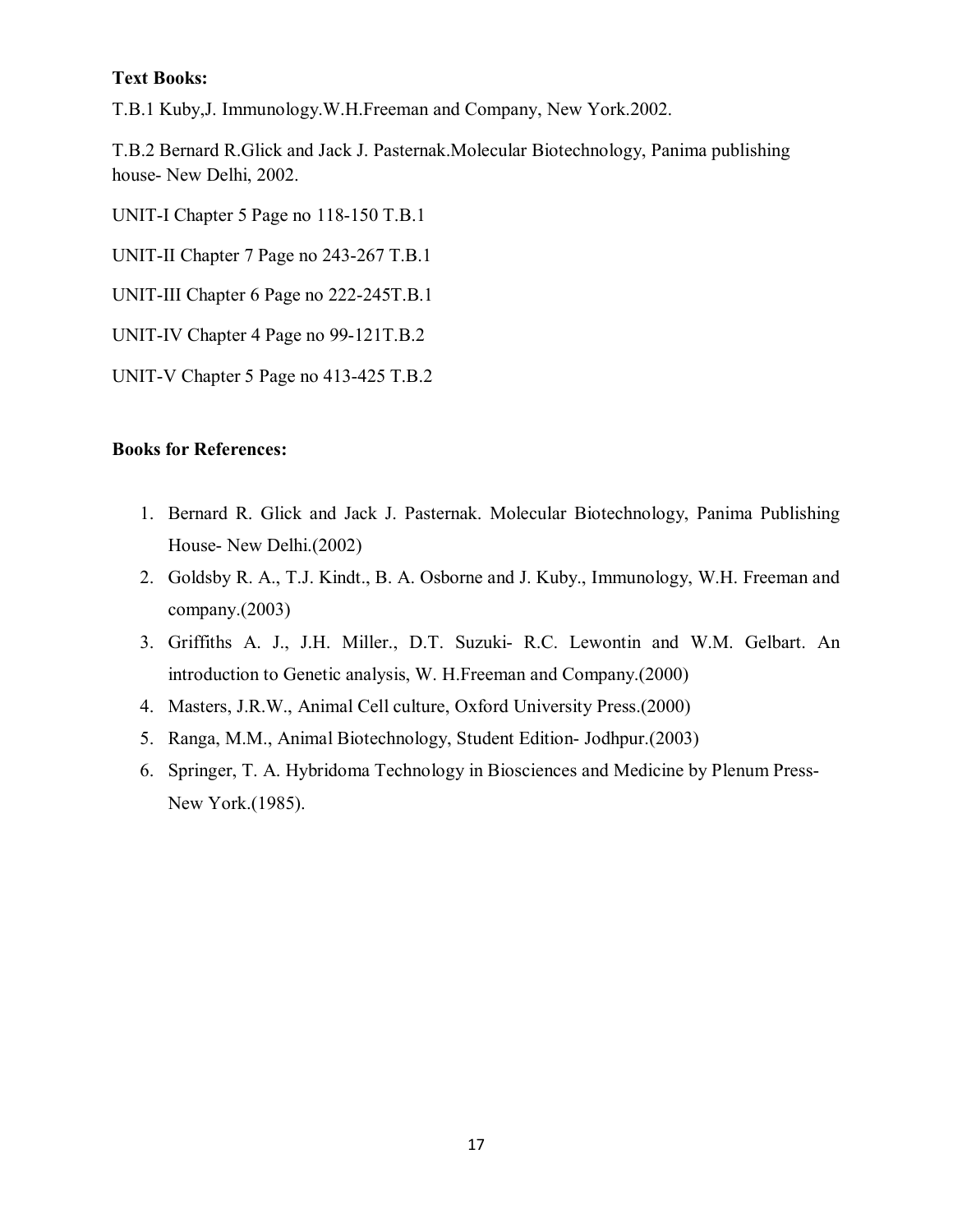T.B.1 Kuby,J. Immunology.W.H.Freeman and Company, New York.2002.

T.B.2 Bernard R.Glick and Jack J. Pasternak.Molecular Biotechnology, Panima publishing house- New Delhi, 2002.

UNIT-I Chapter 5 Page no 118-150 T.B.1

UNIT-II Chapter 7 Page no 243-267 T.B.1

UNIT-III Chapter 6 Page no 222-245T.B.1

UNIT-IV Chapter 4 Page no 99-121T.B.2

UNIT-V Chapter 5 Page no 413-425 T.B.2

- 1. Bernard R. Glick and Jack J. Pasternak. Molecular Biotechnology, Panima Publishing House- New Delhi.(2002)
- 2. Goldsby R. A., T.J. Kindt., B. A. Osborne and J. Kuby., Immunology, W.H. Freeman and company.(2003)
- 3. Griffiths A. J., J.H. Miller., D.T. Suzuki- R.C. Lewontin and W.M. Gelbart. An introduction to Genetic analysis, W. H.Freeman and Company.(2000)
- 4. Masters, J.R.W., Animal Cell culture, Oxford University Press.(2000)
- 5. Ranga, M.M., Animal Biotechnology, Student Edition- Jodhpur.(2003)
- 6. Springer, T. A. Hybridoma Technology in Biosciences and Medicine by Plenum Press-New York.(1985).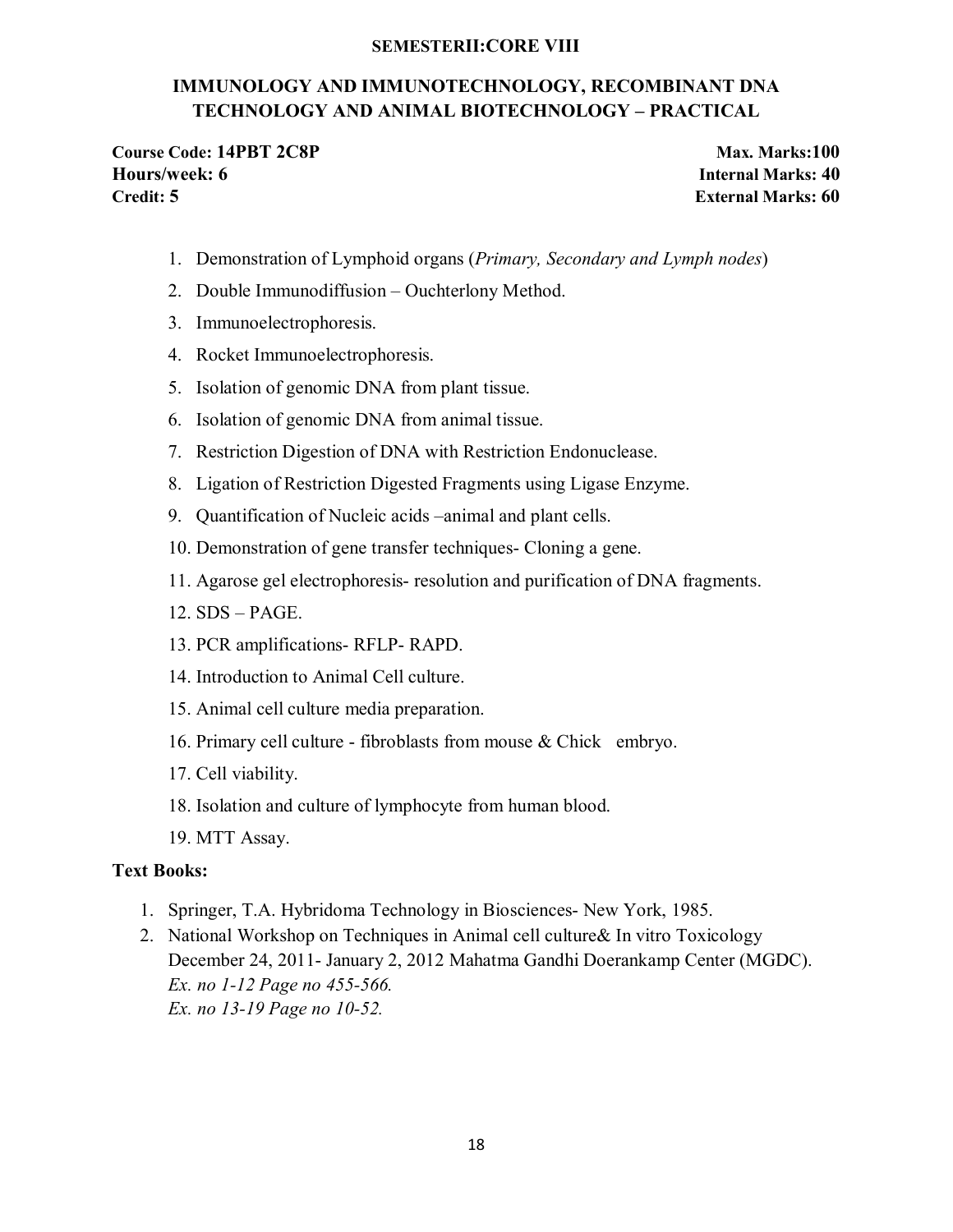### **SEMESTERII:CORE VIII**

## **IMMUNOLOGY AND IMMUNOTECHNOLOGY, RECOMBINANT DNA TECHNOLOGY AND ANIMAL BIOTECHNOLOGY – PRACTICAL**

**Course Code: 14PBT 2C8P Max. Marks:100 Hours/week: 6 Internal Marks: 40 Credit: 5 External Marks: 60**

- 1. Demonstration of Lymphoid organs (*Primary, Secondary and Lymph nodes*)
- 2. Double Immunodiffusion Ouchterlony Method.
- 3. Immunoelectrophoresis.
- 4. Rocket Immunoelectrophoresis.
- 5. Isolation of genomic DNA from plant tissue.
- 6. Isolation of genomic DNA from animal tissue.
- 7. Restriction Digestion of DNA with Restriction Endonuclease.
- 8. Ligation of Restriction Digested Fragments using Ligase Enzyme.
- 9. Quantification of Nucleic acids –animal and plant cells.
- 10. Demonstration of gene transfer techniques- Cloning a gene.
- 11. Agarose gel electrophoresis- resolution and purification of DNA fragments.
- 12. SDS PAGE.
- 13. PCR amplifications- RFLP- RAPD.
- 14. Introduction to Animal Cell culture.
- 15. Animal cell culture media preparation.
- 16. Primary cell culture fibroblasts from mouse & Chick embryo.
- 17. Cell viability.
- 18. Isolation and culture of lymphocyte from human blood.
- 19. MTT Assay.

### **Text Books:**

- 1. Springer, T.A. Hybridoma Technology in Biosciences- New York, 1985.
- 2. National Workshop on Techniques in Animal cell culture& In vitro Toxicology December 24, 2011- January 2, 2012 Mahatma Gandhi Doerankamp Center (MGDC). *Ex. no 1-12 Page no 455-566. Ex. no 13-19 Page no 10-52.*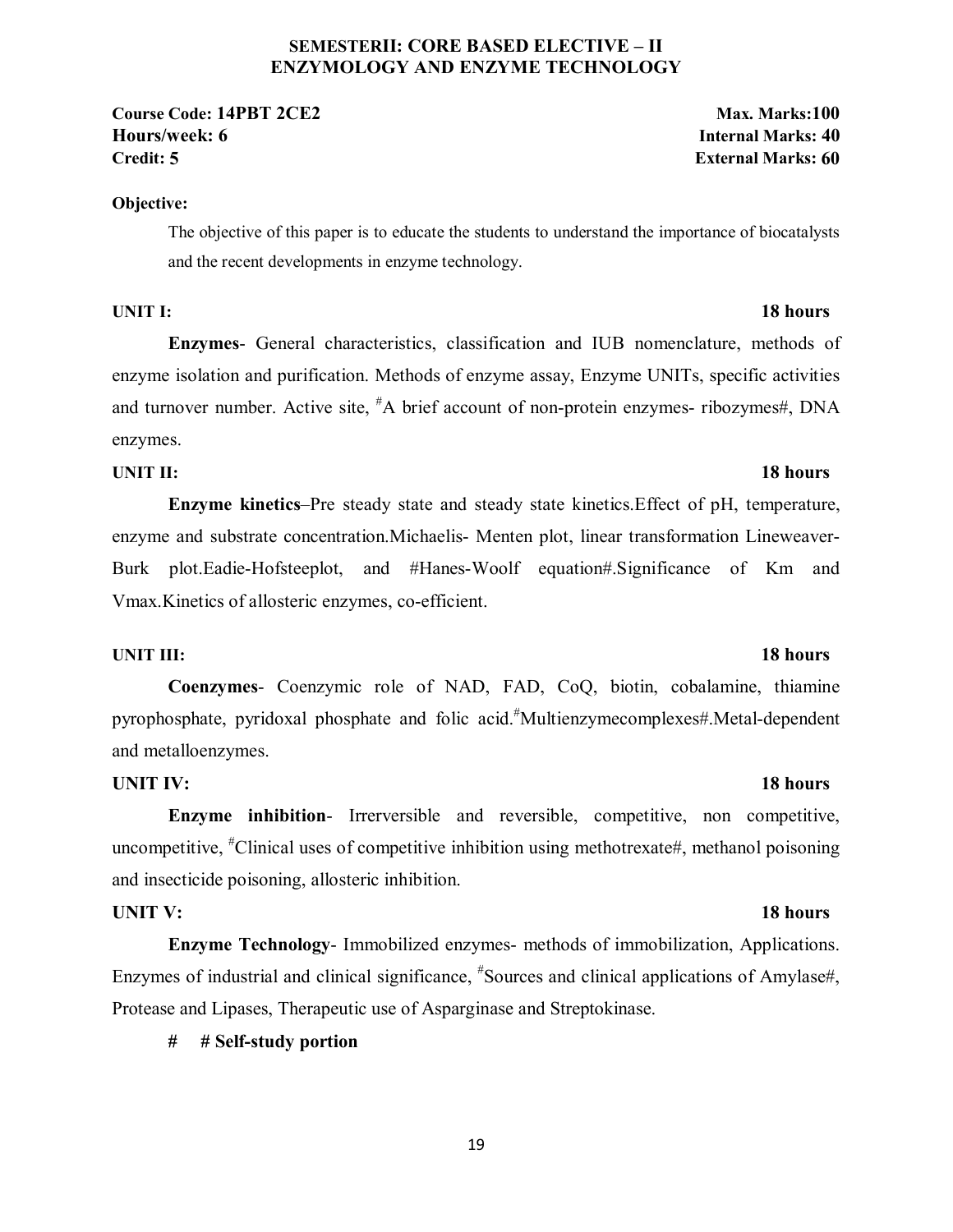### **SEMESTERII: CORE BASED ELECTIVE – II ENZYMOLOGY AND ENZYME TECHNOLOGY**

### **Objective:**

The objective of this paper is to educate the students to understand the importance of biocatalysts and the recent developments in enzyme technology.

### **UNIT I:** 18 hours

**Enzymes**- General characteristics, classification and IUB nomenclature, methods of enzyme isolation and purification. Methods of enzyme assay, Enzyme UNITs, specific activities and turnover number. Active site, <sup>#</sup>A brief account of non-protein enzymes- ribozymes#, DNA enzymes.

### **UNIT II:** 18 hours

**Enzyme kinetics**–Pre steady state and steady state kinetics.Effect of pH, temperature, enzyme and substrate concentration.Michaelis- Menten plot, linear transformation Lineweaver-Burk plot.Eadie-Hofsteeplot, and #Hanes-Woolf equation#.Significance of Km and Vmax.Kinetics of allosteric enzymes, co-efficient.

### **UNIT III:** 18 hours

# **Coenzymes**- Coenzymic role of NAD, FAD, CoQ, biotin, cobalamine, thiamine pyrophosphate, pyridoxal phosphate and folic acid.# Multienzymecomplexes#.Metal-dependent and metalloenzymes.

### **UNIT IV:** 18 hours

**Enzyme inhibition-** Irrerversible and reversible, competitive, non competitive, uncompetitive, <sup>#</sup>Clinical uses of competitive inhibition using methotrexate#, methanol poisoning and insecticide poisoning, allosteric inhibition.

**Enzyme Technology**- Immobilized enzymes- methods of immobilization, Applications. Enzymes of industrial and clinical significance,  $*$ Sources and clinical applications of Amylase#, Protease and Lipases, Therapeutic use of Asparginase and Streptokinase.

### **# # Self-study portion**

### 19

# **UNIT V:** 18 hours

**Course Code: 14PBT 2CE2 Max. Marks:100 Hours/week: 6 Internal Marks: 40 Credit: 5 External Marks: 60**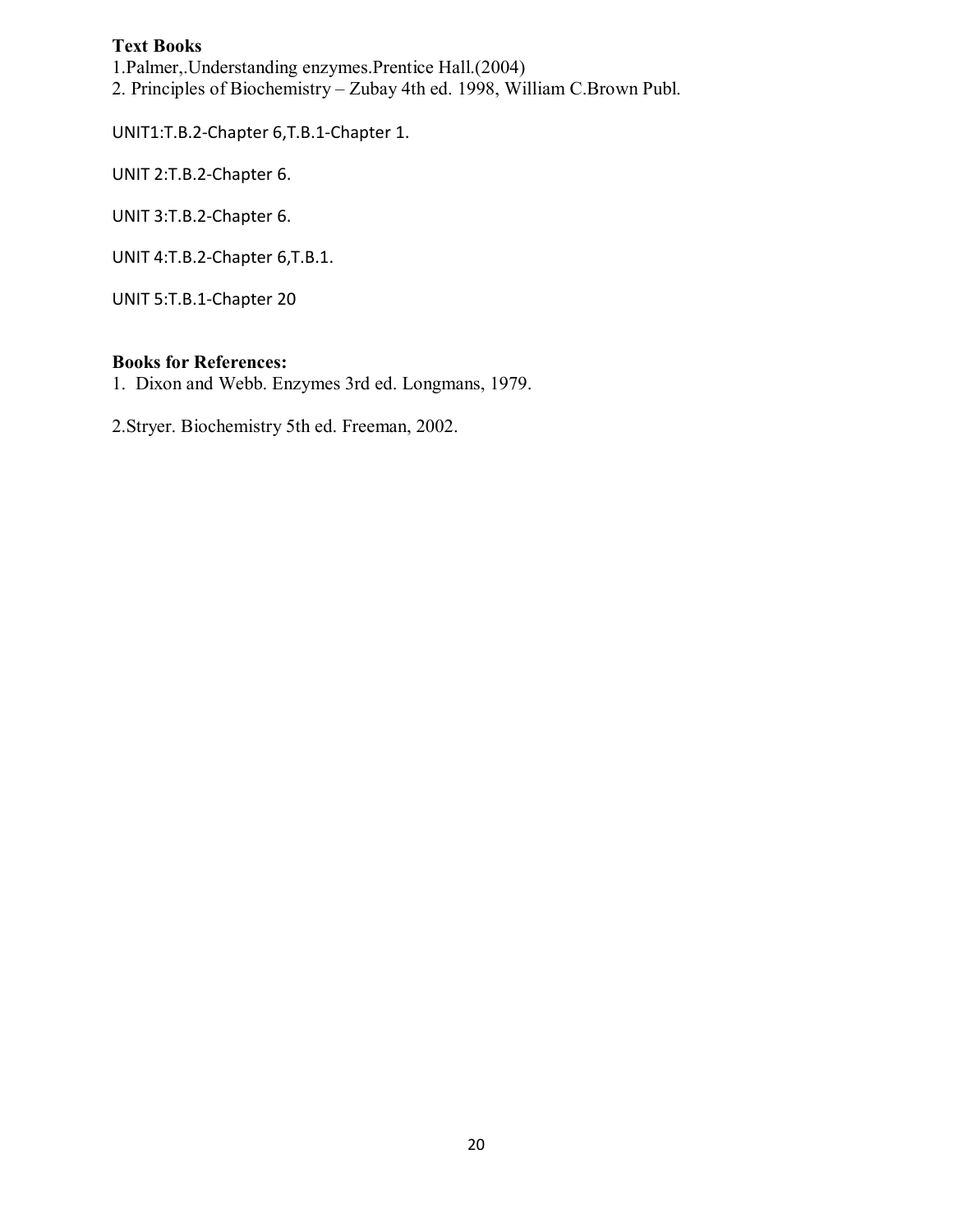1.Palmer,.Understanding enzymes.Prentice Hall.(2004)

2. Principles of Biochemistry – Zubay 4th ed. 1998, William C.Brown Publ.

UNIT1:T.B.2-Chapter 6,T.B.1-Chapter 1.

UNIT 2:T.B.2-Chapter 6.

UNIT 3:T.B.2-Chapter 6.

UNIT 4:T.B.2-Chapter 6,T.B.1.

UNIT 5:T.B.1-Chapter 20

### **Books for References:**

1. Dixon and Webb. Enzymes 3rd ed. Longmans, 1979.

2.Stryer. Biochemistry 5th ed. Freeman, 2002.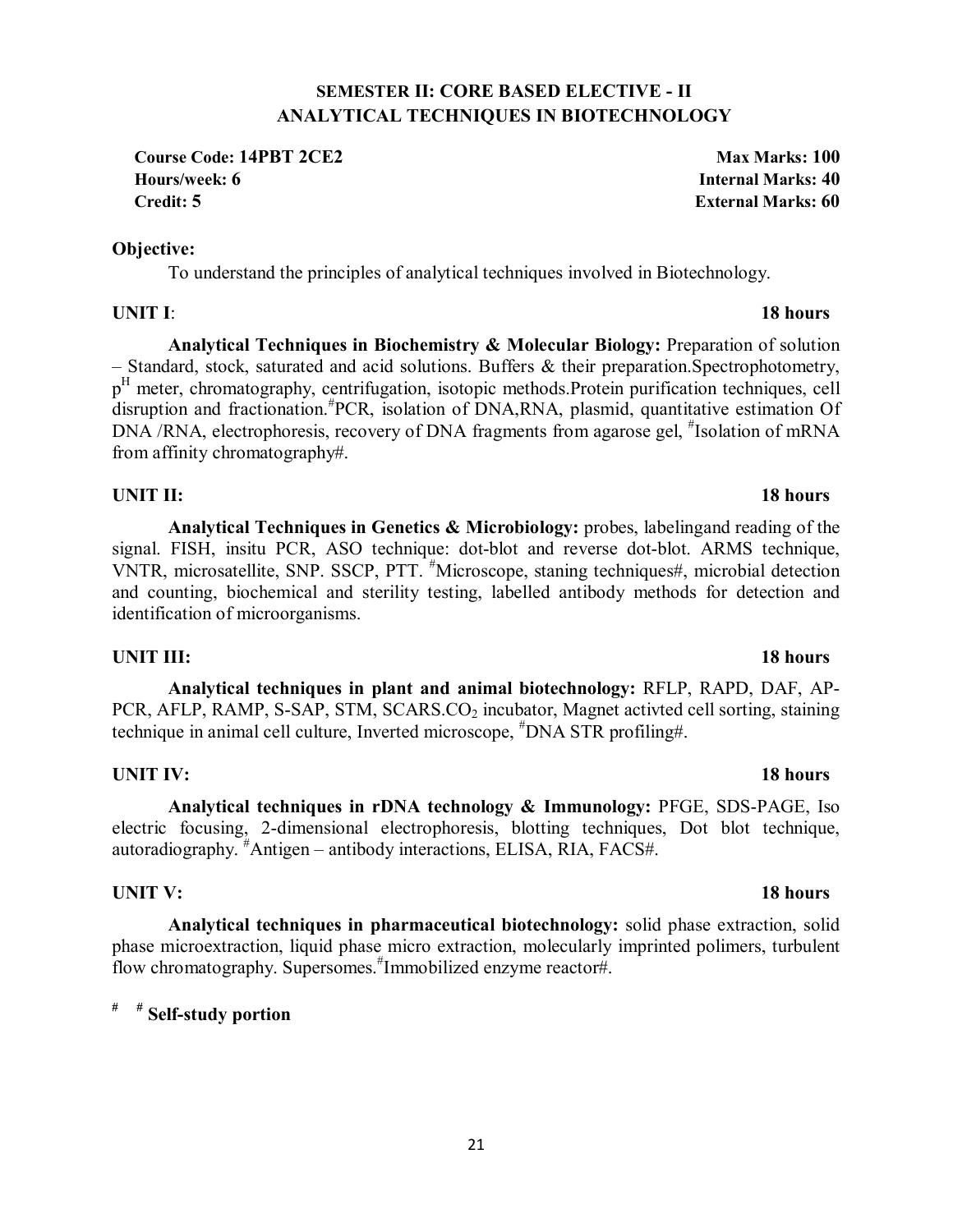## **SEMESTER II: CORE BASED ELECTIVE - II ANALYTICAL TECHNIQUES IN BIOTECHNOLOGY**

**Course Code: 14PBT 2CE2** Max Marks: 100 **Hours/week: 6 Internal Marks: 40 Credit: 5 External Marks: 60**

## **Objective:**

To understand the principles of analytical techniques involved in Biotechnology.

## **UNIT I**: **18 hours**

**Analytical Techniques in Biochemistry & Molecular Biology:** Preparation of solution – Standard, stock, saturated and acid solutions. Buffers & their preparation.Spectrophotometry, p<sup>H</sup> meter, chromatography, centrifugation, isotopic methods. Protein purification techniques, cell disruption and fractionation.# PCR, isolation of DNA,RNA, plasmid, quantitative estimation Of DNA /RNA, electrophoresis, recovery of DNA fragments from agarose gel, #Isolation of mRNA from affinity chromatography#.

## **UNIT II:** 18 hours

**Analytical Techniques in Genetics & Microbiology:** probes, labelingand reading of the signal. FISH, insitu PCR, ASO technique: dot-blot and reverse dot-blot. ARMS technique, VNTR, microsatellite, SNP. SSCP, PTT. *"Microscope*, staning techniques#, microbial detection and counting, biochemical and sterility testing, labelled antibody methods for detection and identification of microorganisms.

## **UNIT III:** 18 hours

**Analytical techniques in plant and animal biotechnology:** RFLP, RAPD, DAF, AP-PCR, AFLP, RAMP, S-SAP, STM, SCARS.CO<sub>2</sub> incubator, Magnet activted cell sorting, staining technique in animal cell culture, Inverted microscope, # DNA STR profiling#.

# **UNIT IV:** 18 hours

**Analytical techniques in rDNA technology & Immunology:** PFGE, SDS-PAGE, Iso electric focusing, 2-dimensional electrophoresis, blotting techniques, Dot blot technique, autoradiography. # Antigen – antibody interactions, ELISA, RIA, FACS#.

## **UNIT V:** 18 hours

**Analytical techniques in pharmaceutical biotechnology:** solid phase extraction, solid phase microextraction, liquid phase micro extraction, molecularly imprinted polimers, turbulent flow chromatography. Supersomes.# Immobilized enzyme reactor#.

# **# # Self-study portion**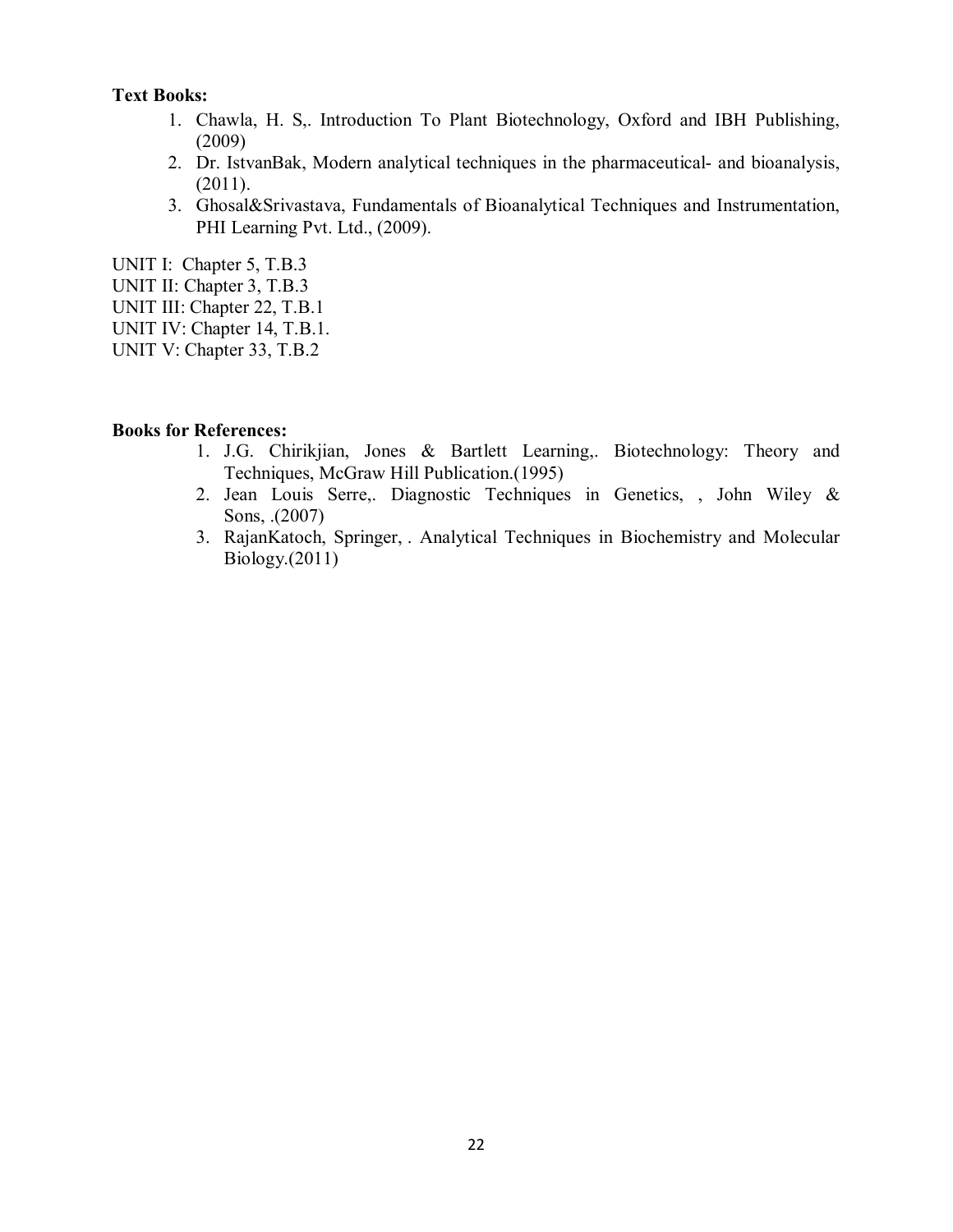- 1. Chawla, H. S,. Introduction To Plant Biotechnology, Oxford and IBH Publishing, (2009)
- 2. Dr. IstvanBak, Modern analytical techniques in the pharmaceutical- and bioanalysis, (2011).
- 3. Ghosal&Srivastava, Fundamentals of Bioanalytical Techniques and Instrumentation, PHI Learning Pvt. Ltd., (2009).

UNIT I: Chapter 5, T.B.3

- UNIT II: Chapter 3, T.B.3
- UNIT III: Chapter 22, T.B.1
- UNIT IV: Chapter 14, T.B.1.
- UNIT V: Chapter 33, T.B.2

- 1. J.G. Chirikjian, Jones & Bartlett Learning,. Biotechnology: Theory and Techniques, McGraw Hill Publication.(1995)
- 2. Jean Louis Serre,. Diagnostic Techniques in Genetics, , John Wiley & Sons, .(2007)
- 3. RajanKatoch, Springer, . Analytical Techniques in Biochemistry and Molecular Biology.(2011)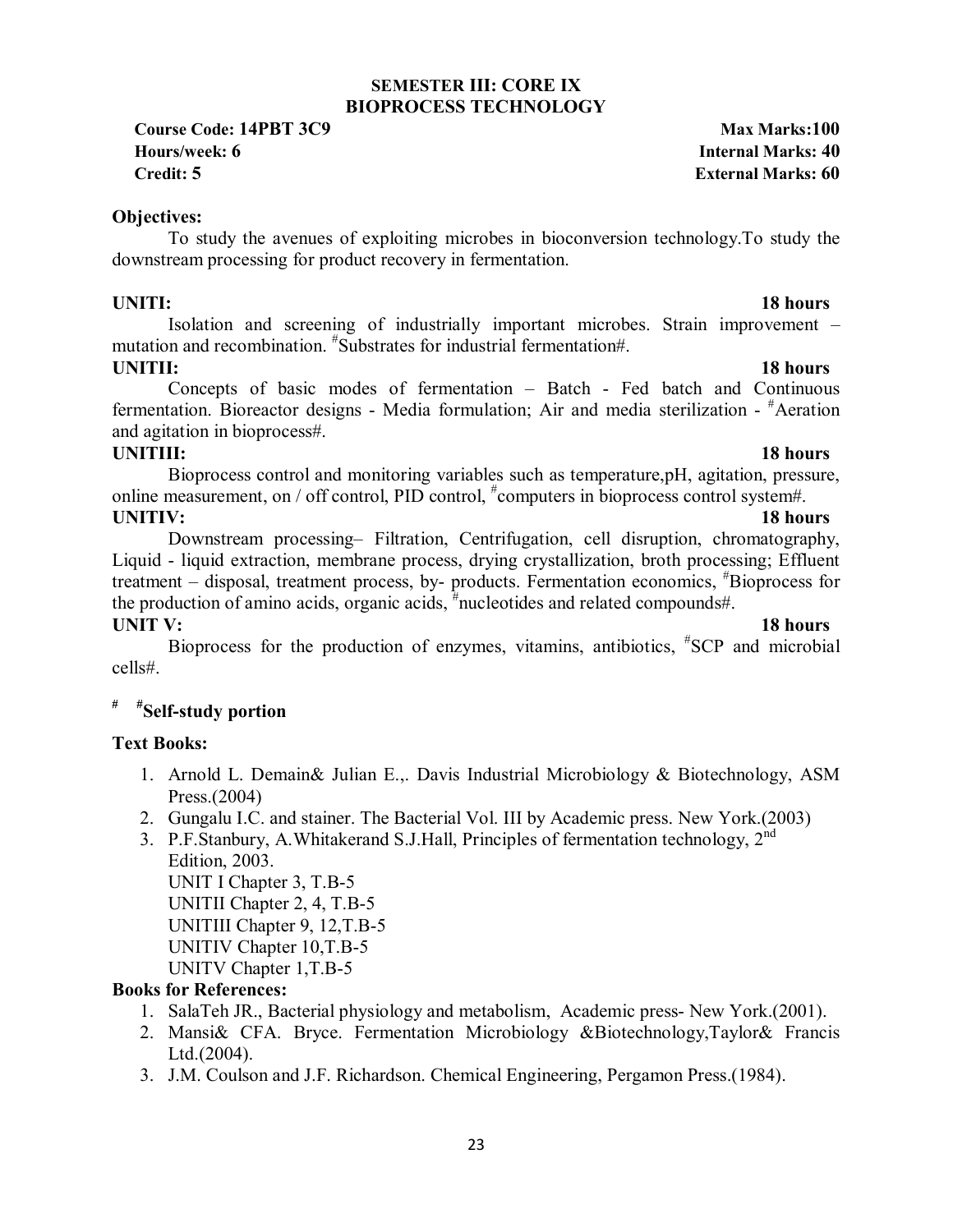### **SEMESTER III: CORE IX BIOPROCESS TECHNOLOGY**

**Course Code: 14PBT 3C9 Max Marks:100 Hours/week: 6 Internal Marks: 40 Credit: 5 External Marks: 60**

### **Objectives:**

To study the avenues of exploiting microbes in bioconversion technology.To study the downstream processing for product recovery in fermentation.

### **UNITI:** 18 hours

Isolation and screening of industrially important microbes. Strain improvement – mutation and recombination. # Substrates for industrial fermentation#.

**UNITII:** 18 hours Concepts of basic modes of fermentation – Batch - Fed batch and Continuous fermentation. Bioreactor designs - Media formulation; Air and media sterilization - #Aeration and agitation in bioprocess#.

**UNITIII:** 18 hours Bioprocess control and monitoring variables such as temperature,pH, agitation, pressure, online measurement, on / off control, PID control,  $*$ computers in bioprocess control system#. **UNITIV:** 18 hours

Downstream processing– Filtration, Centrifugation, cell disruption, chromatography, Liquid - liquid extraction, membrane process, drying crystallization, broth processing; Effluent treatment – disposal, treatment process, by- products. Fermentation economics, # Bioprocess for the production of amino acids, organic acids,  $\frac{4}{3}$  nucleotides and related compounds#.

**UNIT V:** 18 hours Bioprocess for the production of enzymes, vitamins, antibiotics, # SCP and microbial cells#.

# **# #Self-study portion**

## **Text Books:**

- 1. Arnold L. Demain& Julian E.,. Davis Industrial Microbiology & Biotechnology, ASM Press.(2004)
- 2. Gungalu I.C. and stainer. The Bacterial Vol. III by Academic press. New York.(2003)
- 3. P.F.Stanbury, A.Whitakerand S.J.Hall, Principles of fermentation technology, 2<sup>nd</sup> Edition, 2003. UNIT I Chapter 3, T.B-5

UNITII Chapter 2, 4, T.B-5 UNITIII Chapter 9, 12,T.B-5 UNITIV Chapter 10,T.B-5 UNITV Chapter 1,T.B-5

- 1. SalaTeh JR., Bacterial physiology and metabolism, Academic press- New York.(2001).
- 2. Mansi& CFA. Bryce. Fermentation Microbiology &Biotechnology,Taylor& Francis Ltd.(2004).
- 3. J.M. Coulson and J.F. Richardson. Chemical Engineering, Pergamon Press.(1984).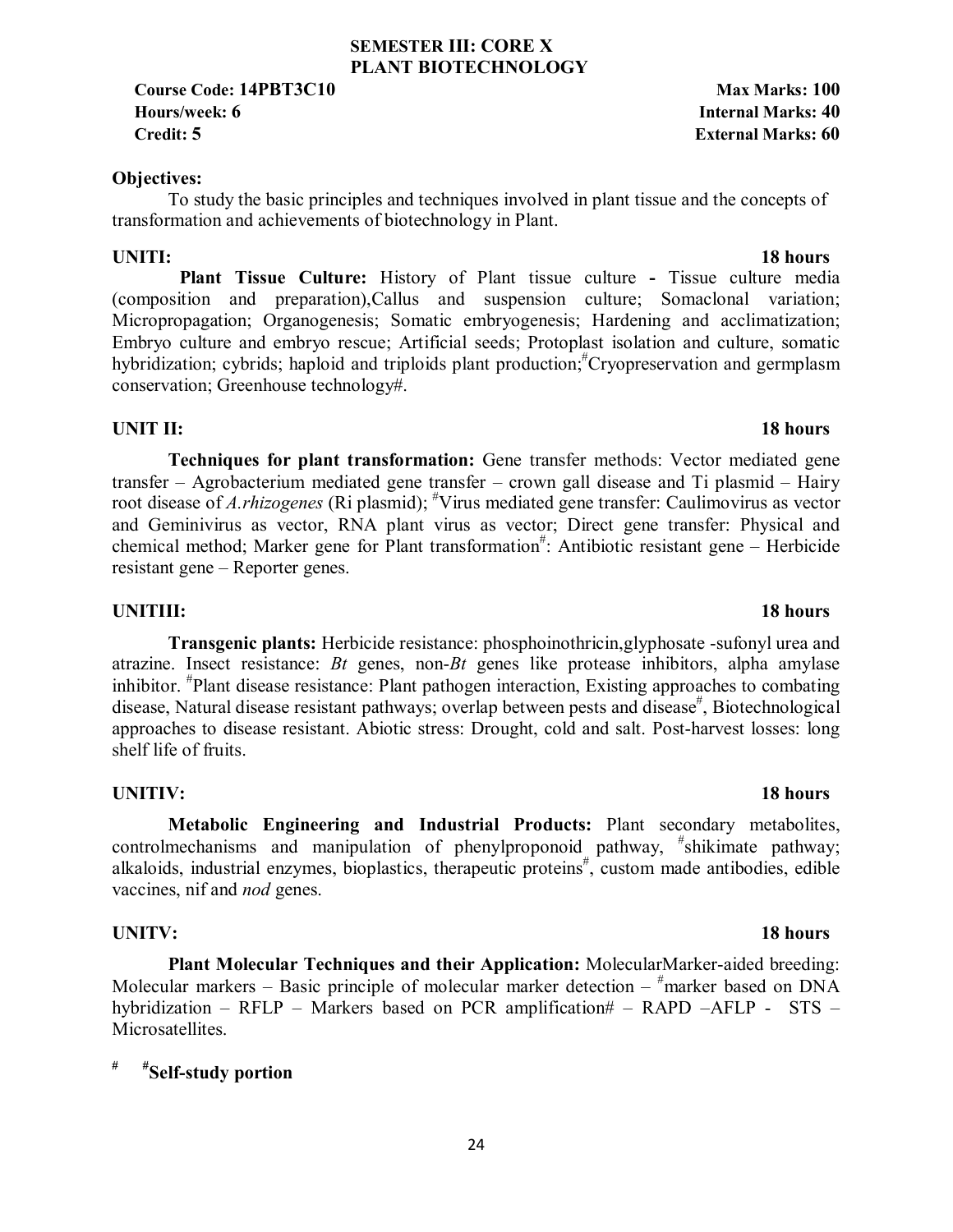## 24

### **SEMESTER III: CORE X PLANT BIOTECHNOLOGY**

**Course Code: 14PBT3C10 Max Marks: 100 Hours/week: 6 Internal Marks: 40 Credit: 5 External Marks: 60**

### **Objectives:**

To study the basic principles and techniques involved in plant tissue and the concepts of transformation and achievements of biotechnology in Plant.

**UNITI:** 18 hours  **Plant Tissue Culture:** History of Plant tissue culture **-** Tissue culture media (composition and preparation),Callus and suspension culture; Somaclonal variation; Micropropagation; Organogenesis; Somatic embryogenesis; Hardening and acclimatization; Embryo culture and embryo rescue; Artificial seeds; Protoplast isolation and culture, somatic hybridization; cybrids; haploid and triploids plant production;<sup>#</sup>Cryopreservation and germplasm conservation; Greenhouse technology#.

## **UNIT II:** 18 hours

**Techniques for plant transformation:** Gene transfer methods: Vector mediated gene transfer – Agrobacterium mediated gene transfer – crown gall disease and Ti plasmid – Hairy root disease of *A.rhizogenes* (Ri plasmid); <sup>#</sup>Virus mediated gene transfer: Caulimovirus as vector and Geminivirus as vector, RNA plant virus as vector; Direct gene transfer: Physical and chemical method; Marker gene for Plant transformation<sup>#</sup>: Antibiotic resistant gene - Herbicide resistant gene – Reporter genes.

### **UNITIII:** 18 hours

**Transgenic plants:** Herbicide resistance: phosphoinothricin,glyphosate -sufonyl urea and atrazine. Insect resistance: *Bt* genes, non-*Bt* genes like protease inhibitors, alpha amylase inhibitor. # Plant disease resistance: Plant pathogen interaction, Existing approaches to combating disease, Natural disease resistant pathways; overlap between pests and disease<sup>#</sup>, Biotechnological approaches to disease resistant. Abiotic stress: Drought, cold and salt. Post-harvest losses: long shelf life of fruits.

### **UNITIV:** 18 hours

**Metabolic Engineering and Industrial Products:** Plant secondary metabolites, controlmechanisms and manipulation of phenylproponoid pathway, "shikimate pathway; alkaloids, industrial enzymes, bioplastics, therapeutic proteins<sup>#</sup>, custom made antibodies, edible vaccines, nif and *nod* genes.

### **UNITV:** 18 hours

**Plant Molecular Techniques and their Application:** MolecularMarker-aided breeding: Molecular markers – Basic principle of molecular marker detection –  $*$  marker based on DNA hybridization – RFLP – Markers based on PCR amplification# – RAPD –AFLP - STS – Microsatellites.

# **# #Self-study portion**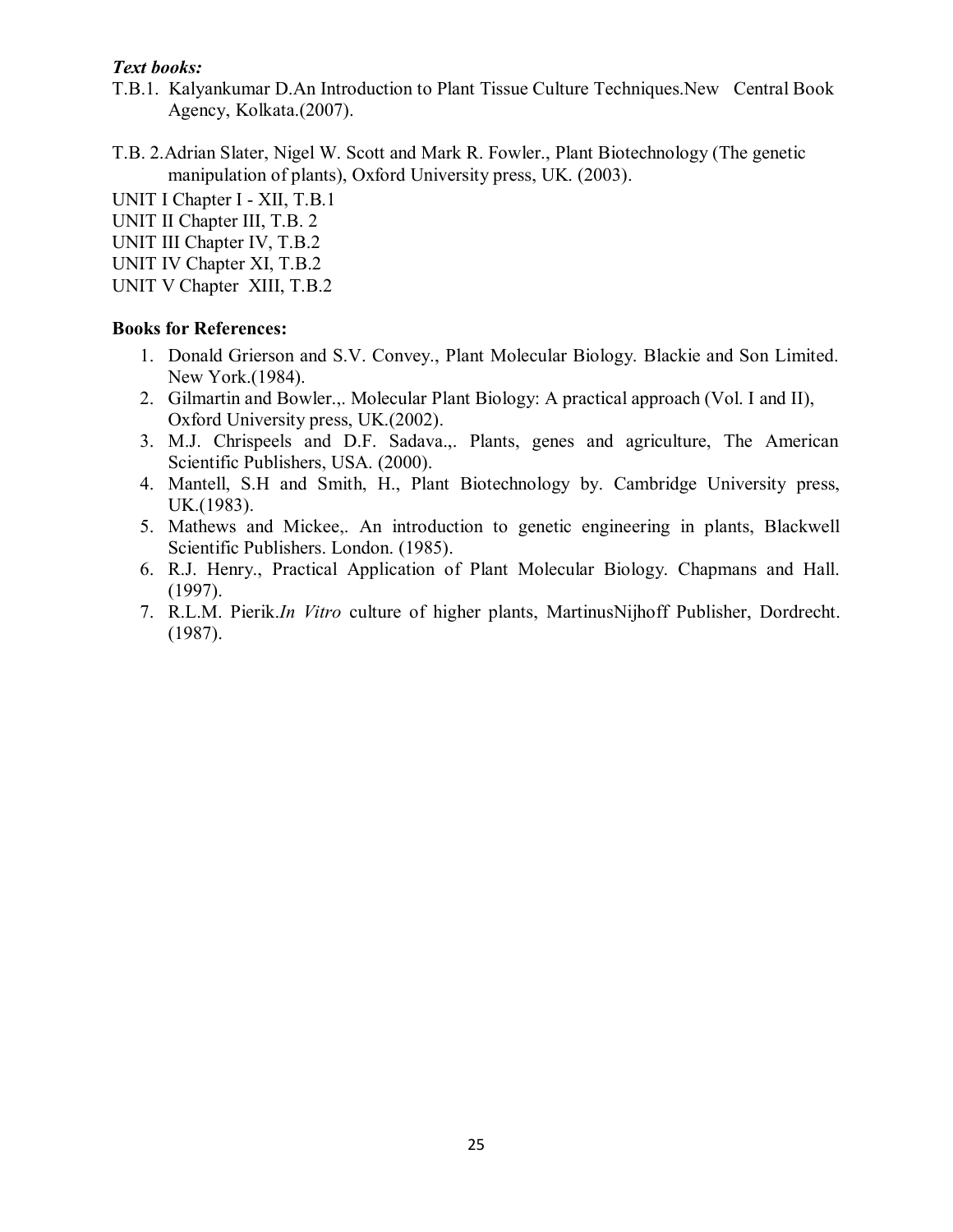- T.B.1. Kalyankumar D.An Introduction to Plant Tissue Culture Techniques.New Central Book Agency, Kolkata.(2007).
- T.B. 2.Adrian Slater, Nigel W. Scott and Mark R. Fowler., Plant Biotechnology (The genetic manipulation of plants), Oxford University press, UK. (2003).

UNIT I Chapter I - XII, T.B.1

UNIT II Chapter III, T.B. 2

UNIT III Chapter IV, T.B.2

UNIT IV Chapter XI, T.B.2

UNIT V Chapter XIII, T.B.2

- 1. Donald Grierson and S.V. Convey., Plant Molecular Biology. Blackie and Son Limited. New York.(1984).
- 2. Gilmartin and Bowler.,. Molecular Plant Biology: A practical approach (Vol. I and II), Oxford University press, UK.(2002).
- 3. M.J. Chrispeels and D.F. Sadava.,. Plants, genes and agriculture, The American Scientific Publishers, USA. (2000).
- 4. Mantell, S.H and Smith, H., Plant Biotechnology by. Cambridge University press, UK.(1983).
- 5. Mathews and Mickee,. An introduction to genetic engineering in plants, Blackwell Scientific Publishers. London. (1985).
- 6. R.J. Henry., Practical Application of Plant Molecular Biology. Chapmans and Hall. (1997).
- 7. R.L.M. Pierik.*In Vitro* culture of higher plants, MartinusNijhoff Publisher, Dordrecht. (1987).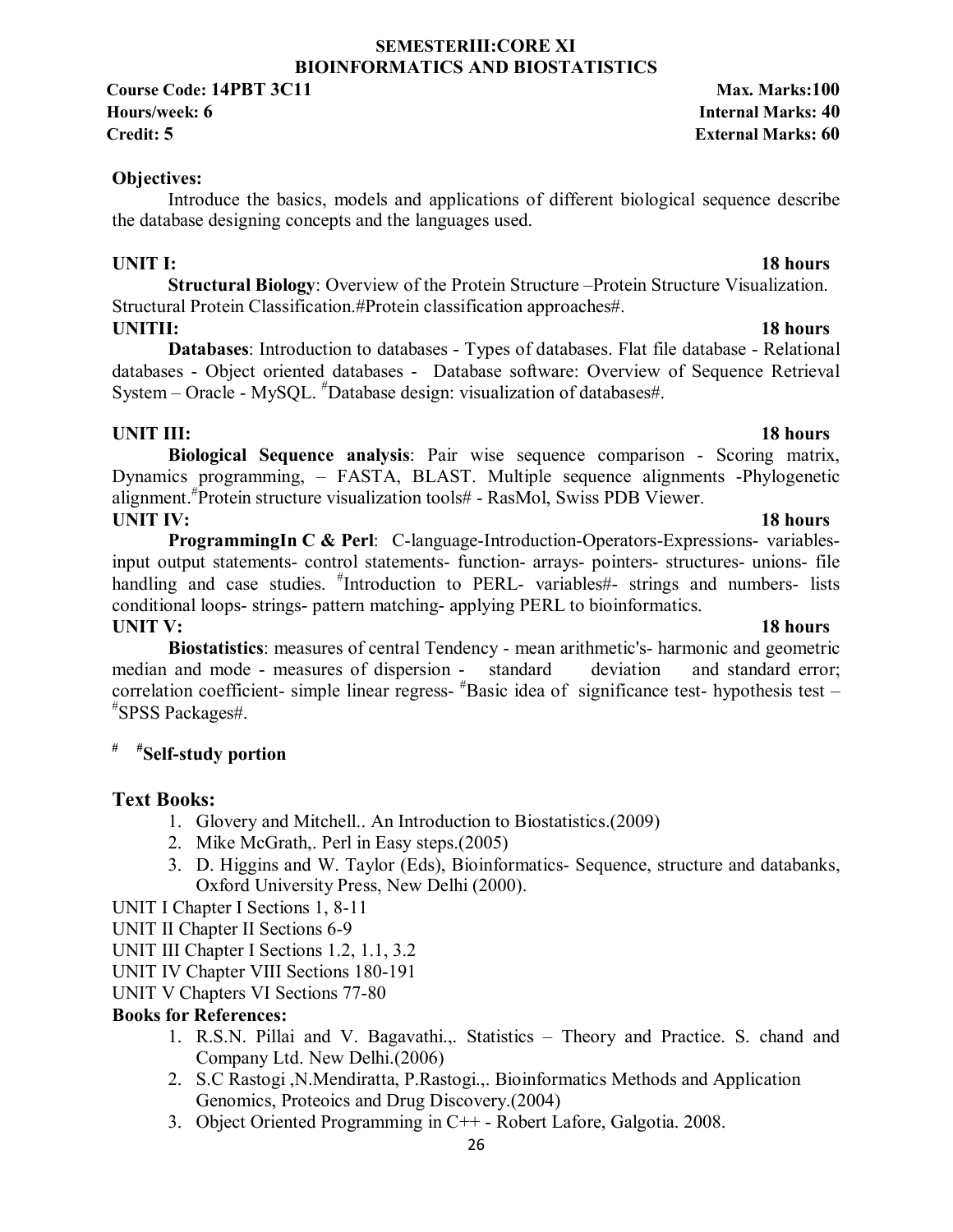### **SEMESTERIII:CORE XI BIOINFORMATICS AND BIOSTATISTICS**

**Course Code: 14PBT 3C11** Max. Marks:100

## **Objectives:**

Introduce the basics, models and applications of different biological sequence describe the database designing concepts and the languages used.

## **UNIT I:** 18 hours

**Structural Biology**: Overview of the Protein Structure –Protein Structure Visualization. Structural Protein Classification.#Protein classification approaches#.

## **UNITII:** 18 hours

**Databases**: Introduction to databases - Types of databases. Flat file database - Relational databases - Object oriented databases - Database software: Overview of Sequence Retrieval System – Oracle - MySQL. # Database design: visualization of databases#.

## **UNIT III:** 18 hours

**Biological Sequence analysis**: Pair wise sequence comparison - Scoring matrix, Dynamics programming, – FASTA, BLAST. Multiple sequence alignments -Phylogenetic alignment.# Protein structure visualization tools# - RasMol, Swiss PDB Viewer. **UNIT IV:** 18 hours

**ProgrammingIn C & Perl**: C-language-Introduction-Operators-Expressions- variablesinput output statements- control statements- function- arrays- pointers- structures- unions- file handling and case studies. <sup>#</sup>Introduction to PERL- variables#- strings and numbers- lists conditional loops- strings- pattern matching- applying PERL to bioinformatics.

**UNIT V:** 18 hours **Biostatistics**: measures of central Tendency - mean arithmetic's- harmonic and geometric median and mode - measures of dispersion - standard deviation and standard error; correlation coefficient- simple linear regress- # Basic idea of significance test- hypothesis test – # SPSS Packages#.

# **# #Self-study portion**

## **Text Books:**

- 1. Glovery and Mitchell.. An Introduction to Biostatistics.(2009)
- 2. Mike McGrath,. Perl in Easy steps.(2005)
- 3. D. Higgins and W. Taylor (Eds), Bioinformatics- Sequence, structure and databanks, Oxford University Press, New Delhi (2000).

UNIT I Chapter I Sections 1, 8-11

UNIT II Chapter II Sections 6-9

- UNIT III Chapter I Sections 1.2, 1.1, 3.2
- UNIT IV Chapter VIII Sections 180-191

UNIT V Chapters VI Sections 77-80

## **Books for References:**

- 1. R.S.N. Pillai and V. Bagavathi.,. Statistics Theory and Practice. S. chand and Company Ltd. New Delhi.(2006)
- 2. S.C Rastogi ,N.Mendiratta, P.Rastogi.,. Bioinformatics Methods and Application Genomics, Proteoics and Drug Discovery.(2004)
- 3. Object Oriented Programming in C++ Robert Lafore, Galgotia. 2008.

# **Hours/week: 6 Internal Marks: 40 Credit: 5 External Marks: 60**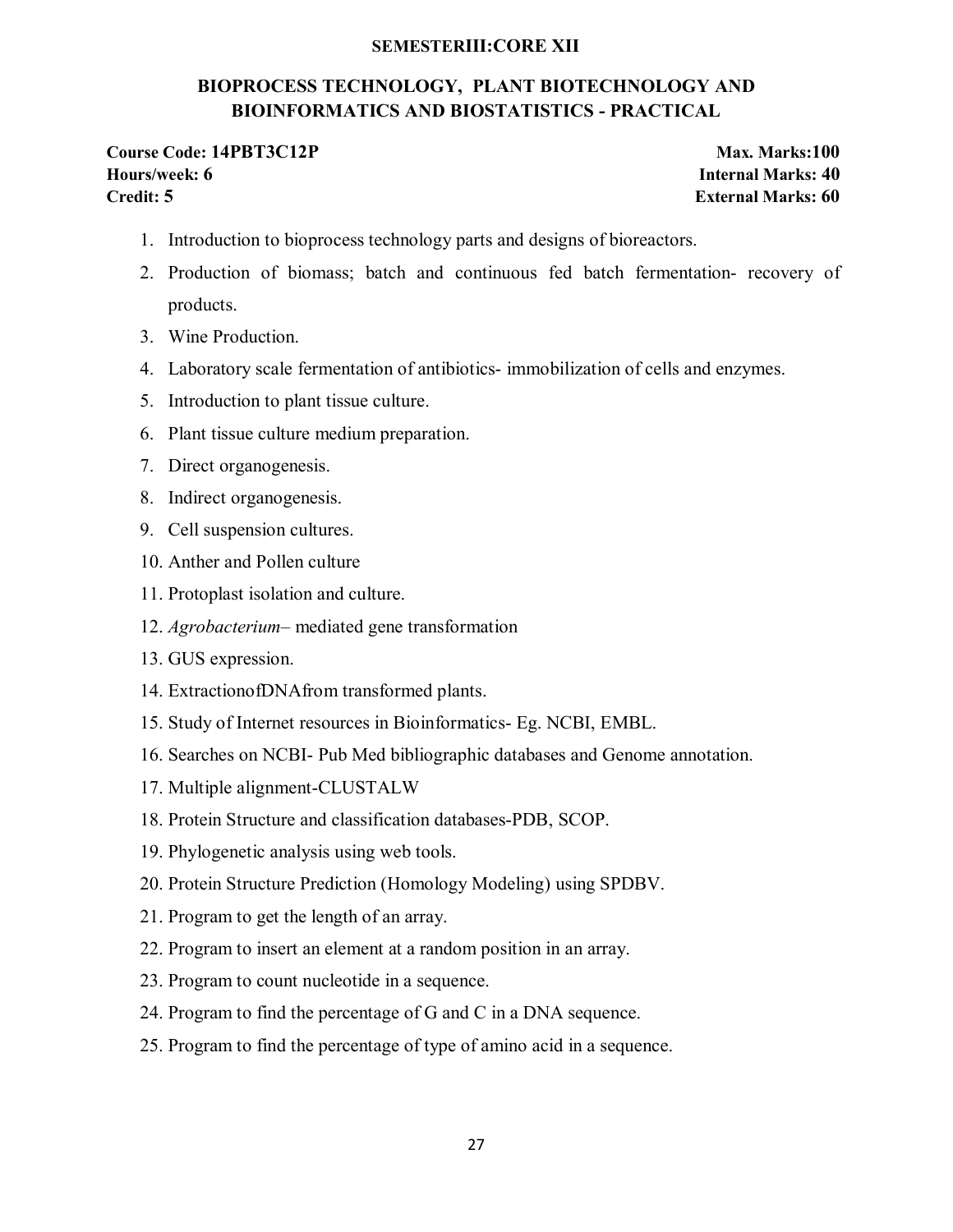### **SEMESTERIII:CORE XII**

## **BIOPROCESS TECHNOLOGY, PLANT BIOTECHNOLOGY AND BIOINFORMATICS AND BIOSTATISTICS - PRACTICAL**

### **Course Code: 14PBT3C12P Max. Marks:100 Hours/week: 6 Internal Marks: 40 Credit: 5 External Marks: 60**

- 1. Introduction to bioprocess technology parts and designs of bioreactors.
- 2. Production of biomass; batch and continuous fed batch fermentation- recovery of products.
- 3. Wine Production.
- 4. Laboratory scale fermentation of antibiotics- immobilization of cells and enzymes.
- 5. Introduction to plant tissue culture.
- 6. Plant tissue culture medium preparation.
- 7. Direct organogenesis.
- 8. Indirect organogenesis.
- 9. Cell suspension cultures.
- 10. Anther and Pollen culture
- 11. Protoplast isolation and culture.
- 12. *Agrobacterium* mediated gene transformation
- 13. GUS expression.
- 14. ExtractionofDNAfrom transformed plants.
- 15. Study of Internet resources in Bioinformatics- Eg. NCBI, EMBL.
- 16. Searches on NCBI- Pub Med bibliographic databases and Genome annotation.
- 17. Multiple alignment-CLUSTALW
- 18. Protein Structure and classification databases-PDB, SCOP.
- 19. Phylogenetic analysis using web tools.
- 20. Protein Structure Prediction (Homology Modeling) using SPDBV.
- 21. Program to get the length of an array.
- 22. Program to insert an element at a random position in an array.
- 23. Program to count nucleotide in a sequence.
- 24. Program to find the percentage of G and C in a DNA sequence.
- 25. Program to find the percentage of type of amino acid in a sequence.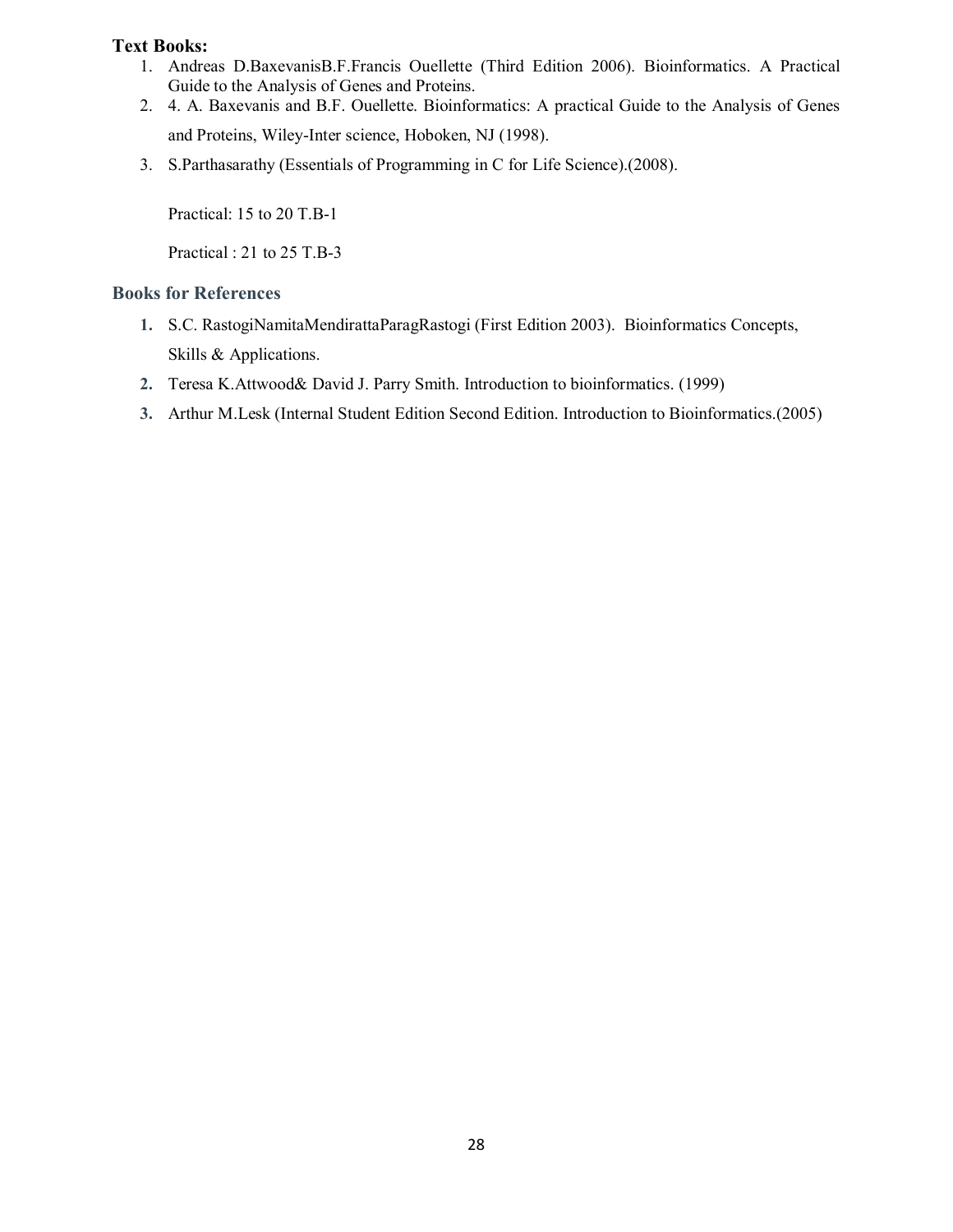- 1. Andreas D.BaxevanisB.F.Francis Ouellette (Third Edition 2006). Bioinformatics. A Practical Guide to the Analysis of Genes and Proteins.
- 2. 4. A. Baxevanis and B.F. Ouellette. Bioinformatics: A practical Guide to the Analysis of Genes and Proteins, Wiley-Inter science, Hoboken, NJ (1998).
- 3. S.Parthasarathy (Essentials of Programming in C for Life Science).(2008).

Practical: 15 to 20 T.B-1

Practical : 21 to 25 T.B-3

- **1.** S.C. RastogiNamitaMendirattaParagRastogi (First Edition 2003). Bioinformatics Concepts, Skills & Applications.
- **2.** Teresa K.Attwood& David J. Parry Smith. Introduction to bioinformatics. (1999)
- **3.** Arthur M.Lesk (Internal Student Edition Second Edition. Introduction to Bioinformatics.(2005)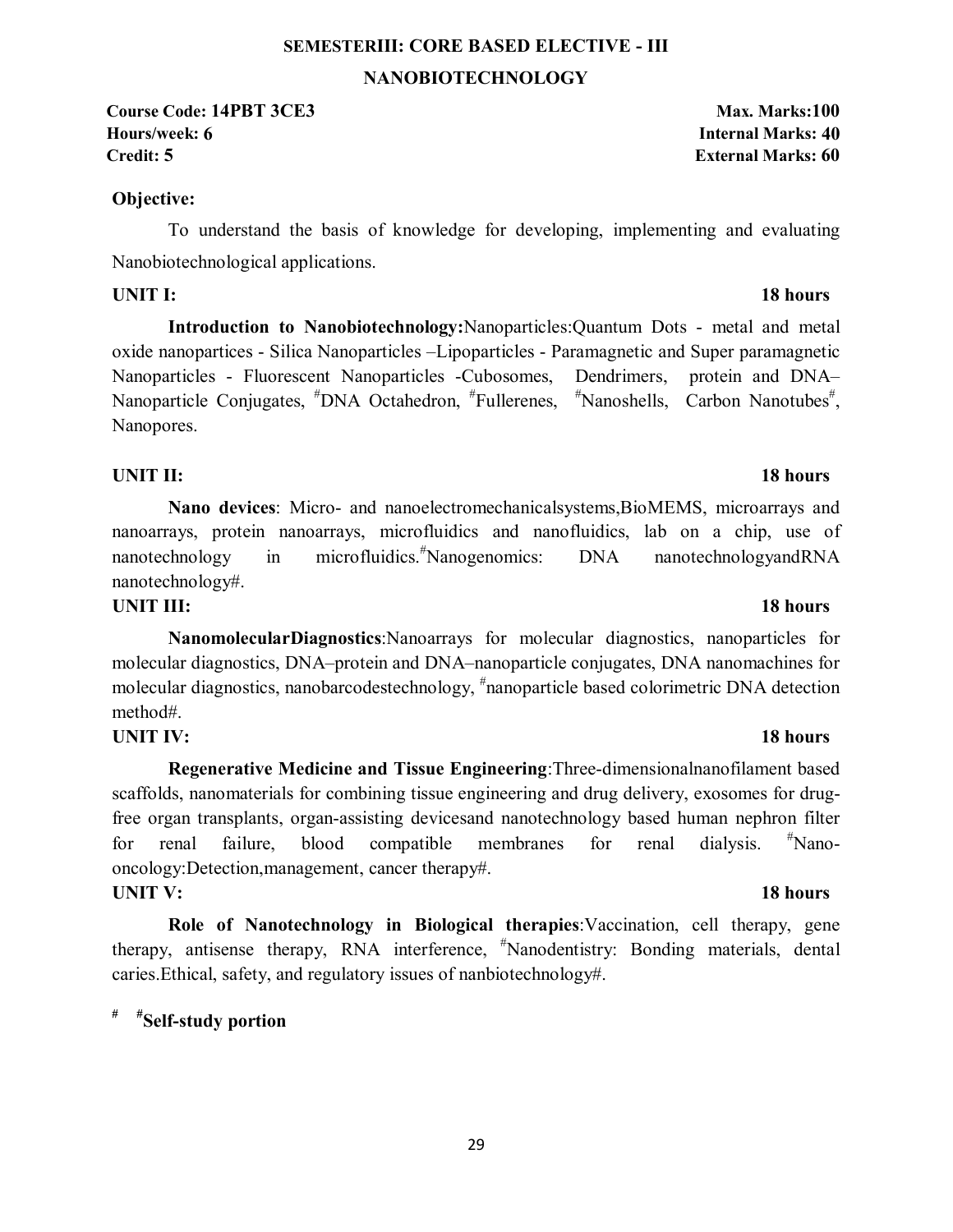# **SEMESTERIII: CORE BASED ELECTIVE - III NANOBIOTECHNOLOGY**

**Course Code: 14PBT 3CE3** Max. Marks:100 **Hours/week: 6 Internal Marks: 40 Credit: 5 External Marks: 60**

### **Objective:**

To understand the basis of knowledge for developing, implementing and evaluating Nanobiotechnological applications.

**Introduction to Nanobiotechnology:**Nanoparticles:Quantum Dots - metal and metal oxide nanopartices - Silica Nanoparticles –Lipoparticles - Paramagnetic and Super paramagnetic Nanoparticles - Fluorescent Nanoparticles -Cubosomes, Dendrimers, protein and DNA– Nanoparticle Conjugates, <sup>#</sup>DNA Octahedron, <sup>#</sup>Fullerenes, <sup>#</sup>Nanoshells, Carbon Nanotubes<sup>#</sup>, Nanopores.

## **UNIT II:** 18 hours

### **Nano devices**: Micro- and nanoelectromechanicalsystems,BioMEMS, microarrays and nanoarrays, protein nanoarrays, microfluidics and nanofluidics, lab on a chip, use of nanotechnology in microfluidics.<sup>#</sup>Nanogenomics: DNA nanotechnologyandRNA nanotechnology#.

### **UNIT III:** 18 hours

**NanomolecularDiagnostics**:Nanoarrays for molecular diagnostics, nanoparticles for molecular diagnostics, DNA–protein and DNA–nanoparticle conjugates, DNA nanomachines for molecular diagnostics, nanobarcodestechnology, <sup>#</sup>nanoparticle based colorimetric DNA detection method#.

### **UNIT IV:** 18 hours

**Regenerative Medicine and Tissue Engineering**:Three-dimensionalnanofilament based scaffolds, nanomaterials for combining tissue engineering and drug delivery, exosomes for drugfree organ transplants, organ-assisting devicesand nanotechnology based human nephron filter for renal failure, blood compatible membranes for renal dialysis. Nanooncology:Detection,management, cancer therapy#. **UNIT V:** 18 hours

# **Role of Nanotechnology in Biological therapies**:Vaccination, cell therapy, gene therapy, antisense therapy, RNA interference, # Nanodentistry: Bonding materials, dental caries.Ethical, safety, and regulatory issues of nanbiotechnology#.

## **# #Self-study portion**

# **UNIT I:** 18 hours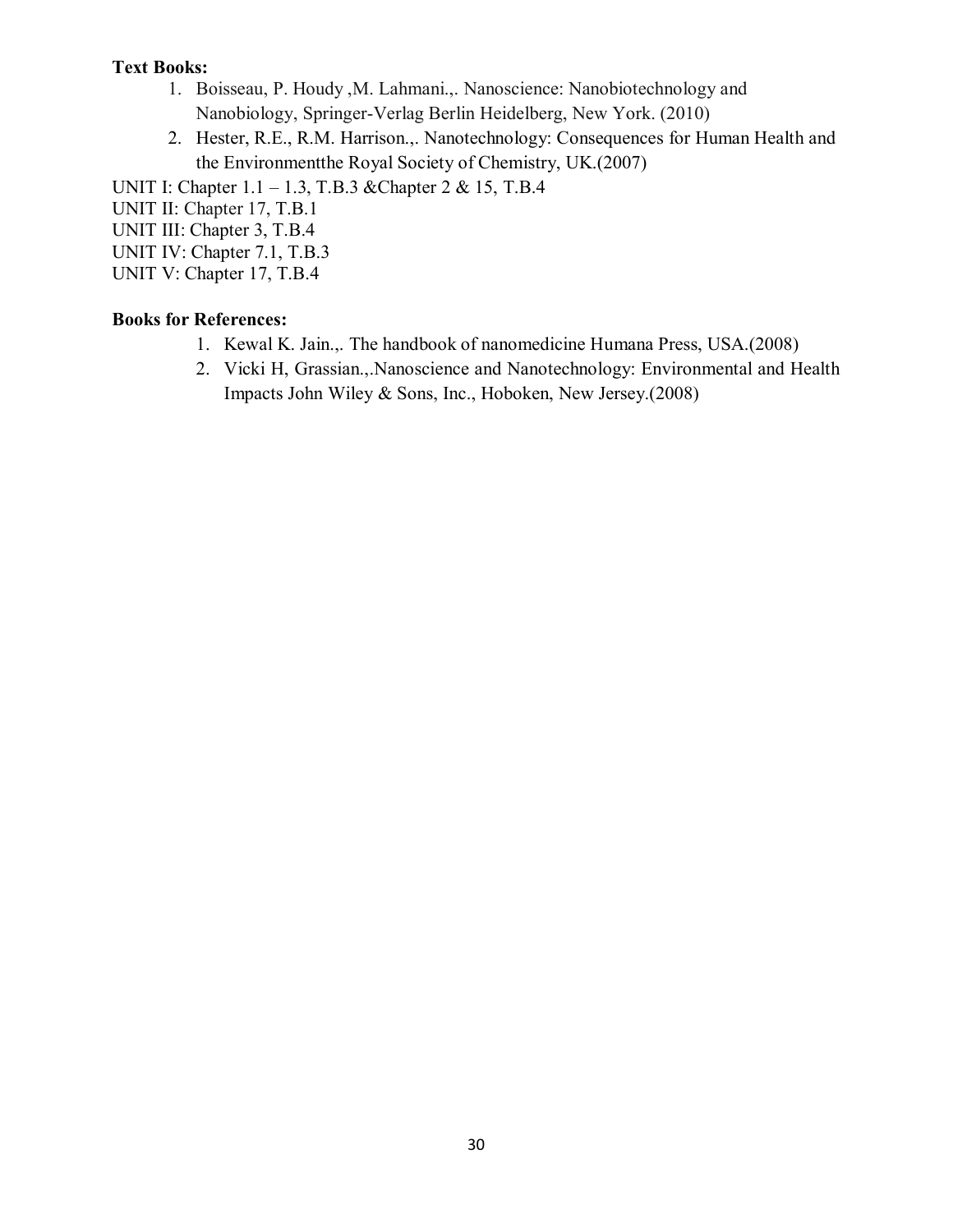- 1. Boisseau, P. Houdy ,M. Lahmani.,. Nanoscience: Nanobiotechnology and Nanobiology, Springer-Verlag Berlin Heidelberg, New York. (2010)
- 2. Hester, R.E., R.M. Harrison.,. Nanotechnology: Consequences for Human Health and the Environmentthe Royal Society of Chemistry, UK.(2007)

UNIT I: Chapter 1.1 – 1.3, T.B.3 & Chapter 2 & 15, T.B.4

UNIT II: Chapter 17, T.B.1

UNIT III: Chapter 3, T.B.4

UNIT IV: Chapter 7.1, T.B.3

UNIT V: Chapter 17, T.B.4

- 1. Kewal K. Jain.,. The handbook of nanomedicine Humana Press, USA.(2008)
- 2. Vicki H, Grassian.,.Nanoscience and Nanotechnology: Environmental and Health Impacts John Wiley & Sons, Inc., Hoboken, New Jersey.(2008)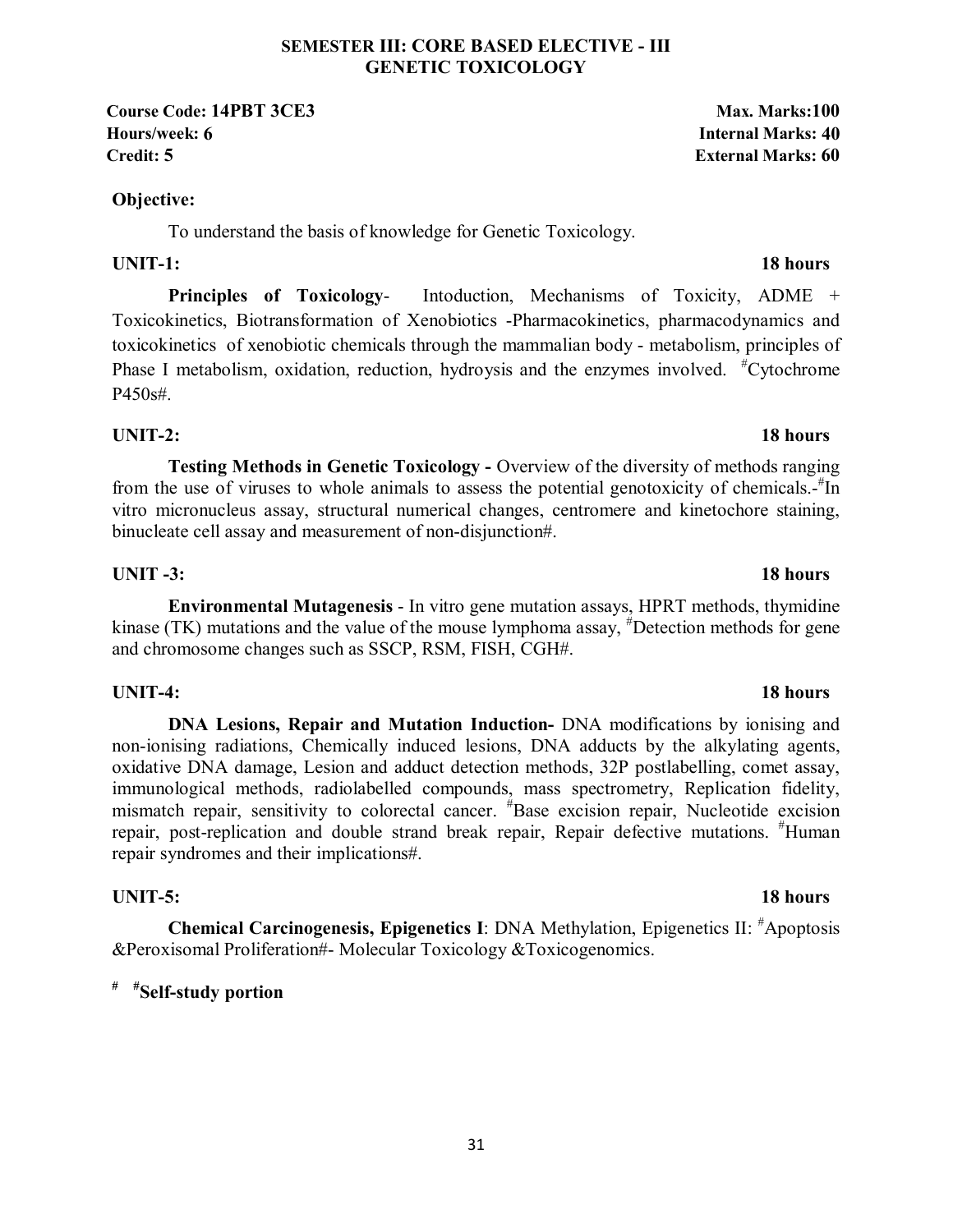# **SEMESTER III: CORE BASED ELECTIVE - III GENETIC TOXICOLOGY**

**Course Code: 14PBT 3CE3** Max. Marks:100 **Hours/week: 6 Internal Marks: 40 Credit: 5** External Marks: 60

# **Objective:**

To understand the basis of knowledge for Genetic Toxicology.

# **UNIT-1:** 18 hours

**Principles of Toxicology-** Intoduction, Mechanisms of Toxicity, ADME + Toxicokinetics, Biotransformation of Xenobiotics -Pharmacokinetics, pharmacodynamics and toxicokinetics of xenobiotic chemicals through the mammalian body - metabolism, principles of Phase I metabolism, oxidation, reduction, hydroysis and the enzymes involved. <sup>#</sup>Cytochrome P450s#.

# **UNIT-2:** 18 hours

**Testing Methods in Genetic Toxicology -** Overview of the diversity of methods ranging from the use of viruses to whole animals to assess the potential genotoxicity of chemicals.<sup>#Th</sup> vitro micronucleus assay, structural numerical changes, centromere and kinetochore staining, binucleate cell assay and measurement of non-disjunction#.

# **UNIT -3:** 18 hours

**Environmental Mutagenesis** - In vitro gene mutation assays, HPRT methods, thymidine kinase (TK) mutations and the value of the mouse lymphoma assay, <sup>#</sup>Detection methods for gene and chromosome changes such as SSCP, RSM, FISH, CGH#.

# **UNIT-4:** 18 hours

**DNA Lesions, Repair and Mutation Induction-** DNA modifications by ionising and non-ionising radiations, Chemically induced lesions, DNA adducts by the alkylating agents, oxidative DNA damage, Lesion and adduct detection methods, 32P postlabelling, comet assay, immunological methods, radiolabelled compounds, mass spectrometry, Replication fidelity, mismatch repair, sensitivity to colorectal cancer. # Base excision repair, Nucleotide excision repair, post-replication and double strand break repair, Repair defective mutations. <sup>#</sup>Human repair syndromes and their implications#.

# **UNIT-5:** 18 hours

**Chemical Carcinogenesis, Epigenetics I**: DNA Methylation, Epigenetics II: # Apoptosis &Peroxisomal Proliferation#- Molecular Toxicology &Toxicogenomics.

# **# #Self-study portion**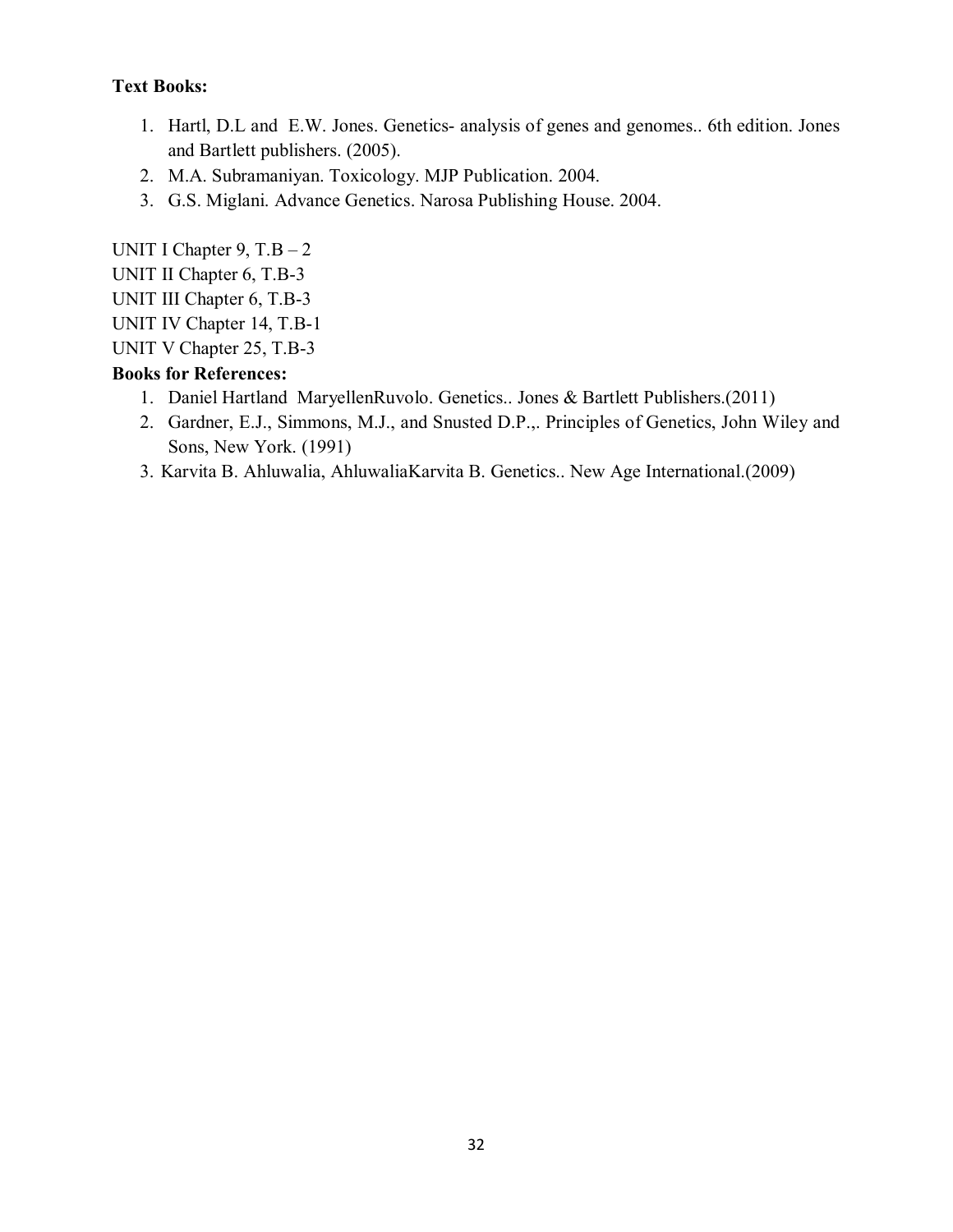- 1. Hartl, D.L and E.W. Jones. Genetics- analysis of genes and genomes.. 6th edition. Jones and Bartlett publishers. (2005).
- 2. M.A. Subramaniyan. Toxicology. MJP Publication. 2004.
- 3. G.S. Miglani. Advance Genetics. Narosa Publishing House. 2004.

UNIT I Chapter  $9, T.B - 2$ UNIT II Chapter 6, T.B-3 UNIT III Chapter 6, T.B-3 UNIT IV Chapter 14, T.B-1 UNIT V Chapter 25, T.B-3

- 1. Daniel Hartland MaryellenRuvolo. Genetics.. Jones & Bartlett Publishers.(2011)
- 2. Gardner, E.J., Simmons, M.J., and Snusted D.P.,. Principles of Genetics, John Wiley and Sons, New York. (1991)
- 3. Karvita B. Ahluwalia, AhluwaliaKarvita B. Genetics.. New Age International.(2009)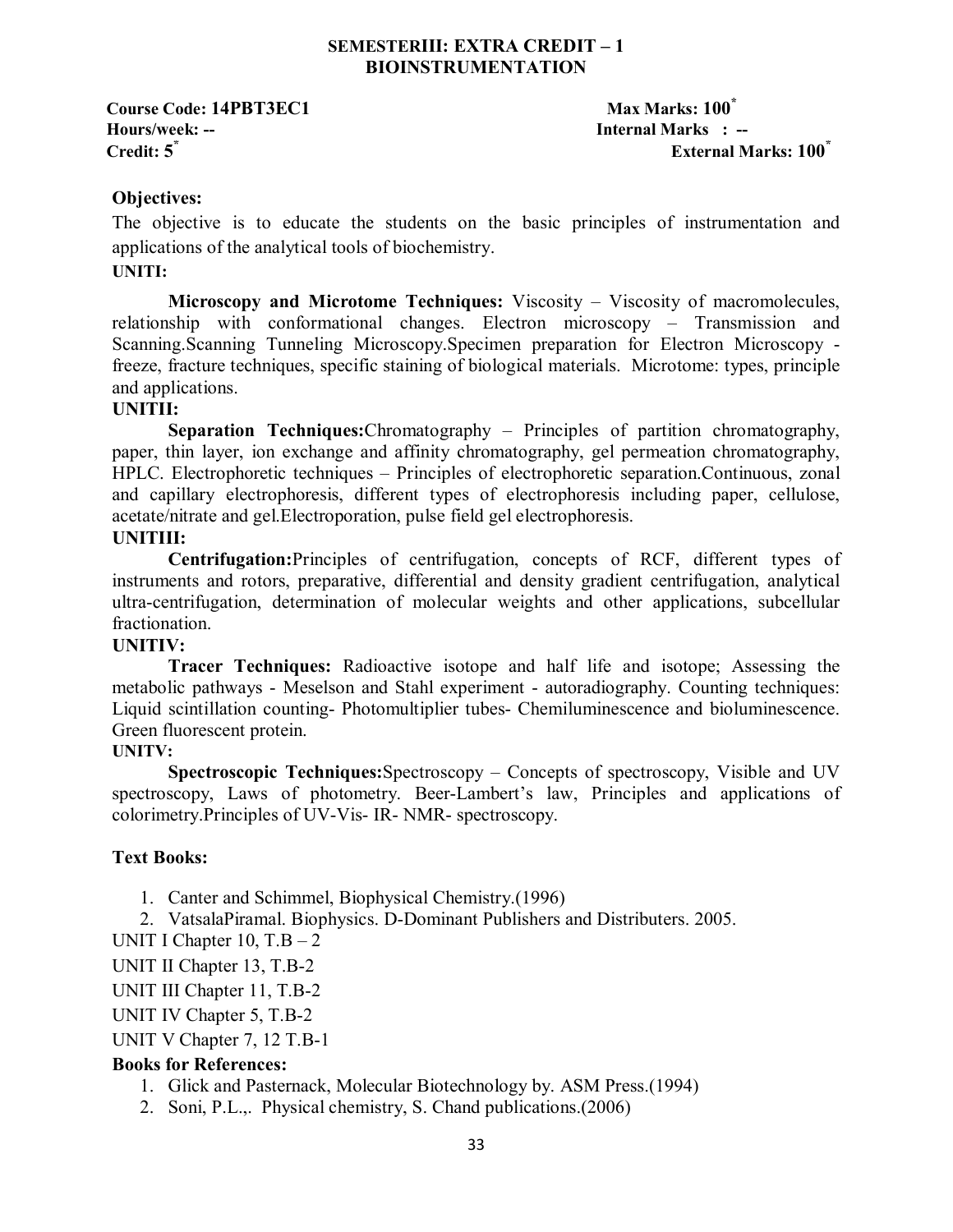### **SEMESTERIII: EXTRA CREDIT – 1 BIOINSTRUMENTATION**

**Course Code: 14PBT3EC1** Max Marks: 100<sup>\*</sup> **Hours/week: -- Internal Marks : --** 

**Credit: 5\* External Marks: 100\***

### **Objectives:**

The objective is to educate the students on the basic principles of instrumentation and applications of the analytical tools of biochemistry.

### **UNITI:**

**Microscopy and Microtome Techniques:** Viscosity – Viscosity of macromolecules, relationship with conformational changes. Electron microscopy – Transmission and Scanning.Scanning Tunneling Microscopy.Specimen preparation for Electron Microscopy freeze, fracture techniques, specific staining of biological materials. Microtome: types, principle and applications.

### **UNITII:**

**Separation Techniques:**Chromatography – Principles of partition chromatography, paper, thin layer, ion exchange and affinity chromatography, gel permeation chromatography, HPLC. Electrophoretic techniques – Principles of electrophoretic separation.Continuous, zonal and capillary electrophoresis, different types of electrophoresis including paper, cellulose, acetate/nitrate and gel.Electroporation, pulse field gel electrophoresis.

### **UNITIII:**

**Centrifugation:**Principles of centrifugation, concepts of RCF, different types of instruments and rotors, preparative, differential and density gradient centrifugation, analytical ultra-centrifugation, determination of molecular weights and other applications, subcellular fractionation.

### **UNITIV:**

**Tracer Techniques:** Radioactive isotope and half life and isotope; Assessing the metabolic pathways - Meselson and Stahl experiment - autoradiography. Counting techniques: Liquid scintillation counting- Photomultiplier tubes- Chemiluminescence and bioluminescence. Green fluorescent protein.

### **UNITV:**

**Spectroscopic Techniques:**Spectroscopy – Concepts of spectroscopy, Visible and UV spectroscopy, Laws of photometry. Beer-Lambert's law, Principles and applications of colorimetry.Principles of UV-Vis- IR- NMR- spectroscopy.

### **Text Books:**

- 1. Canter and Schimmel, Biophysical Chemistry.(1996)
- 2. VatsalaPiramal. Biophysics. D-Dominant Publishers and Distributers. 2005.
- UNIT I Chapter  $10, T.B 2$
- UNIT II Chapter 13, T.B-2
- UNIT III Chapter 11, T.B-2
- UNIT IV Chapter 5, T.B-2

UNIT V Chapter 7, 12 T.B-1

- 1. Glick and Pasternack, Molecular Biotechnology by. ASM Press.(1994)
- 2. Soni, P.L.,. Physical chemistry, S. Chand publications.(2006)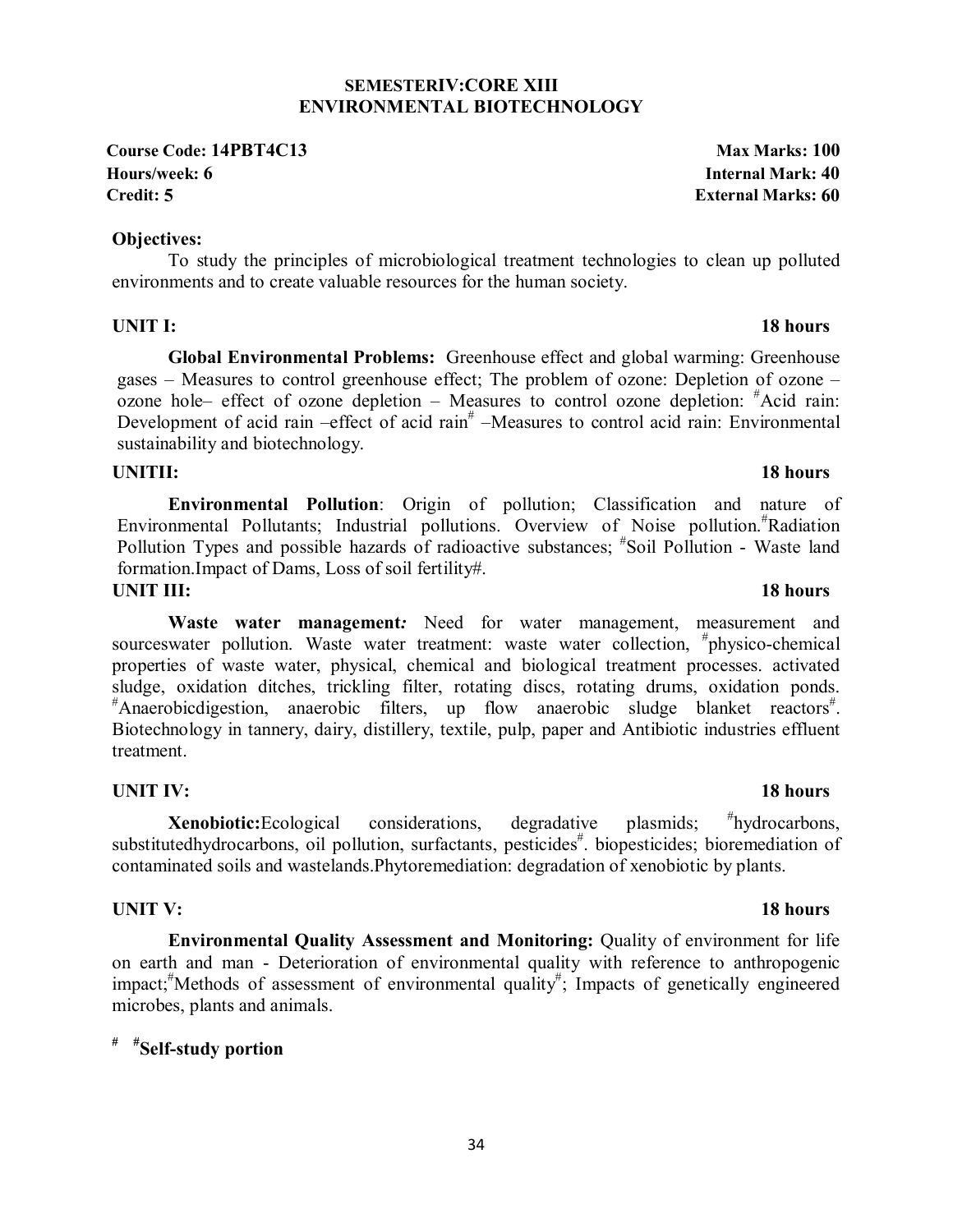### **SEMESTERIV:CORE XIII ENVIRONMENTAL BIOTECHNOLOGY**

**Course Code: 14PBT4C13** Max Marks: 100 **Hours/week: 6 Internal Mark: 40 Credit: 5 External Marks: 60**

### **Objectives:**

To study the principles of microbiological treatment technologies to clean up polluted environments and to create valuable resources for the human society.

## **UNIT I:** 18 hours

**Global Environmental Problems:** Greenhouse effect and global warming: Greenhouse gases – Measures to control greenhouse effect; The problem of ozone: Depletion of ozone – ozone hole– effect of ozone depletion – Measures to control ozone depletion: # Acid rain: Development of acid rain  $-\text{effect}$  of acid rain<sup>#</sup>  $-M$ easures to control acid rain: Environmental sustainability and biotechnology.

 **Environmental Pollution**: Origin of pollution; Classification and nature of Environmental Pollutants; Industrial pollutions. Overview of Noise pollution.# Radiation Pollution Types and possible hazards of radioactive substances; "Soil Pollution - Waste land formation.Impact of Dams, Loss of soil fertility#.

### **UNIT III:** 18 hours

**Waste water management***:* Need for water management, measurement and sourceswater pollution. Waste water treatment: waste water collection, #physico-chemical properties of waste water, physical, chemical and biological treatment processes. activated sludge, oxidation ditches, trickling filter, rotating discs, rotating drums, oxidation ponds. \*Anaerobicdigestion, anaerobic filters, up flow anaerobic sludge blanket reactors<sup>#</sup>. Biotechnology in tannery, dairy, distillery, textile, pulp, paper and Antibiotic industries effluent treatment.

### **UNIT IV:** 18 hours

**Xenobiotic:**Ecological considerations, degradative plasmids; hydrocarbons, substitutedhydrocarbons, oil pollution, surfactants, pesticides# biopesticides; bioremediation of contaminated soils and wastelands.Phytoremediation: degradation of xenobiotic by plants.

## **UNIT V:** 18 hours

**Environmental Quality Assessment and Monitoring:** Quality of environment for life on earth and man - Deterioration of environmental quality with reference to anthropogenic impact;<sup>#</sup>Methods of assessment of environmental quality<sup>#</sup>; Impacts of genetically engineered microbes, plants and animals.

## **# #Self-study portion**

### **UNITII:** 18 hours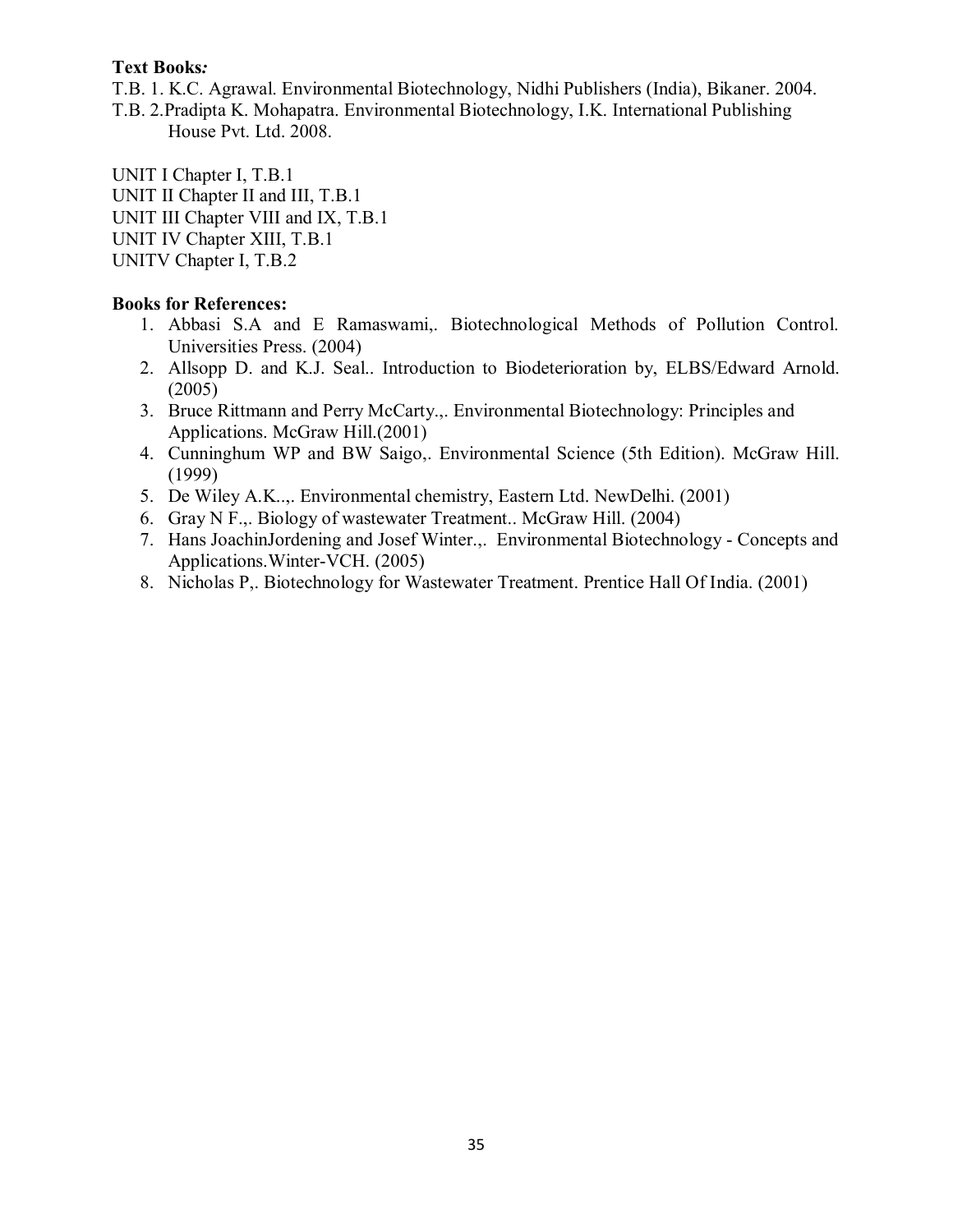T.B. 1. K.C. Agrawal. Environmental Biotechnology, Nidhi Publishers (India), Bikaner. 2004.

T.B. 2.Pradipta K. Mohapatra. Environmental Biotechnology, I.K. International Publishing House Pvt. Ltd. 2008.

UNIT I Chapter I, T.B.1 UNIT II Chapter II and III, T.B.1 UNIT III Chapter VIII and IX, T.B.1 UNIT IV Chapter XIII, T.B.1 UNITV Chapter I, T.B.2

- 1. Abbasi S.A and E Ramaswami,. Biotechnological Methods of Pollution Control. Universities Press. (2004)
- 2. Allsopp D. and K.J. Seal.. Introduction to Biodeterioration by, ELBS/Edward Arnold. (2005)
- 3. Bruce Rittmann and Perry McCarty.,. Environmental Biotechnology: Principles and Applications. McGraw Hill.(2001)
- 4. Cunninghum WP and BW Saigo,. Environmental Science (5th Edition). McGraw Hill. (1999)
- 5. De Wiley A.K..,. Environmental chemistry, Eastern Ltd. NewDelhi. (2001)
- 6. Gray N F.,. Biology of wastewater Treatment.. McGraw Hill. (2004)
- 7. Hans JoachinJordening and Josef Winter.,. Environmental Biotechnology Concepts and Applications.Winter-VCH. (2005)
- 8. Nicholas P,. Biotechnology for Wastewater Treatment. Prentice Hall Of India. (2001)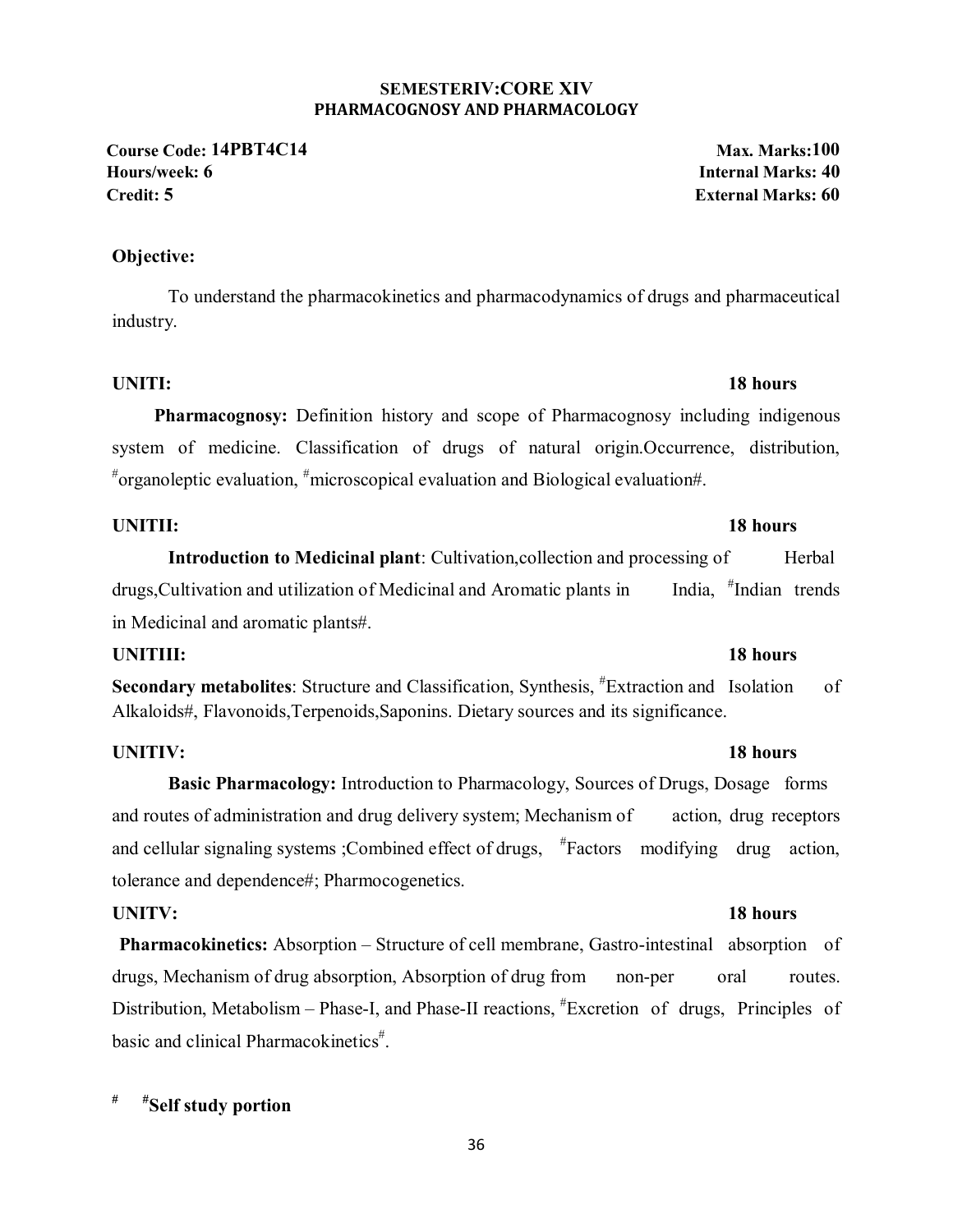### **SEMESTERIV:CORE XIV PHARMACOGNOSY AND PHARMACOLOGY**

**Course Code: 14PBT4C14 Max. Marks:100 Hours/week: 6 Internal Marks: 40 Credit: 5 External Marks: 60**

### **Objective:**

To understand the pharmacokinetics and pharmacodynamics of drugs and pharmaceutical industry.

### **UNITI:** 18 hours

**Pharmacognosy:** Definition history and scope of Pharmacognosy including indigenous system of medicine. Classification of drugs of natural origin.Occurrence, distribution, # organoleptic evaluation, # microscopical evaluation and Biological evaluation#.

## **UNITII:** 18 hours

**Introduction to Medicinal plant**: Cultivation, collection and processing of Herbal drugs, Cultivation and utilization of Medicinal and Aromatic plants in Indian trends in Medicinal and aromatic plants#.

### **UNITIII:** 18 hours

Secondary metabolites: Structure and Classification, Synthesis, <sup>#</sup>Extraction and Isolation of Alkaloids#, Flavonoids,Terpenoids,Saponins. Dietary sources and its significance.

## **UNITIV:** 18 hours

**Basic Pharmacology:** Introduction to Pharmacology, Sources of Drugs, Dosage forms and routes of administration and drug delivery system; Mechanism of action, drug receptors and cellular signaling systems ;Combined effect of drugs,  $*$ Factors modifying drug action, tolerance and dependence#; Pharmocogenetics.

## **UNITV:** 18 hours

**Pharmacokinetics:** Absorption – Structure of cell membrane, Gastro-intestinal absorption of drugs, Mechanism of drug absorption, Absorption of drug from non-per oral routes. Distribution, Metabolism – Phase-I, and Phase-II reactions,  $*$ Excretion of drugs, Principles of basic and clinical Pharmacokinetics<sup>#</sup>.

# **# #Self study portion**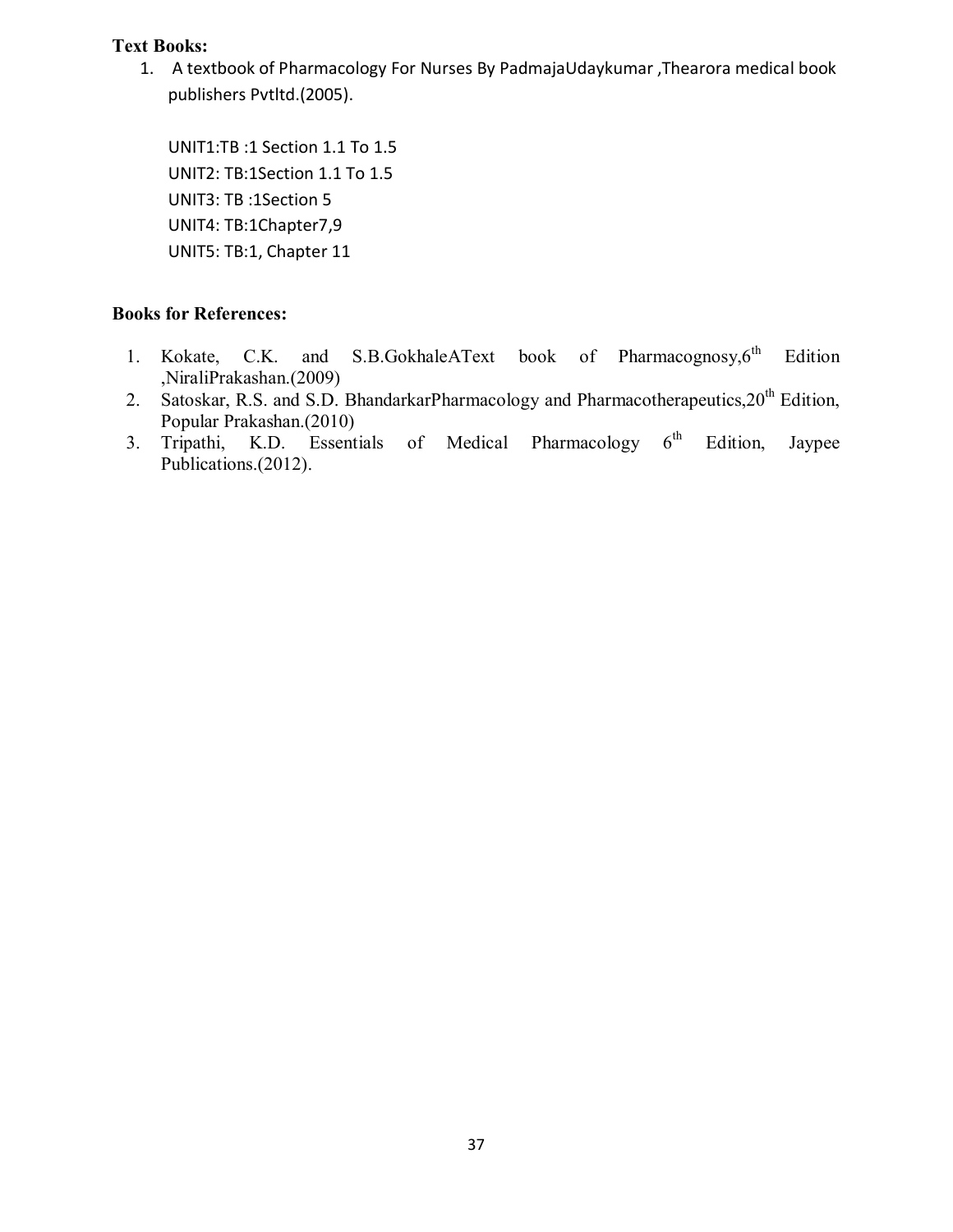1. A textbook of Pharmacology For Nurses By PadmajaUdaykumar ,Thearora medical book publishers Pvtltd.(2005).

UNIT1:TB :1 Section 1.1 To 1.5 UNIT2: TB:1Section 1.1 To 1.5 UNIT3: TB :1Section 5 UNIT4: TB:1Chapter7,9 UNIT5: TB:1, Chapter 11

- 1. Kokate, C.K. and S.B.GokhaleAText book of Pharmacognosy, $6<sup>th</sup>$  Edition ,NiraliPrakashan.(2009)
- 2. Satoskar, R.S. and S.D. BhandarkarPharmacology and Pharmacotherapeutics, 20<sup>th</sup> Edition, Popular Prakashan.(2010)
- 3. Tripathi, K.D. Essentials of Medical Pharmacology 6<sup>th</sup> Edition, Jaypee Publications.(2012).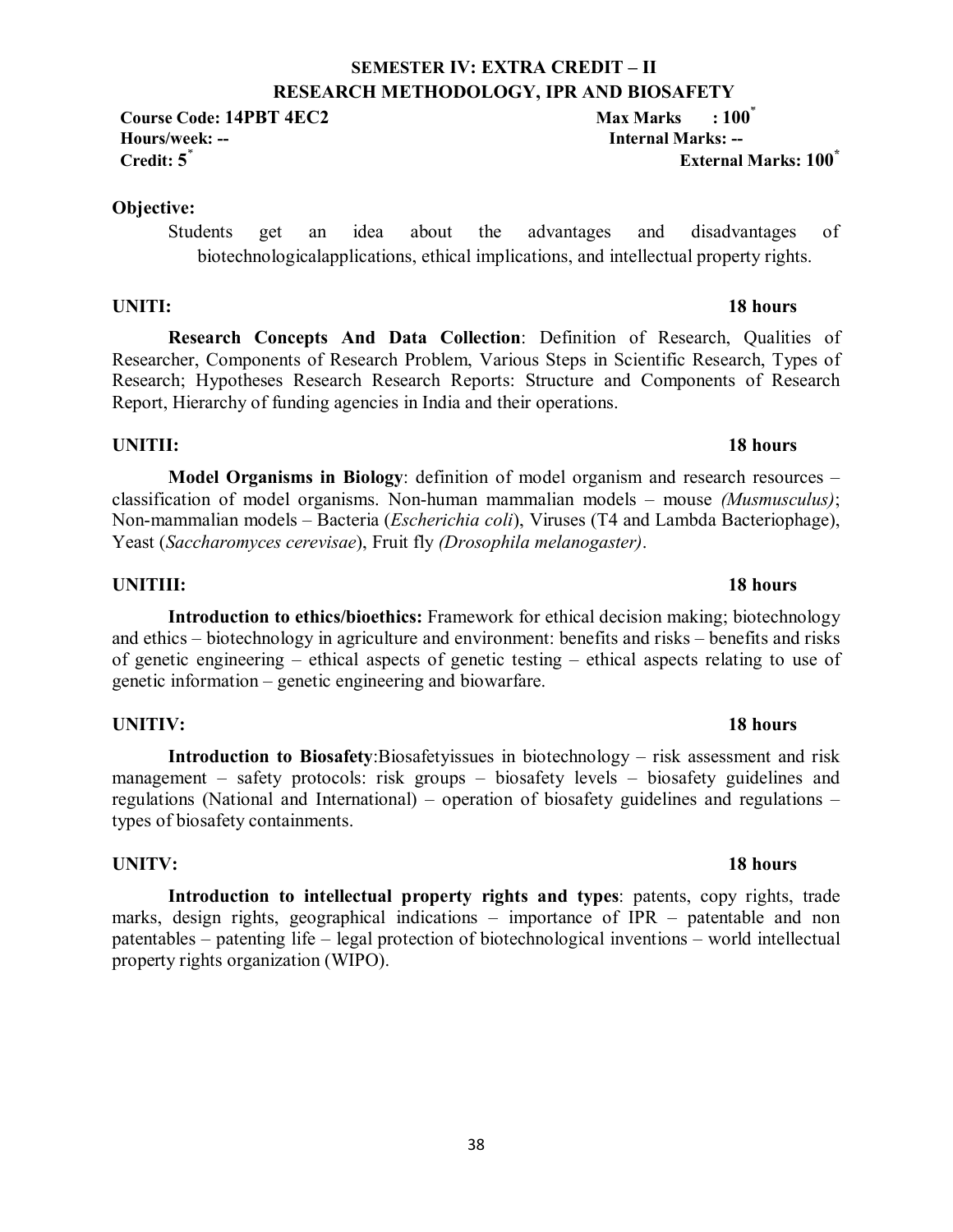## **SEMESTER IV: EXTRA CREDIT – II RESEARCH METHODOLOGY, IPR AND BIOSAFETY**

**Course Code: 14PBT 4EC2** Max Marks : 100<sup>\*</sup> **Hours/week: -- Internal Marks: -- Credit: 5**\* **External Marks: 100\***

### **Objective:**

Students get an idea about the advantages and disadvantages of biotechnologicalapplications, ethical implications, and intellectual property rights.

**Research Concepts And Data Collection**: Definition of Research, Qualities of Researcher, Components of Research Problem, Various Steps in Scientific Research, Types of Research; Hypotheses Research Research Reports: Structure and Components of Research Report, Hierarchy of funding agencies in India and their operations.

## **UNITII:** 18 hours

**Model Organisms in Biology**: definition of model organism and research resources – classification of model organisms. Non-human mammalian models – mouse *(Musmusculus)*; Non-mammalian models – Bacteria (*Escherichia coli*), Viruses (T4 and Lambda Bacteriophage), Yeast (*Saccharomyces cerevisae*), Fruit fly *(Drosophila melanogaster)*.

## **UNITIII:** 18 hours

**Introduction to ethics/bioethics:** Framework for ethical decision making; biotechnology and ethics – biotechnology in agriculture and environment: benefits and risks – benefits and risks of genetic engineering – ethical aspects of genetic testing – ethical aspects relating to use of genetic information – genetic engineering and biowarfare.

## **UNITIV:** 18 hours

**Introduction to Biosafety**:Biosafetyissues in biotechnology – risk assessment and risk management – safety protocols: risk groups – biosafety levels – biosafety guidelines and regulations (National and International) – operation of biosafety guidelines and regulations – types of biosafety containments.

## **UNITV:** 18 hours

**Introduction to intellectual property rights and types**: patents, copy rights, trade marks, design rights, geographical indications – importance of IPR – patentable and non patentables – patenting life – legal protection of biotechnological inventions – world intellectual property rights organization (WIPO).

## **UNITI:** 18 hours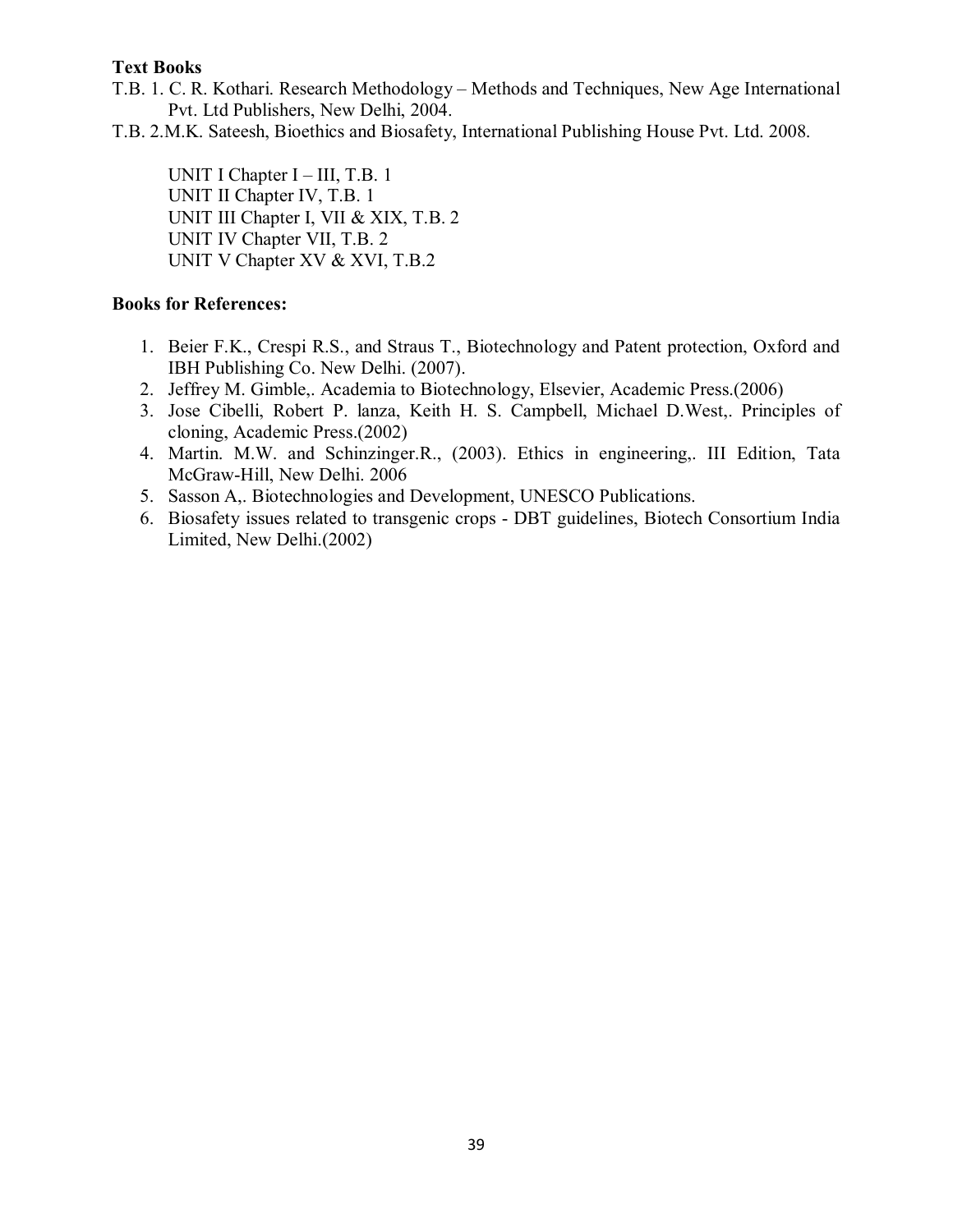- T.B. 1. C. R. Kothari. Research Methodology Methods and Techniques, New Age International Pvt. Ltd Publishers, New Delhi, 2004.
- T.B. 2.M.K. Sateesh, Bioethics and Biosafety, International Publishing House Pvt. Ltd. 2008.

UNIT I Chapter I – III, T.B. 1 UNIT II Chapter IV, T.B. 1 UNIT III Chapter I, VII & XIX, T.B. 2 UNIT IV Chapter VII, T.B. 2 UNIT V Chapter XV & XVI, T.B.2

- 1. Beier F.K., Crespi R.S., and Straus T., Biotechnology and Patent protection, Oxford and IBH Publishing Co. New Delhi. (2007).
- 2. Jeffrey M. Gimble,. Academia to Biotechnology, Elsevier, Academic Press.(2006)
- 3. Jose Cibelli, Robert P. lanza, Keith H. S. Campbell, Michael D.West,. Principles of cloning, Academic Press.(2002)
- 4. Martin. M.W. and Schinzinger.R., (2003). Ethics in engineering,. III Edition, Tata McGraw-Hill, New Delhi. 2006
- 5. Sasson A,. Biotechnologies and Development, UNESCO Publications.
- 6. Biosafety issues related to transgenic crops DBT guidelines, Biotech Consortium India Limited, New Delhi.(2002)